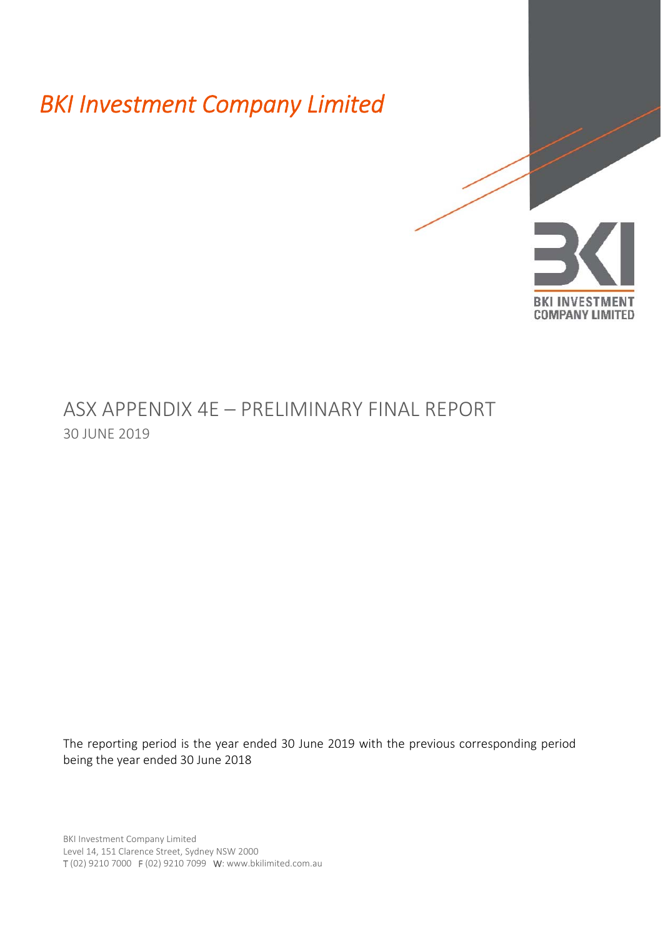*BKI Investment Company Limited* 



# ASX APPENDIX 4E – PRELIMINARY FINAL REPORT 30 JUNE 2019

The reporting period is the year ended 30 June 2019 with the previous corresponding period being the year ended 30 June 2018

BKI Investment Company Limited Level 14, 151 Clarence Street, Sydney NSW 2000 T (02) 9210 7000 F (02) 9210 7099 W: www.bkilimited.com.au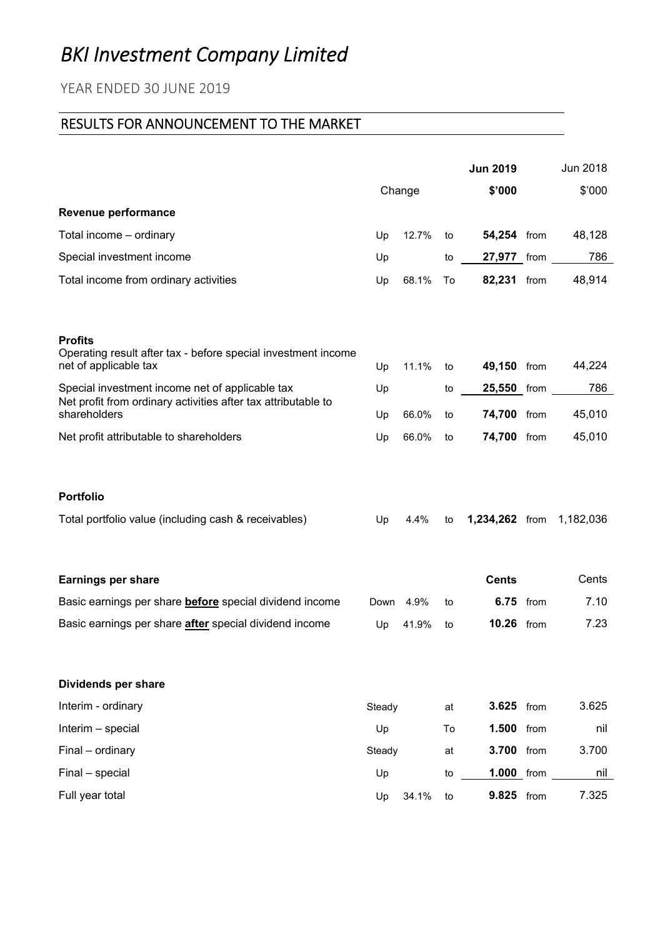# *BKI Investment Company Limited*

# YEAR ENDED 30 JUNE 2019

# RESULTS FOR ANNOUNCEMENT TO THE MARKET

|                                                                                                          |        |        |    | <b>Jun 2019</b>   |      | Jun 2018  |
|----------------------------------------------------------------------------------------------------------|--------|--------|----|-------------------|------|-----------|
|                                                                                                          |        | Change |    | \$'000            |      | \$'000    |
| Revenue performance                                                                                      |        |        |    |                   |      |           |
| Total income - ordinary                                                                                  | Up     | 12.7%  | to | 54,254 from       |      | 48,128    |
| Special investment income                                                                                | Up     |        | to | 27,977 from       |      | 786       |
| Total income from ordinary activities                                                                    | Up     | 68.1%  | To | 82,231 from       |      | 48,914    |
| <b>Profits</b><br>Operating result after tax - before special investment income<br>net of applicable tax | Up     | 11.1%  | to | 49,150 from       |      | 44,224    |
| Special investment income net of applicable tax                                                          | Up     |        | to | 25,550 from       |      | 786       |
| Net profit from ordinary activities after tax attributable to                                            |        |        |    |                   |      |           |
| shareholders                                                                                             | Up     | 66.0%  | to | 74,700 from       |      | 45,010    |
| Net profit attributable to shareholders                                                                  | Up     | 66.0%  | to | 74,700 from       |      | 45,010    |
| <b>Portfolio</b>                                                                                         |        |        |    |                   |      |           |
| Total portfolio value (including cash & receivables)                                                     | Up     | 4.4%   | to | 1,234,262 from    |      | 1,182,036 |
| <b>Earnings per share</b>                                                                                |        |        |    | <b>Cents</b>      |      | Cents     |
| Basic earnings per share <b>before</b> special dividend income                                           | Down   | 4.9%   | to | 6.75              | from | 7.10      |
| Basic earnings per share <i>after</i> special dividend income                                            | Up     | 41.9%  | to | <b>10.26</b> from |      | 7.23      |
| Dividends per share                                                                                      |        |        |    |                   |      |           |
| Interim - ordinary                                                                                       | Steady |        | at | 3.625 from        |      | 3.625     |
| Interim - special                                                                                        | Up     |        | To | 1.500 from        |      | nil       |
| Final - ordinary                                                                                         | Steady |        | at | 3.700 from        |      | 3.700     |
| Final - special                                                                                          | Up     |        | to | 1.000 from        |      | nil       |
| Full year total                                                                                          | Up     | 34.1%  | to | 9.825 from        |      | 7.325     |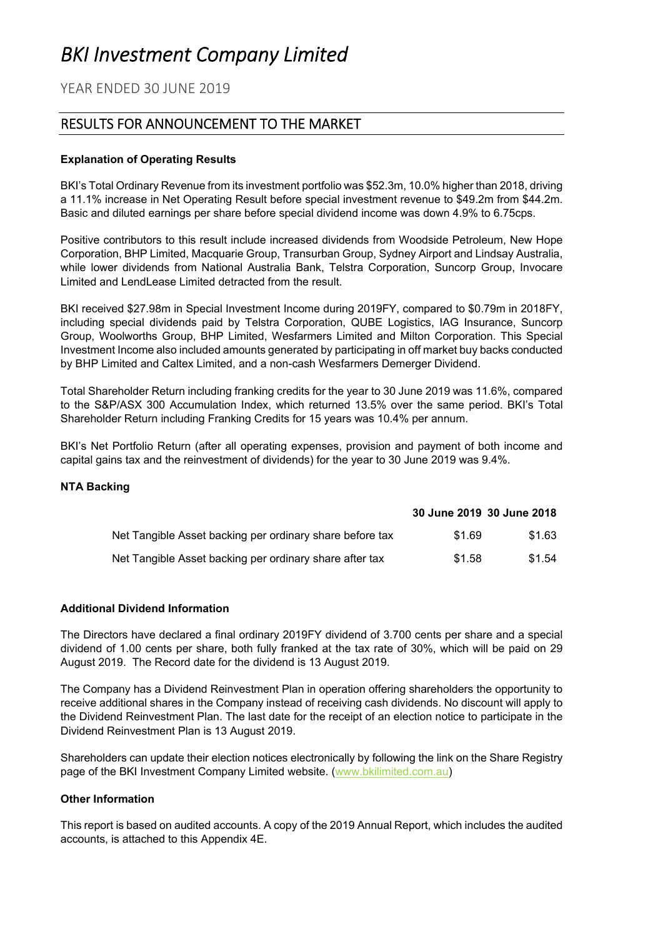# *BKI Investment Company Limited*

YEAR ENDED 30 JUNE 2019

# RESULTS FOR ANNOUNCEMENT TO THE MARKET

## **Explanation of Operating Results**

BKI's Total Ordinary Revenue from its investment portfolio was \$52.3m, 10.0% higher than 2018, driving a 11.1% increase in Net Operating Result before special investment revenue to \$49.2m from \$44.2m. Basic and diluted earnings per share before special dividend income was down 4.9% to 6.75cps.

Positive contributors to this result include increased dividends from Woodside Petroleum, New Hope Corporation, BHP Limited, Macquarie Group, Transurban Group, Sydney Airport and Lindsay Australia, while lower dividends from National Australia Bank, Telstra Corporation, Suncorp Group, Invocare Limited and LendLease Limited detracted from the result.

BKI received \$27.98m in Special Investment Income during 2019FY, compared to \$0.79m in 2018FY, including special dividends paid by Telstra Corporation, QUBE Logistics, IAG Insurance, Suncorp Group, Woolworths Group, BHP Limited, Wesfarmers Limited and Milton Corporation. This Special Investment Income also included amounts generated by participating in off market buy backs conducted by BHP Limited and Caltex Limited, and a non-cash Wesfarmers Demerger Dividend.

Total Shareholder Return including franking credits for the year to 30 June 2019 was 11.6%, compared to the S&P/ASX 300 Accumulation Index, which returned 13.5% over the same period. BKI's Total Shareholder Return including Franking Credits for 15 years was 10.4% per annum.

BKI's Net Portfolio Return (after all operating expenses, provision and payment of both income and capital gains tax and the reinvestment of dividends) for the year to 30 June 2019 was 9.4%.

## **NTA Backing**

|                                                          | 30 June 2019 30 June 2018 |        |
|----------------------------------------------------------|---------------------------|--------|
| Net Tangible Asset backing per ordinary share before tax | \$1.69                    | \$1.63 |
| Net Tangible Asset backing per ordinary share after tax  | \$1.58                    | \$1.54 |

## **Additional Dividend Information**

The Directors have declared a final ordinary 2019FY dividend of 3.700 cents per share and a special dividend of 1.00 cents per share, both fully franked at the tax rate of 30%, which will be paid on 29 August 2019. The Record date for the dividend is 13 August 2019.

The Company has a Dividend Reinvestment Plan in operation offering shareholders the opportunity to receive additional shares in the Company instead of receiving cash dividends. No discount will apply to the Dividend Reinvestment Plan. The last date for the receipt of an election notice to participate in the Dividend Reinvestment Plan is 13 August 2019.

Shareholders can update their election notices electronically by following the link on the Share Registry page of the BKI Investment Company Limited website. (www.bkilimited.com.au)

#### **Other Information**

This report is based on audited accounts. A copy of the 2019 Annual Report, which includes the audited accounts, is attached to this Appendix 4E.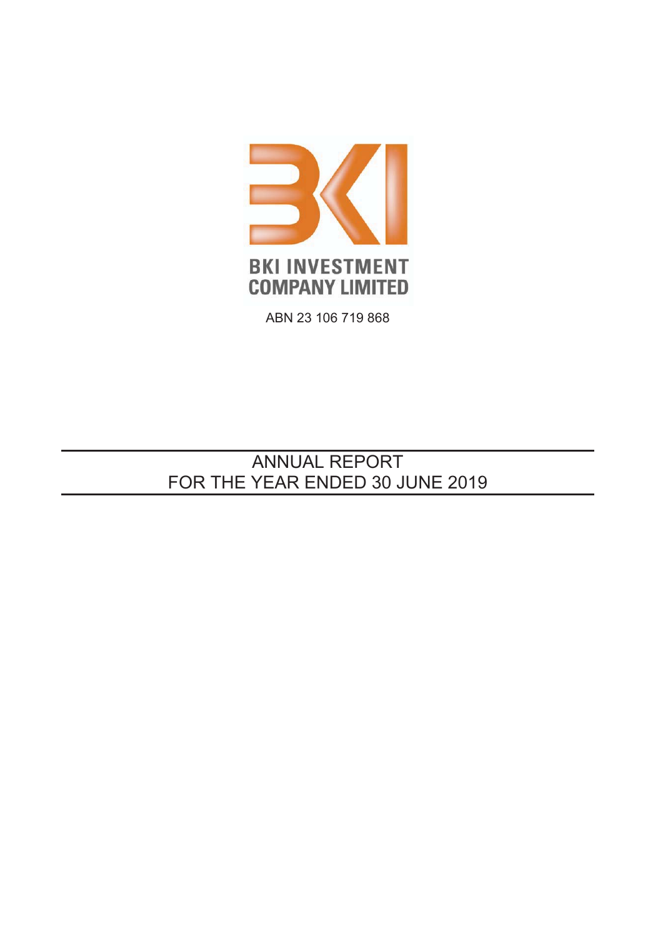

ABN 23 106 719 868

# **ANNUAL REPORT** FOR THE YEAR ENDED 30 JUNE 2019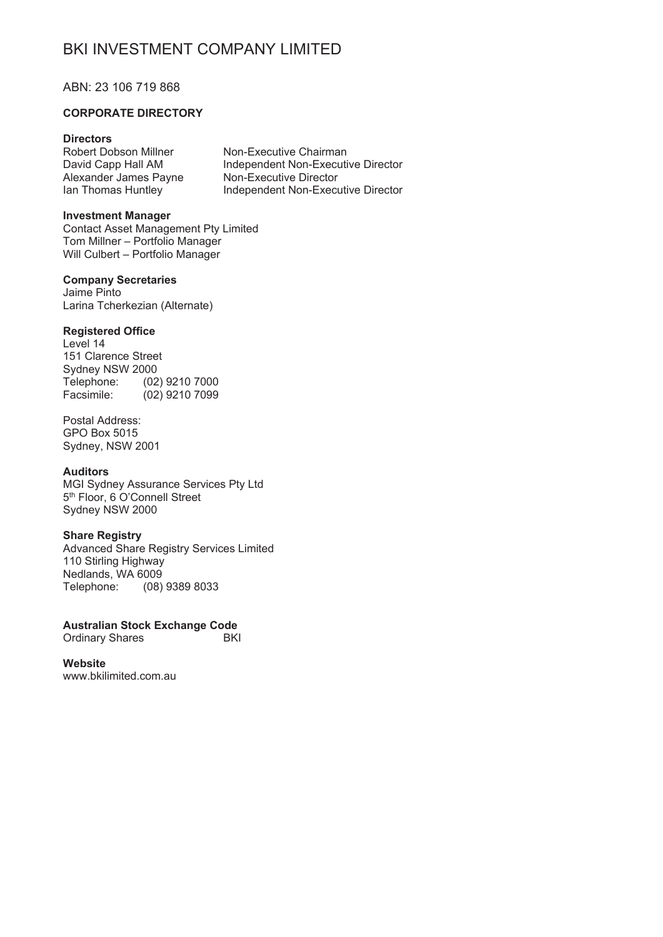#### ABN: 23 106 719 868

#### **CORPORATE DIRECTORY**

## **Directors**

Robert Dobson Millner David Capp Hall AM Alexander James Payne lan Thomas Huntley

Non-Executive Chairman Independent Non-Executive Director Non-Executive Director Independent Non-Executive Director

#### **Investment Manager**

**Contact Asset Management Pty Limited** Tom Millner - Portfolio Manager Will Culbert - Portfolio Manager

#### **Company Secretaries**

Jaime Pinto Larina Tcherkezian (Alternate)

#### **Registered Office**

Level 14 151 Clarence Street Sydney NSW 2000 Telephone: (02) 9210 7000 Facsimile:  $(02)$  9210 7099

Postal Address: **GPO Box 5015** Svdnev, NSW 2001

#### **Auditors**

MGI Sydney Assurance Services Pty Ltd 5<sup>th</sup> Floor, 6 O'Connell Street Sydney NSW 2000

# **Share Registry**

Advanced Share Registry Services Limited 110 Stirling Highwav Nedlands, WA 6009 Telephone: (08) 9389 8033

**Australian Stock Exchange Code Ordinary Shares BKI** 

Website www.bkilimited.com.au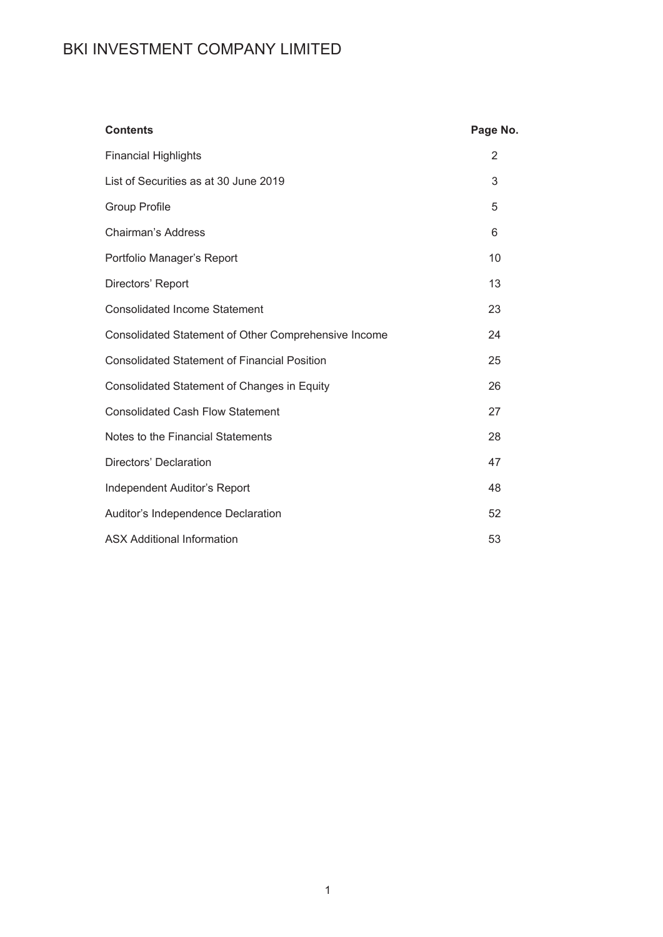| <b>Contents</b>                                      | Page No. |
|------------------------------------------------------|----------|
| <b>Financial Highlights</b>                          | 2        |
| List of Securities as at 30 June 2019                | 3        |
| <b>Group Profile</b>                                 | 5        |
| <b>Chairman's Address</b>                            | 6        |
| Portfolio Manager's Report                           | 10       |
| Directors' Report                                    | 13       |
| <b>Consolidated Income Statement</b>                 | 23       |
| Consolidated Statement of Other Comprehensive Income | 24       |
| <b>Consolidated Statement of Financial Position</b>  | 25       |
| Consolidated Statement of Changes in Equity          | 26       |
| <b>Consolidated Cash Flow Statement</b>              | 27       |
| Notes to the Financial Statements                    | 28       |
| Directors' Declaration                               | 47       |
| Independent Auditor's Report                         | 48       |
| Auditor's Independence Declaration                   | 52       |
| <b>ASX Additional Information</b>                    | 53       |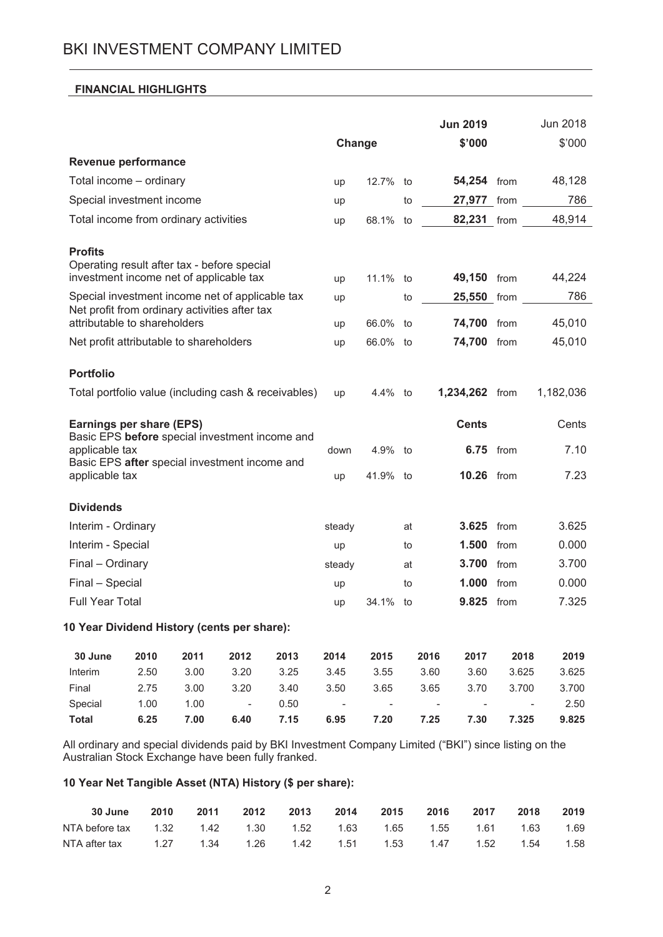# **FINANCIAL HIGHLIGHTS**

| Change<br>\$'000<br>Revenue performance<br>Total income - ordinary<br>54,254 from<br>12.7% to<br>up                                       | \$'000<br>48,128 |
|-------------------------------------------------------------------------------------------------------------------------------------------|------------------|
|                                                                                                                                           |                  |
|                                                                                                                                           |                  |
|                                                                                                                                           |                  |
| Special investment income<br>27,977 from<br>to<br>up                                                                                      | 786              |
| Total income from ordinary activities<br>82,231 from<br>68.1%<br>to<br>up                                                                 | 48,914           |
| <b>Profits</b><br>Operating result after tax - before special<br>investment income net of applicable tax<br>49,150 from<br>11.1% to<br>up | 44,224           |
| Special investment income net of applicable tax<br>25,550 from<br>to<br>up                                                                | 786              |
| Net profit from ordinary activities after tax                                                                                             |                  |
| attributable to shareholders<br>66.0% to<br>74,700 from<br>up                                                                             | 45,010           |
| 74,700<br>Net profit attributable to shareholders<br>66.0% to<br>from<br>up                                                               | 45,010           |
| <b>Portfolio</b>                                                                                                                          |                  |
| Total portfolio value (including cash & receivables)<br>1,234,262 from<br>4.4% to<br>up                                                   | 1,182,036        |
| <b>Cents</b><br>Earnings per share (EPS)<br>Basic EPS before special investment income and                                                | Cents            |
| applicable tax<br><b>6.75</b> from<br>4.9% to<br>down                                                                                     | 7.10             |
| Basic EPS after special investment income and<br>applicable tax<br><b>10.26</b> from<br>41.9% to<br>up                                    | 7.23             |
| <b>Dividends</b>                                                                                                                          |                  |
| 3.625 from<br>Interim - Ordinary<br>steady<br>at                                                                                          | 3.625            |
| Interim - Special<br>1.500<br>from<br>to<br>up                                                                                            | 0.000            |
| Final - Ordinary<br>3.700<br>from<br>steady<br>at                                                                                         | 3.700            |
| Final - Special<br>1.000<br>from<br>to<br>up                                                                                              | 0.000            |
| <b>Full Year Total</b><br>34.1%<br>9.825<br>from<br>to<br>up                                                                              | 7.325            |
| 10 Year Dividend History (cents per share):                                                                                               |                  |
| 30 June<br>2010<br>2011<br>2012<br>2013<br>2014<br>2016<br>2017<br>2015<br>2018                                                           | 2019             |
| Interim<br>2.50<br>3.00<br>3.20<br>3.25<br>3.45<br>3.55<br>3.60<br>3.60<br>3.625                                                          | 3.625            |
| Final<br>2.75<br>3.00<br>3.20<br>3.40<br>3.50<br>3.65<br>3.65<br>3.70<br>3.700                                                            | 3.700            |
| Special<br>1.00<br>1.00<br>0.50<br>$\sim$ $-$<br>$\sim$ $-$<br>$\overline{\phantom{a}}$<br>$\overline{\phantom{a}}$                       | 2.50             |
| <b>Total</b><br>6.25<br>7.00<br>6.40<br>7.15<br>6.95<br>7.20<br>7.25<br>7.325<br>7.30                                                     | 9.825            |

All ordinary and special dividends paid by BKI Investment Company Limited ("BKI") since listing on the Australian Stock Exchange have been fully franked.

# 10 Year Net Tangible Asset (NTA) History (\$ per share):

| 30 June  2010  2011  2012  2013  2014  2015  2016  2017  2018                       |  |  |  |  | 2019 |
|-------------------------------------------------------------------------------------|--|--|--|--|------|
| NTA before tax  1.32  1.42  1.30  1.52  1.63  1.65  1.55  1.61  1.63  1.69          |  |  |  |  |      |
| NTA after tax $1.27$ $1.34$ $1.26$ $1.42$ $1.51$ $1.53$ $1.47$ $1.52$ $1.54$ $1.58$ |  |  |  |  |      |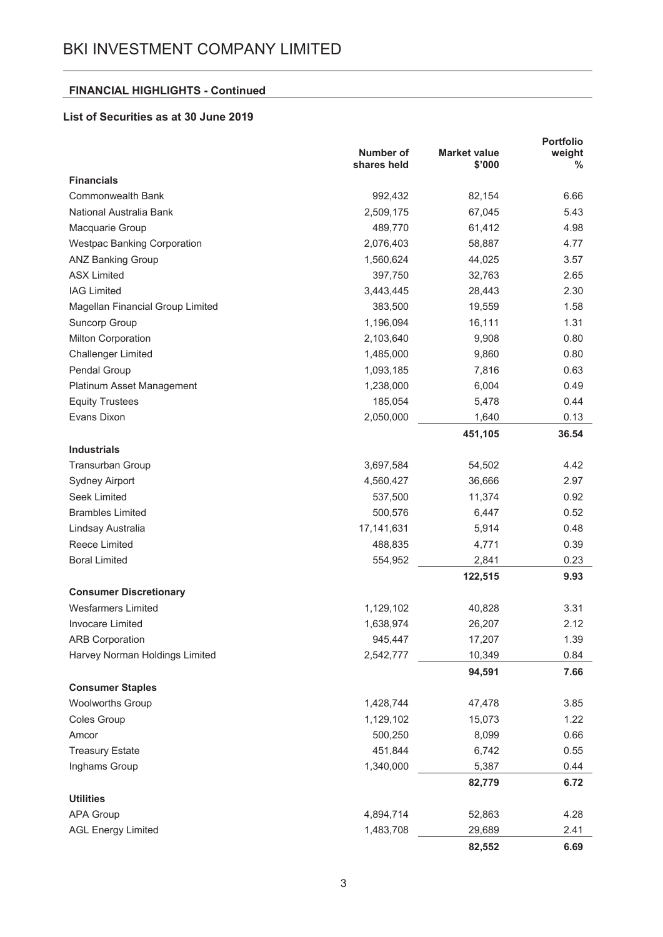# **FINANCIAL HIGHLIGHTS - Continued**

# List of Securities as at 30 June 2019

|                                    | <b>Number of</b><br>shares held | <b>Market value</b><br>\$'000 | <b>Portfolio</b><br>weight<br>% |
|------------------------------------|---------------------------------|-------------------------------|---------------------------------|
| <b>Financials</b>                  |                                 |                               |                                 |
| <b>Commonwealth Bank</b>           | 992,432                         | 82,154                        | 6.66                            |
| National Australia Bank            | 2,509,175                       | 67,045                        | 5.43                            |
| Macquarie Group                    | 489,770                         | 61,412                        | 4.98                            |
| <b>Westpac Banking Corporation</b> | 2,076,403                       | 58,887                        | 4.77                            |
| <b>ANZ Banking Group</b>           | 1,560,624                       | 44,025                        | 3.57                            |
| <b>ASX Limited</b>                 | 397,750                         | 32,763                        | 2.65                            |
| <b>IAG Limited</b>                 | 3,443,445                       | 28,443                        | 2.30                            |
| Magellan Financial Group Limited   | 383,500                         | 19,559                        | 1.58                            |
| Suncorp Group                      | 1,196,094                       | 16,111                        | 1.31                            |
| Milton Corporation                 | 2,103,640                       | 9,908                         | 0.80                            |
| <b>Challenger Limited</b>          | 1,485,000                       | 9,860                         | 0.80                            |
| Pendal Group                       | 1,093,185                       | 7,816                         | 0.63                            |
| Platinum Asset Management          | 1,238,000                       | 6,004                         | 0.49                            |
| <b>Equity Trustees</b>             | 185,054                         | 5,478                         | 0.44                            |
| Evans Dixon                        | 2,050,000                       | 1,640                         | 0.13                            |
|                                    |                                 | 451,105                       | 36.54                           |
| <b>Industrials</b>                 |                                 |                               |                                 |
| <b>Transurban Group</b>            | 3,697,584                       | 54,502                        | 4.42                            |
| Sydney Airport                     | 4,560,427                       | 36,666                        | 2.97                            |
| Seek Limited                       | 537,500                         | 11,374                        | 0.92                            |
| <b>Brambles Limited</b>            | 500,576                         | 6,447                         | 0.52                            |
| Lindsay Australia                  | 17, 141, 631                    | 5,914                         | 0.48                            |
| Reece Limited                      | 488,835                         | 4,771                         | 0.39                            |
| <b>Boral Limited</b>               | 554,952                         | 2,841                         | 0.23                            |
|                                    |                                 | 122,515                       | 9.93                            |
| <b>Consumer Discretionary</b>      |                                 |                               |                                 |
| <b>Wesfarmers Limited</b>          | 1,129,102                       | 40,828                        | 3.31                            |
| <b>Invocare Limited</b>            | 1,638,974                       | 26,207                        | 2.12                            |
| <b>ARB Corporation</b>             | 945,447                         | 17,207                        | 1.39                            |
| Harvey Norman Holdings Limited     | 2,542,777                       | 10,349<br>94,591              | 0.84<br>7.66                    |
| <b>Consumer Staples</b>            |                                 |                               |                                 |
| <b>Woolworths Group</b>            | 1,428,744                       | 47,478                        | 3.85                            |
| Coles Group                        | 1,129,102                       | 15,073                        | 1.22                            |
| Amcor                              | 500,250                         | 8,099                         | 0.66                            |
| <b>Treasury Estate</b>             | 451,844                         | 6,742                         | 0.55                            |
| Inghams Group                      | 1,340,000                       | 5,387                         | 0.44                            |
|                                    |                                 | 82,779                        | 6.72                            |
| <b>Utilities</b>                   |                                 |                               |                                 |
| APA Group                          | 4,894,714                       | 52,863                        | 4.28                            |
| <b>AGL Energy Limited</b>          | 1,483,708                       | 29,689                        | 2.41                            |
|                                    |                                 | 82,552                        | 6.69                            |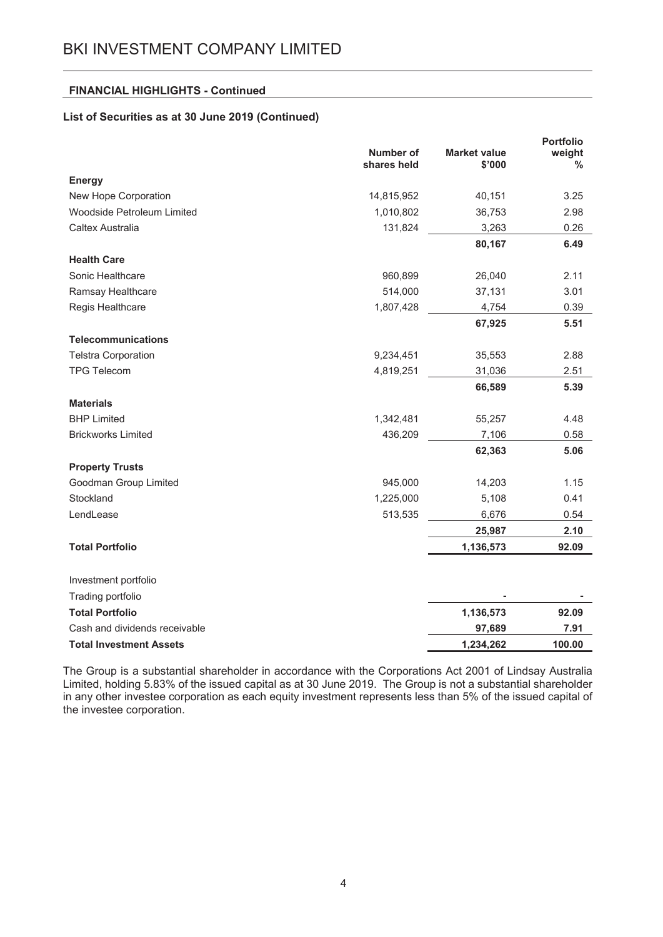## **FINANCIAL HIGHLIGHTS - Continued**

# List of Securities as at 30 June 2019 (Continued)

|                                |                          |                               | <b>Portfolio</b> |
|--------------------------------|--------------------------|-------------------------------|------------------|
|                                | Number of<br>shares held | <b>Market value</b><br>\$'000 | weight<br>℅      |
| <b>Energy</b>                  |                          |                               |                  |
| New Hope Corporation           | 14,815,952               | 40,151                        | 3.25             |
| Woodside Petroleum Limited     | 1,010,802                | 36,753                        | 2.98             |
| Caltex Australia               | 131,824                  | 3,263                         | 0.26             |
|                                |                          | 80,167                        | 6.49             |
| <b>Health Care</b>             |                          |                               |                  |
| Sonic Healthcare               | 960,899                  | 26,040                        | 2.11             |
| Ramsay Healthcare              | 514,000                  | 37,131                        | 3.01             |
| Regis Healthcare               | 1,807,428                | 4,754                         | 0.39             |
|                                |                          | 67,925                        | 5.51             |
| <b>Telecommunications</b>      |                          |                               |                  |
| <b>Telstra Corporation</b>     | 9,234,451                | 35,553                        | 2.88             |
| <b>TPG Telecom</b>             | 4,819,251                | 31,036                        | 2.51             |
|                                |                          | 66,589                        | 5.39             |
| <b>Materials</b>               |                          |                               |                  |
| <b>BHP Limited</b>             | 1,342,481                | 55,257                        | 4.48             |
| <b>Brickworks Limited</b>      | 436,209                  | 7,106                         | 0.58             |
|                                |                          | 62,363                        | 5.06             |
| <b>Property Trusts</b>         |                          |                               |                  |
| Goodman Group Limited          | 945,000                  | 14,203                        | 1.15             |
| Stockland                      | 1,225,000                | 5,108                         | 0.41             |
| LendLease                      | 513,535                  | 6,676                         | 0.54             |
|                                |                          | 25,987                        | 2.10             |
| <b>Total Portfolio</b>         |                          | 1,136,573                     | 92.09            |
| Investment portfolio           |                          |                               |                  |
| Trading portfolio              |                          |                               |                  |
| <b>Total Portfolio</b>         |                          | 1,136,573                     | 92.09            |
| Cash and dividends receivable  |                          | 97,689                        | 7.91             |
| <b>Total Investment Assets</b> |                          | 1,234,262                     | 100.00           |

The Group is a substantial shareholder in accordance with the Corporations Act 2001 of Lindsay Australia Limited, holding 5.83% of the issued capital as at 30 June 2019. The Group is not a substantial shareholder in any other investee corporation as each equity investment represents less than 5% of the issued capital of the investee corporation.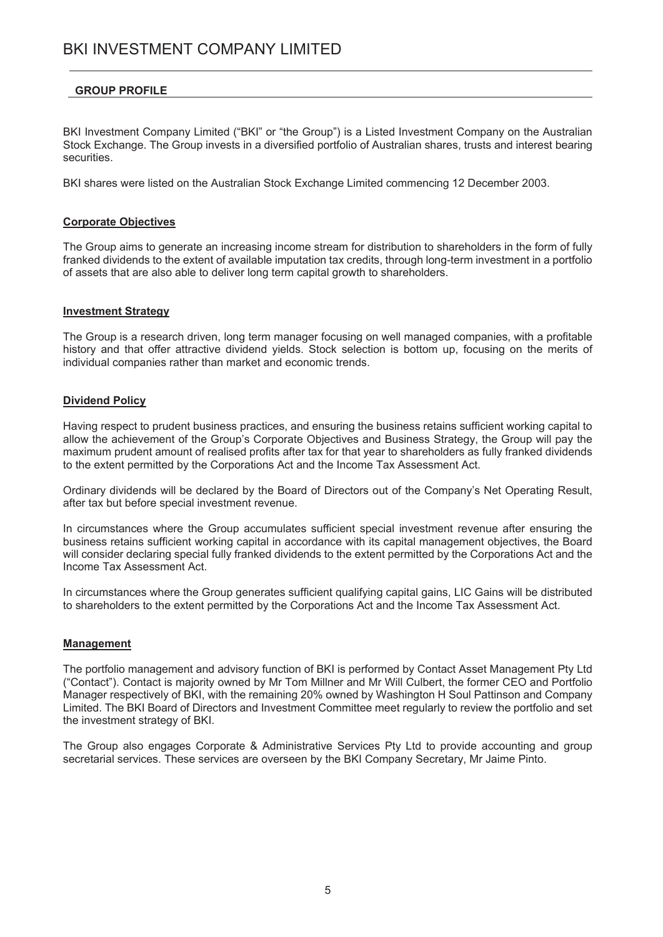# **GROUP PROFILE**

BKI Investment Company Limited ("BKI" or "the Group") is a Listed Investment Company on the Australian Stock Exchange. The Group invests in a diversified portfolio of Australian shares, trusts and interest bearing securities.

BKI shares were listed on the Australian Stock Exchange Limited commencing 12 December 2003.

#### **Corporate Objectives**

The Group aims to generate an increasing income stream for distribution to shareholders in the form of fully franked dividends to the extent of available imputation tax credits, through long-term investment in a portfolio of assets that are also able to deliver long term capital growth to shareholders.

#### **Investment Strategy**

The Group is a research driven, long term manager focusing on well managed companies, with a profitable history and that offer attractive dividend vields. Stock selection is bottom up, focusing on the merits of individual companies rather than market and economic trends.

# **Dividend Policv**

Having respect to prudent business practices, and ensuring the business retains sufficient working capital to allow the achievement of the Group's Corporate Objectives and Business Strategy, the Group will pay the maximum prudent amount of realised profits after tax for that year to shareholders as fully franked dividends to the extent permitted by the Corporations Act and the Income Tax Assessment Act.

Ordinary dividends will be declared by the Board of Directors out of the Company's Net Operating Result, after tax but before special investment revenue.

In circumstances where the Group accumulates sufficient special investment revenue after ensuring the business retains sufficient working capital in accordance with its capital management objectives, the Board will consider declaring special fully franked dividends to the extent permitted by the Corporations Act and the Income Tax Assessment Act.

In circumstances where the Group generates sufficient qualifying capital gains, LIC Gains will be distributed to shareholders to the extent permitted by the Corporations Act and the Income Tax Assessment Act.

#### **Management**

The portfolio management and advisory function of BKI is performed by Contact Asset Management Pty Ltd ("Contact"). Contact is majority owned by Mr Tom Millner and Mr Will Culbert, the former CEO and Portfolio Manager respectively of BKI, with the remaining 20% owned by Washington H Soul Pattinson and Company Limited. The BKI Board of Directors and Investment Committee meet regularly to review the portfolio and set the investment strategy of BKI.

The Group also engages Corporate & Administrative Services Pty Ltd to provide accounting and group secretarial services. These services are overseen by the BKI Company Secretary, Mr Jaime Pinto.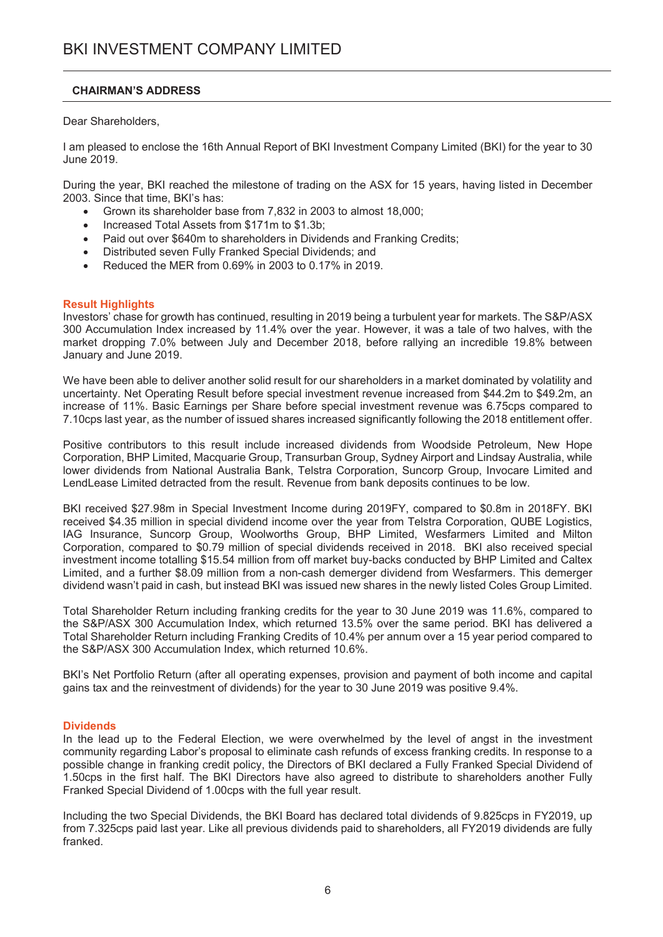## **CHAIRMAN'S ADDRESS**

Dear Shareholders.

I am pleased to enclose the 16th Annual Report of BKI Investment Company Limited (BKI) for the year to 30 June 2019.

During the year, BKI reached the milestone of trading on the ASX for 15 years, having listed in December 2003. Since that time, BKI's has:

- Grown its shareholder base from 7,832 in 2003 to almost 18,000;  $\bullet$
- Increased Total Assets from \$171m to \$1.3b:
- Paid out over \$640m to shareholders in Dividends and Franking Credits;  $\bullet$
- Distributed seven Fully Franked Special Dividends; and  $\bullet$
- Reduced the MER from 0.69% in 2003 to 0.17% in 2019.

## **Result Highlights**

Investors' chase for growth has continued, resulting in 2019 being a turbulent year for markets. The S&P/ASX 300 Accumulation Index increased by 11.4% over the year. However, it was a tale of two halves, with the market dropping 7.0% between July and December 2018, before rallying an incredible 19.8% between January and June 2019.

We have been able to deliver another solid result for our shareholders in a market dominated by volatility and uncertainty. Net Operating Result before special investment revenue increased from \$44.2m to \$49.2m, an increase of 11%. Basic Earnings per Share before special investment revenue was 6.75cps compared to 7.10cps last year, as the number of issued shares increased significantly following the 2018 entitlement offer.

Positive contributors to this result include increased dividends from Woodside Petroleum, New Hope Corporation, BHP Limited, Macquarie Group, Transurban Group, Sydney Airport and Lindsay Australia, while lower dividends from National Australia Bank, Telstra Corporation, Suncorp Group, Invocare Limited and LendLease Limited detracted from the result. Revenue from bank deposits continues to be low.

BKI received \$27.98m in Special Investment Income during 2019FY, compared to \$0.8m in 2018FY, BKI received \$4.35 million in special dividend income over the year from Telstra Corporation. QUBE Logistics. IAG Insurance. Suncorp Group. Woolworths Group. BHP Limited. Wesfarmers Limited and Milton Corporation, compared to \$0.79 million of special dividends received in 2018. BKI also received special investment income totalling \$15.54 million from off market buy-backs conducted by BHP Limited and Caltex Limited, and a further \$8.09 million from a non-cash demerger dividend from Wesfarmers. This demerger dividend wasn't paid in cash, but instead BKI was issued new shares in the newly listed Coles Group Limited.

Total Shareholder Return including franking credits for the year to 30 June 2019 was 11.6%, compared to the S&P/ASX 300 Accumulation Index, which returned 13.5% over the same period. BKI has delivered a Total Shareholder Return including Franking Credits of 10.4% per annum over a 15 year period compared to the S&P/ASX 300 Accumulation Index, which returned 10.6%.

BKI's Net Portfolio Return (after all operating expenses, provision and payment of both income and capital gains tax and the reinvestment of dividends) for the year to 30 June 2019 was positive 9.4%.

## **Dividends**

In the lead up to the Federal Election, we were overwhelmed by the level of angst in the investment community regarding Labor's proposal to eliminate cash refunds of excess franking credits. In response to a possible change in franking credit policy, the Directors of BKI declared a Fully Franked Special Dividend of 1.50cps in the first half. The BKI Directors have also agreed to distribute to shareholders another Fully Franked Special Dividend of 1.00cps with the full year result.

Including the two Special Dividends, the BKI Board has declared total dividends of 9.825cps in FY2019, up from 7.325cps paid last year. Like all previous dividends paid to shareholders, all FY2019 dividends are fully franked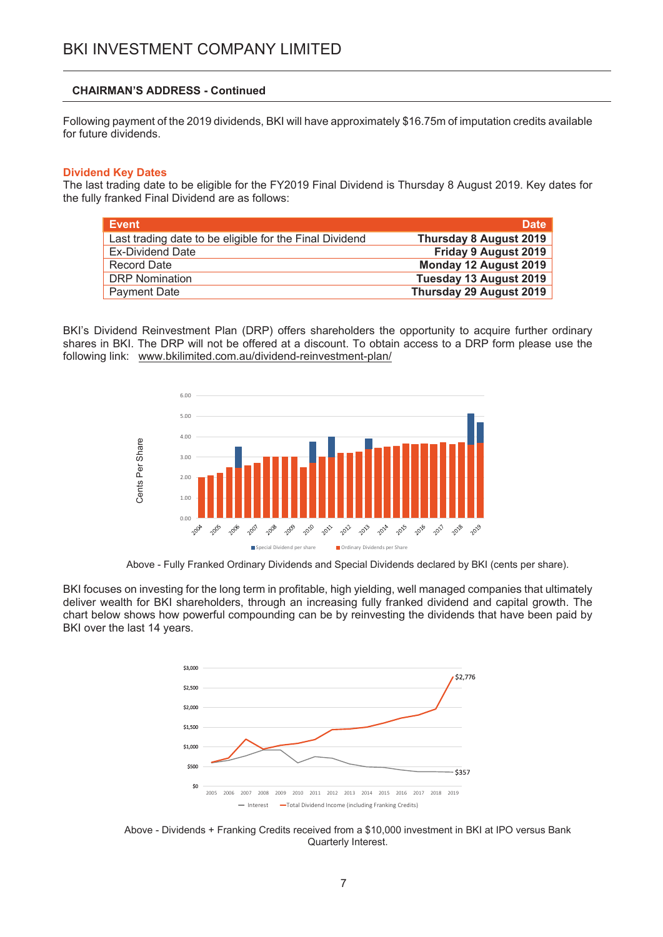#### **CHAIRMAN'S ADDRESS - Continued**

Following payment of the 2019 dividends, BKI will have approximately \$16.75m of imputation credits available for future dividends.

#### **Dividend Key Dates**

The last trading date to be eligible for the FY2019 Final Dividend is Thursday 8 August 2019. Key dates for the fully franked Final Dividend are as follows:

| Event                                                   | <b>Date</b>                   |
|---------------------------------------------------------|-------------------------------|
| Last trading date to be eligible for the Final Dividend | <b>Thursday 8 August 2019</b> |
| <b>Ex-Dividend Date</b>                                 | Friday 9 August 2019          |
| Record Date                                             | Monday 12 August 2019         |
| <b>DRP</b> Nomination                                   | Tuesday 13 August 2019        |
| Payment Date                                            | Thursday 29 August 2019       |

BKI's Dividend Reinvestment Plan (DRP) offers shareholders the opportunity to acquire further ordinary shares in BKI. The DRP will not be offered at a discount. To obtain access to a DRP form please use the following link: www.bkilimited.com.au/dividend-reinvestment-plan/



Above - Fully Franked Ordinary Dividends and Special Dividends declared by BKI (cents per share).

BKI focuses on investing for the long term in profitable, high yielding, well managed companies that ultimately deliver wealth for BKI shareholders, through an increasing fully franked dividend and capital growth. The chart below shows how powerful compounding can be by reinvesting the dividends that have been paid by BKI over the last 14 years.



Above - Dividends + Franking Credits received from a \$10,000 investment in BKI at IPO versus Bank Quarterly Interest.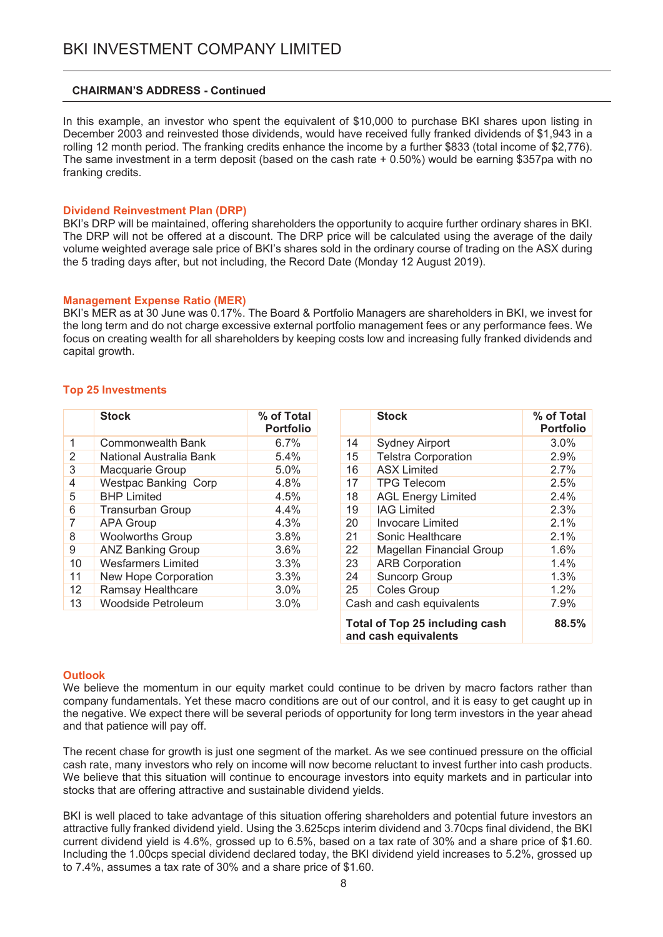#### **CHAIRMAN'S ADDRESS - Continued**

In this example, an investor who spent the equivalent of \$10,000 to purchase BKI shares upon listing in December 2003 and reinvested those dividends, would have received fully franked dividends of \$1,943 in a rolling 12 month period. The franking credits enhance the income by a further \$833 (total income of \$2.776). The same investment in a term deposit (based on the cash rate  $+$  0.50%) would be earning \$357pa with no franking credits.

#### **Dividend Reinvestment Plan (DRP)**

BKI's DRP will be maintained, offering shareholders the opportunity to acquire further ordinary shares in BKI. The DRP will not be offered at a discount. The DRP price will be calculated using the average of the daily volume weighted average sale price of BKI's shares sold in the ordinary course of trading on the ASX during the 5 trading days after, but not including, the Record Date (Monday 12 August 2019).

#### **Management Expense Ratio (MER)**

BKI's MER as at 30 June was 0.17%. The Board & Portfolio Managers are shareholders in BKI, we invest for the long term and do not charge excessive external portfolio management fees or any performance fees. We focus on creating wealth for all shareholders by keeping costs low and increasing fully franked dividends and capital growth.

#### **Top 25 Investments**

|    | <b>Stock</b>                | % of Total<br><b>Portfolio</b> |
|----|-----------------------------|--------------------------------|
| 1  | Commonwealth Bank           | 6.7%                           |
| 2  | National Australia Bank     | 5.4%                           |
| 3  | Macquarie Group             | 5.0%                           |
| 4  | <b>Westpac Banking Corp</b> | 4.8%                           |
| 5  | <b>BHP Limited</b>          | 4.5%                           |
| 6  | <b>Transurban Group</b>     | $4.4\%$                        |
| 7  | <b>APA Group</b>            | 4.3%                           |
| 8  | <b>Woolworths Group</b>     | 3.8%                           |
| 9  | <b>ANZ Banking Group</b>    | 3.6%                           |
| 10 | <b>Wesfarmers Limited</b>   | 3.3%                           |
| 11 | New Hope Corporation        | 3.3%                           |
| 12 | Ramsay Healthcare           | 3.0%                           |
| 13 | Woodside Petroleum          | 3.0%                           |

|    | <b>Stock</b>                                                  | % of Total<br><b>Portfolio</b> |
|----|---------------------------------------------------------------|--------------------------------|
| 14 | <b>Sydney Airport</b>                                         | 3.0%                           |
| 15 | <b>Telstra Corporation</b>                                    | 2.9%                           |
| 16 | <b>ASX Limited</b>                                            | 2.7%                           |
| 17 | <b>TPG Telecom</b>                                            | 2.5%                           |
| 18 | <b>AGL Energy Limited</b>                                     | 2.4%                           |
| 19 | <b>IAG Limited</b>                                            | 2.3%                           |
| 20 | Invocare Limited                                              | 2.1%                           |
| 21 | Sonic Healthcare                                              | $2.1\%$                        |
| 22 | <b>Magellan Financial Group</b>                               | 1.6%                           |
| 23 | <b>ARB Corporation</b>                                        | 1.4%                           |
| 24 | <b>Suncorp Group</b>                                          | 1.3%                           |
| 25 | <b>Coles Group</b>                                            | 1.2%                           |
|    | Cash and cash equivalents                                     | 7.9%                           |
|    | <b>Total of Top 25 including cash</b><br>and cash equivalents | 88.5%                          |

#### **Outlook**

We believe the momentum in our equity market could continue to be driven by macro factors rather than company fundamentals. Yet these macro conditions are out of our control, and it is easy to get caught up in the negative. We expect there will be several periods of opportunity for long term investors in the year ahead and that patience will pay off.

The recent chase for growth is just one segment of the market. As we see continued pressure on the official cash rate, many investors who rely on income will now become reluctant to invest further into cash products. We believe that this situation will continue to encourage investors into equity markets and in particular into stocks that are offering attractive and sustainable dividend vields.

BKI is well placed to take advantage of this situation offering shareholders and potential future investors an attractive fully franked dividend yield. Using the 3.625cps interim dividend and 3.70cps final dividend, the BKI current dividend yield is 4.6%, grossed up to 6.5%, based on a tax rate of 30% and a share price of \$1.60. Including the 1.00cps special dividend declared today, the BKI dividend yield increases to 5.2%, grossed up to 7.4%, assumes a tax rate of 30% and a share price of \$1.60.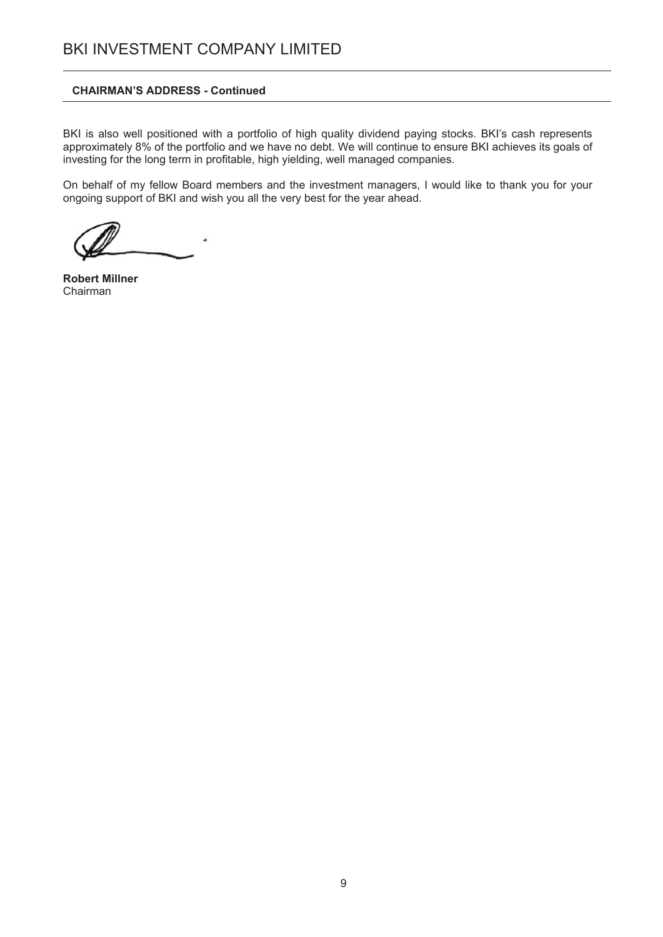#### **CHAIRMAN'S ADDRESS - Continued**

BKI is also well positioned with a portfolio of high quality dividend paying stocks. BKI's cash represents approximately 8% of the portfolio and we have no debt. We will continue to ensure BKI achieves its goals of investing for the long term in profitable, high yielding, well managed companies.

On behalf of my fellow Board members and the investment managers, I would like to thank you for your ongoing support of BKI and wish you all the very best for the year ahead.

۵

**Robert Millner** Chairman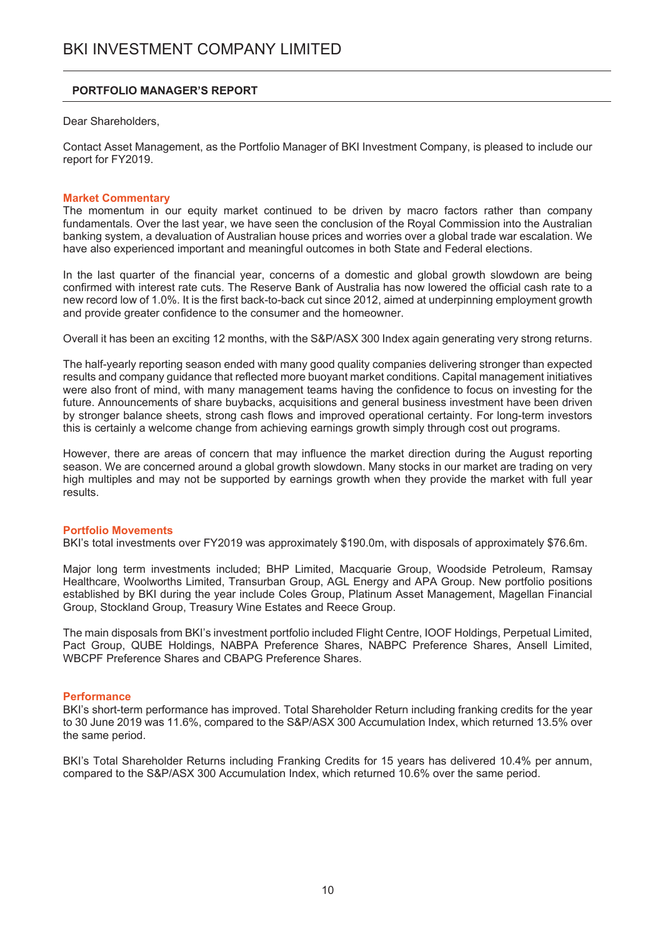#### **PORTFOLIO MANAGER'S REPORT**

Dear Shareholders.

Contact Asset Management, as the Portfolio Manager of BKI Investment Company, is pleased to include our report for FY2019.

#### **Market Commentary**

The momentum in our equity market continued to be driven by macro factors rather than company fundamentals. Over the last year, we have seen the conclusion of the Royal Commission into the Australian banking system, a devaluation of Australian house prices and worries over a global trade war escalation. We have also experienced important and meaningful outcomes in both State and Federal elections.

In the last quarter of the financial year, concerns of a domestic and global growth slowdown are being confirmed with interest rate cuts. The Reserve Bank of Australia has now lowered the official cash rate to a new record low of 1.0%. It is the first back-to-back cut since 2012, aimed at underpinning employment growth and provide greater confidence to the consumer and the homeowner.

Overall it has been an exciting 12 months, with the S&P/ASX 300 Index again generating very strong returns.

The half-yearly reporting season ended with many good quality companies delivering stronger than expected results and company guidance that reflected more buoyant market conditions. Capital management initiatives were also front of mind, with many management teams having the confidence to focus on investing for the future. Announcements of share buybacks, acquisitions and general business investment have been driven by stronger balance sheets, strong cash flows and improved operational certainty. For long-term investors this is certainly a welcome change from achieving earnings growth simply through cost out programs.

However, there are areas of concern that may influence the market direction during the August reporting season. We are concerned around a global growth slowdown. Many stocks in our market are trading on very high multiples and may not be supported by earnings growth when they provide the market with full year results.

#### **Portfolio Movements**

BKI's total investments over FY2019 was approximately \$190.0m, with disposals of approximately \$76.6m.

Maior long term investments included; BHP Limited, Macquarie Group, Woodside Petroleum, Ramsay Healthcare, Woolworths Limited, Transurban Group, AGL Energy and APA Group. New portfolio positions established by BKI during the year include Coles Group, Platinum Asset Management, Magellan Financial Group, Stockland Group, Treasury Wine Estates and Reece Group.

The main disposals from BKI's investment portfolio included Flight Centre, IOOF Holdings, Perpetual Limited, Pact Group, QUBE Holdings, NABPA Preference Shares, NABPC Preference Shares, Ansell Limited, WBCPF Preference Shares and CBAPG Preference Shares.

#### **Performance**

BKI's short-term performance has improved. Total Shareholder Return including franking credits for the year to 30 June 2019 was 11.6%, compared to the S&P/ASX 300 Accumulation Index, which returned 13.5% over the same period.

BKI's Total Shareholder Returns including Franking Credits for 15 years has delivered 10.4% per annum, compared to the S&P/ASX 300 Accumulation Index, which returned 10.6% over the same period.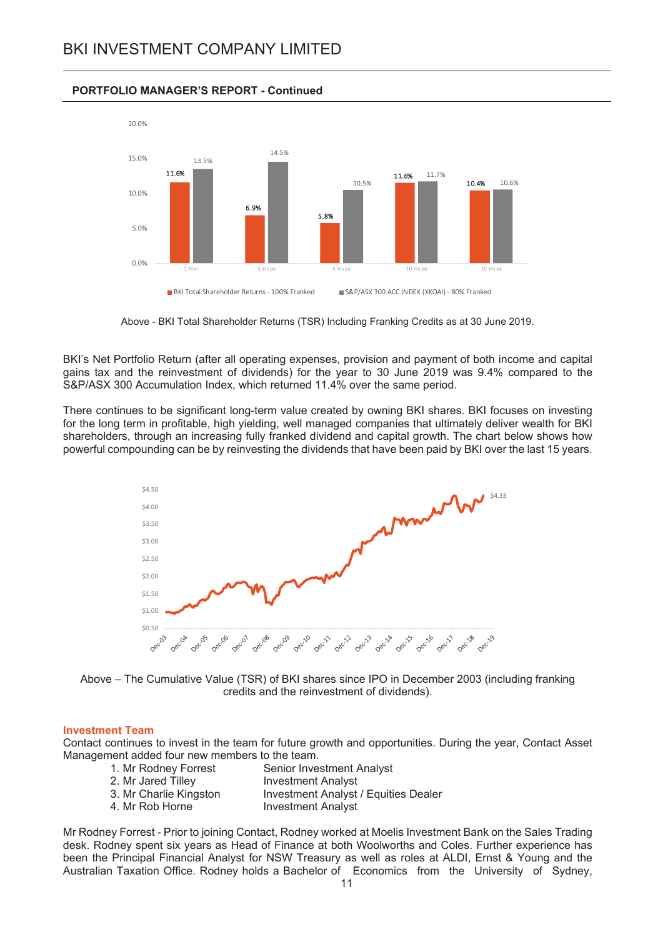#### **PORTFOLIO MANAGER'S REPORT - Continued**



Above - BKI Total Shareholder Returns (TSR) Including Franking Credits as at 30 June 2019.

BKI's Net Portfolio Return (after all operating expenses, provision and payment of both income and capital gains tax and the reinvestment of dividends) for the year to 30 June 2019 was 9.4% compared to the S&P/ASX 300 Accumulation Index, which returned 11.4% over the same period.

There continues to be significant long-term value created by owning BKI shares. BKI focuses on investing for the long term in profitable, high yielding, well managed companies that ultimately deliver wealth for BKI shareholders, through an increasing fully franked dividend and capital growth. The chart below shows how powerful compounding can be by reinvesting the dividends that have been paid by BKI over the last 15 years.



Above - The Cumulative Value (TSR) of BKI shares since IPO in December 2003 (including franking credits and the reinvestment of dividends).

#### **Investment Team**

Contact continues to invest in the team for future growth and opportunities. During the year, Contact Asset Management added four new members to the team.

- 1. Mr Rodney Forrest Senior Investment Analyst
- 2. Mr Jared Tillev **Investment Analyst**
- 3. Mr Charlie Kingston **Investment Analyst / Equities Dealer**
- 4. Mr Rob Horne **Investment Analyst**
- Mr Rodney Forrest Prior to joining Contact, Rodney worked at Moelis Investment Bank on the Sales Trading desk. Rodney spent six years as Head of Finance at both Woolworths and Coles. Further experience has been the Principal Financial Analyst for NSW Treasury as well as roles at ALDI, Ernst & Young and the Australian Taxation Office. Rodney holds a Bachelor of Economics from the University of Sydney,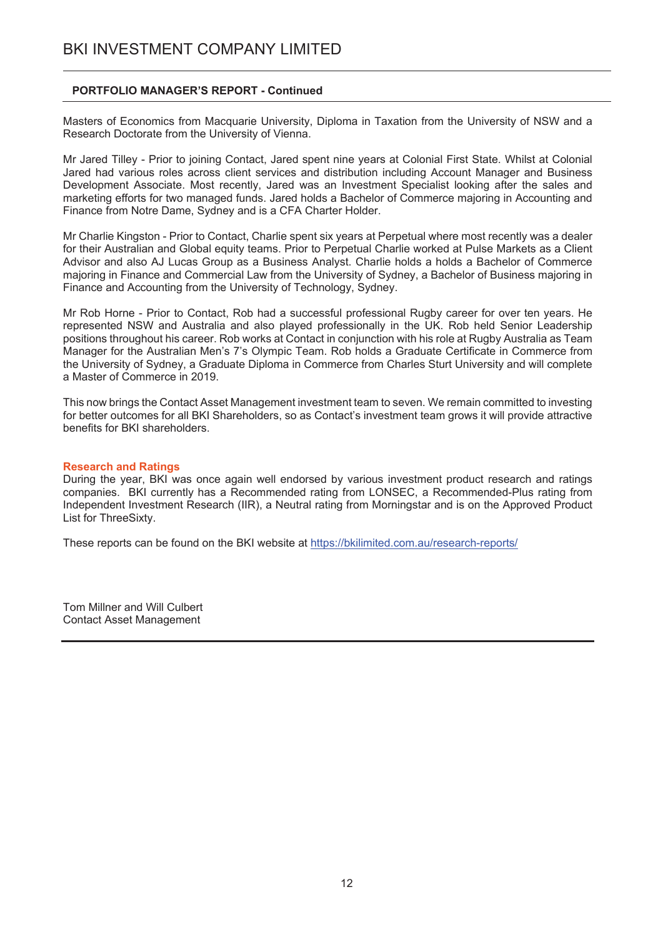## **PORTFOLIO MANAGER'S REPORT - Continued**

Masters of Economics from Macquarie University, Diploma in Taxation from the University of NSW and a Research Doctorate from the University of Vienna.

Mr Jared Tilley - Prior to ioining Contact, Jared spent nine years at Colonial First State, Whilst at Colonial Jared had various roles across client services and distribution including Account Manager and Business Development Associate. Most recently, Jared was an Investment Specialist looking after the sales and marketing efforts for two managed funds. Jared holds a Bachelor of Commerce majoring in Accounting and Finance from Notre Dame, Sydney and is a CFA Charter Holder.

Mr Charlie Kingston - Prior to Contact, Charlie spent six years at Perpetual where most recently was a dealer for their Australian and Global equity teams. Prior to Perpetual Charlie worked at Pulse Markets as a Client Advisor and also AJ Lucas Group as a Business Analyst. Charlie holds a holds a Bachelor of Commerce majoring in Finance and Commercial Law from the University of Sydney, a Bachelor of Business majoring in Finance and Accounting from the University of Technology, Sydney.

Mr Rob Horne - Prior to Contact, Rob had a successful professional Rugby career for over ten years. He represented NSW and Australia and also played professionally in the UK. Rob held Senior Leadership positions throughout his career. Rob works at Contact in conjunction with his role at Rugby Australia as Team Manager for the Australian Men's 7's Olympic Team. Rob holds a Graduate Certificate in Commerce from the University of Sydney, a Graduate Diploma in Commerce from Charles Sturt University and will complete a Master of Commerce in 2019.

This now brings the Contact Asset Management investment team to seven. We remain committed to investing for better outcomes for all BKI Shareholders, so as Contact's investment team grows it will provide attractive benefits for BKI shareholders.

#### **Research and Ratings**

During the year, BKI was once again well endorsed by various investment product research and ratings companies. BKI currently has a Recommended rating from LONSEC, a Recommended-Plus rating from Independent Investment Research (IIR), a Neutral rating from Morningstar and is on the Approved Product List for ThreeSixty.

These reports can be found on the BKI website at https://bkilimited.com.au/research-reports/

Tom Millner and Will Culbert **Contact Asset Management**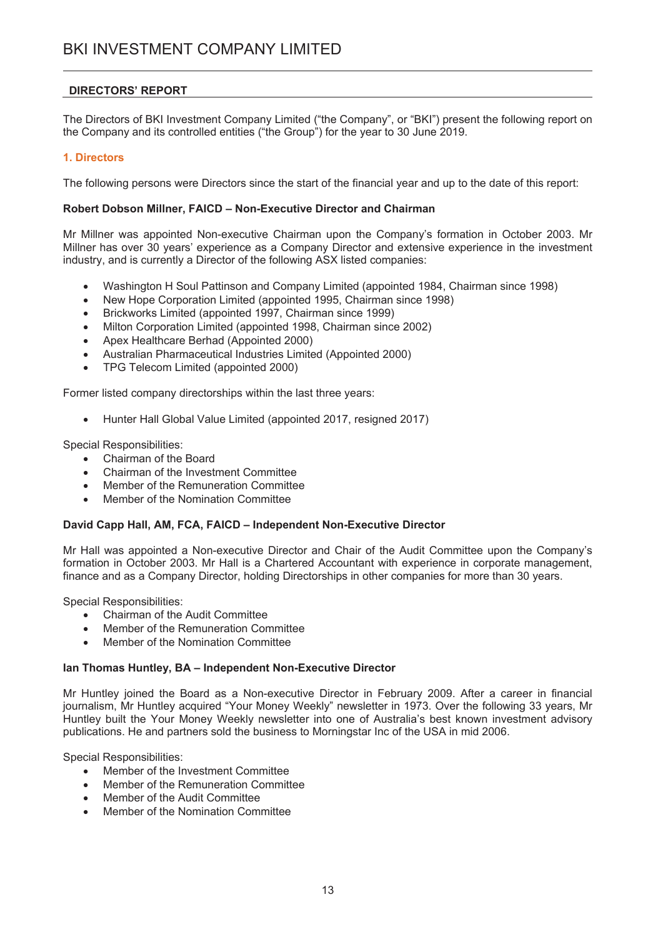## **DIRECTORS' REPORT**

The Directors of BKI Investment Company Limited ("the Company", or "BKI") present the following report on the Company and its controlled entities ("the Group") for the year to 30 June 2019.

## 1. Directors

The following persons were Directors since the start of the financial year and up to the date of this report:

## Robert Dobson Millner, FAICD - Non-Executive Director and Chairman

Mr Millner was appointed Non-executive Chairman upon the Company's formation in October 2003. Mr Millner has over 30 years' experience as a Company Director and extensive experience in the investment industry, and is currently a Director of the following ASX listed companies:

- Washington H Soul Pattinson and Company Limited (appointed 1984, Chairman since 1998)  $\bullet$
- New Hope Corporation Limited (appointed 1995, Chairman since 1998)
- Brickworks Limited (appointed 1997, Chairman since 1999)  $\bullet$
- Milton Corporation Limited (appointed 1998, Chairman since 2002)  $\bullet$
- Apex Healthcare Berhad (Appointed 2000)  $\bullet$
- Australian Pharmaceutical Industries Limited (Appointed 2000)  $\bullet$
- TPG Telecom Limited (appointed 2000)

Former listed company directorships within the last three years:

• Hunter Hall Global Value Limited (appointed 2017, resigned 2017)

**Special Responsibilities:** 

- Chairman of the Board
- Chairman of the Investment Committee
- Member of the Remuneration Committee  $\bullet$
- Member of the Nomination Committee

#### David Capp Hall, AM, FCA, FAICD - Independent Non-Executive Director

Mr Hall was appointed a Non-executive Director and Chair of the Audit Committee upon the Company's formation in October 2003. Mr Hall is a Chartered Accountant with experience in corporate management, finance and as a Company Director, holding Directorships in other companies for more than 30 years.

**Special Responsibilities:** 

- Chairman of the Audit Committee
- Member of the Remuneration Committee  $\bullet$
- Member of the Nomination Committee

#### Ian Thomas Huntley, BA - Independent Non-Executive Director

Mr Huntley joined the Board as a Non-executive Director in February 2009. After a career in financial journalism, Mr Huntley acquired "Your Money Weekly" newsletter in 1973. Over the following 33 years, Mr Huntley built the Your Money Weekly newsletter into one of Australia's best known investment advisory publications. He and partners sold the business to Morningstar Inc of the USA in mid 2006.

**Special Responsibilities:** 

- $\bullet$ Member of the Investment Committee
- Member of the Remuneration Committee
- Member of the Audit Committee
- Member of the Nomination Committee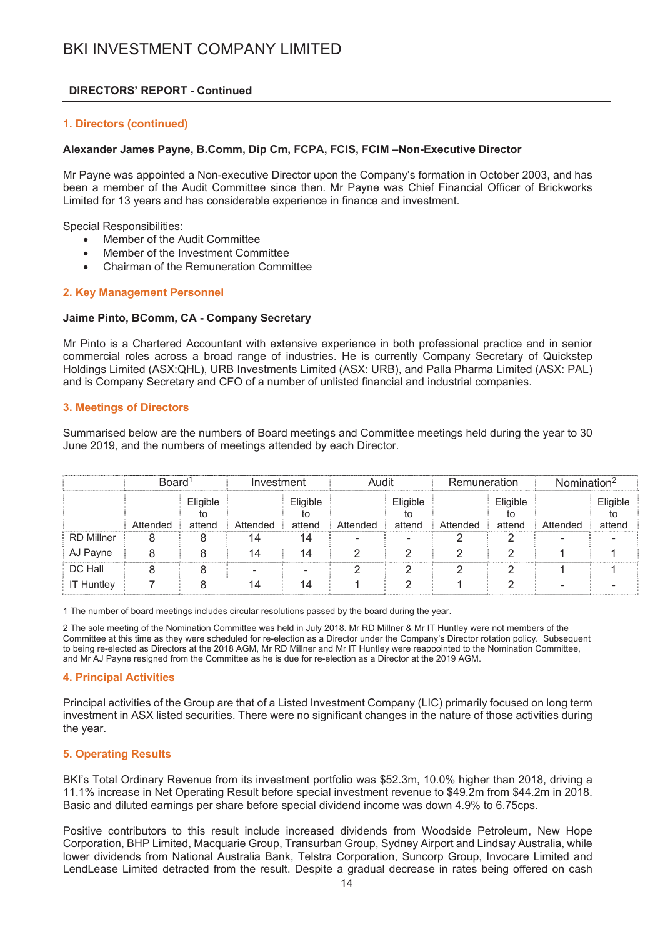### 1. Directors (continued)

#### Alexander James Payne, B.Comm, Dip Cm, FCPA, FCIS, FCIM -Non-Executive Director

Mr Payne was appointed a Non-executive Director upon the Company's formation in October 2003, and has been a member of the Audit Committee since then. Mr Payne was Chief Financial Officer of Brickworks Limited for 13 years and has considerable experience in finance and investment.

**Special Responsibilities:** 

- Member of the Audit Committee
- Member of the Investment Committee
- Chairman of the Remuneration Committee

#### 2. Key Management Personnel

#### Jaime Pinto, BComm, CA - Company Secretary

Mr Pinto is a Chartered Accountant with extensive experience in both professional practice and in senior commercial roles across a broad range of industries. He is currently Company Secretary of Quickstep Holdings Limited (ASX: QHL), URB Investments Limited (ASX: URB), and Palla Pharma Limited (ASX: PAL) and is Company Secretary and CFO of a number of unlisted financial and industrial companies.

#### **3. Meetings of Directors**

Summarised below are the numbers of Board meetings and Committee meetings held during the year to 30 June 2019, and the numbers of meetings attended by each Director.

|                   | Board <sup>1</sup> |                    | Audit<br>Investment |                          |          | Remuneration       |          | Nomination <sup>2</sup> |          |                    |
|-------------------|--------------------|--------------------|---------------------|--------------------------|----------|--------------------|----------|-------------------------|----------|--------------------|
|                   | Attended           | Eligible<br>attend | Attended            | Eligible<br>to<br>attend | Attended | Eligible<br>attend | Attended | Eligible<br>attend      | Attended | Eligible<br>attend |
| RD Millner        |                    |                    | 14                  | 14                       |          |                    |          |                         |          |                    |
| AJ Payne          |                    |                    | 14                  | 14                       |          |                    |          |                         |          |                    |
| DC Hall           |                    |                    |                     |                          |          |                    |          |                         |          |                    |
| <b>IT Huntley</b> |                    |                    | 14                  | 14                       |          |                    |          |                         |          |                    |

1 The number of board meetings includes circular resolutions passed by the board during the year.

2 The sole meeting of the Nomination Committee was held in July 2018. Mr RD Millner & Mr IT Huntley were not members of the Committee at this time as they were scheduled for re-election as a Director under the Company's Director rotation policy. Subsequent to being re-elected as Directors at the 2018 AGM, Mr RD Millner and Mr IT Huntley were reappointed to the Nomination Committee, and Mr AJ Payne resigned from the Committee as he is due for re-election as a Director at the 2019 AGM.

#### **4. Principal Activities**

Principal activities of the Group are that of a Listed Investment Company (LIC) primarily focused on long term investment in ASX listed securities. There were no significant changes in the nature of those activities during the year.

#### **5. Operating Results**

BKI's Total Ordinary Revenue from its investment portfolio was \$52.3m, 10.0% higher than 2018, driving a 11.1% increase in Net Operating Result before special investment revenue to \$49.2m from \$44.2m in 2018. Basic and diluted earnings per share before special dividend income was down 4.9% to 6.75cps.

Positive contributors to this result include increased dividends from Woodside Petroleum. New Hope Corporation, BHP Limited, Macquarie Group, Transurban Group, Sydney Airport and Lindsay Australia, while lower dividends from National Australia Bank, Telstra Corporation, Suncorp Group, Invocare Limited and LendLease Limited detracted from the result. Despite a gradual decrease in rates being offered on cash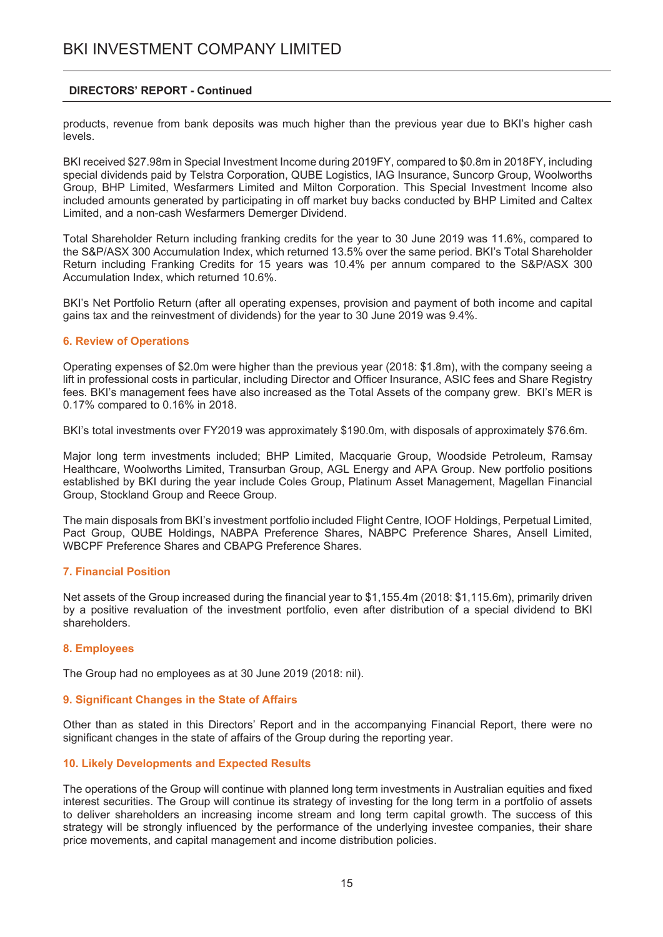products, revenue from bank deposits was much higher than the previous year due to BKI's higher cash levels.

BKI received \$27.98m in Special Investment Income during 2019FY, compared to \$0.8m in 2018FY, including special dividends paid by Telstra Corporation, QUBE Logistics, IAG Insurance, Suncorp Group, Woolworths Group, BHP Limited, Wesfarmers Limited and Milton Corporation. This Special Investment Income also included amounts generated by participating in off market buy backs conducted by BHP Limited and Caltex Limited, and a non-cash Wesfarmers Demerger Dividend.

Total Shareholder Return including franking credits for the year to 30 June 2019 was 11.6%, compared to the S&P/ASX 300 Accumulation Index, which returned 13.5% over the same period. BKI's Total Shareholder Return including Franking Credits for 15 years was 10.4% per annum compared to the S&P/ASX 300 Accumulation Index, which returned 10.6%.

BKI's Net Portfolio Return (after all operating expenses, provision and payment of both income and capital gains tax and the reinvestment of dividends) for the year to 30 June 2019 was 9.4%.

#### **6. Review of Operations**

Operating expenses of \$2.0m were higher than the previous year (2018: \$1.8m), with the company seeing a lift in professional costs in particular, including Director and Officer Insurance, ASIC fees and Share Registry fees. BKI's management fees have also increased as the Total Assets of the company grew. BKI's MER is 0.17% compared to 0.16% in 2018.

BKI's total investments over FY2019 was approximately \$190.0m, with disposals of approximately \$76.6m.

Major long term investments included; BHP Limited, Macquarie Group, Woodside Petroleum, Ramsay Healthcare, Woolworths Limited, Transurban Group, AGL Energy and APA Group. New portfolio positions established by BKI during the year include Coles Group, Platinum Asset Management, Magellan Financial Group, Stockland Group and Reece Group.

The main disposals from BKI's investment portfolio included Flight Centre, IOOF Holdings, Perpetual Limited, Pact Group, QUBE Holdings, NABPA Preference Shares, NABPC Preference Shares, Ansell Limited, WBCPF Preference Shares and CBAPG Preference Shares.

#### **7. Financial Position**

Net assets of the Group increased during the financial year to \$1,155.4m (2018: \$1,115.6m), primarily driven by a positive revaluation of the investment portfolio, even after distribution of a special dividend to BKI shareholders

#### 8. Employees

The Group had no employees as at 30 June 2019 (2018: nil).

#### 9. Significant Changes in the State of Affairs

Other than as stated in this Directors' Report and in the accompanying Financial Report, there were no significant changes in the state of affairs of the Group during the reporting year.

#### 10. Likely Developments and Expected Results

The operations of the Group will continue with planned long term investments in Australian equities and fixed interest securities. The Group will continue its strategy of investing for the long term in a portfolio of assets to deliver shareholders an increasing income stream and long term capital growth. The success of this strategy will be strongly influenced by the performance of the underlying investee companies, their share price movements, and capital management and income distribution policies.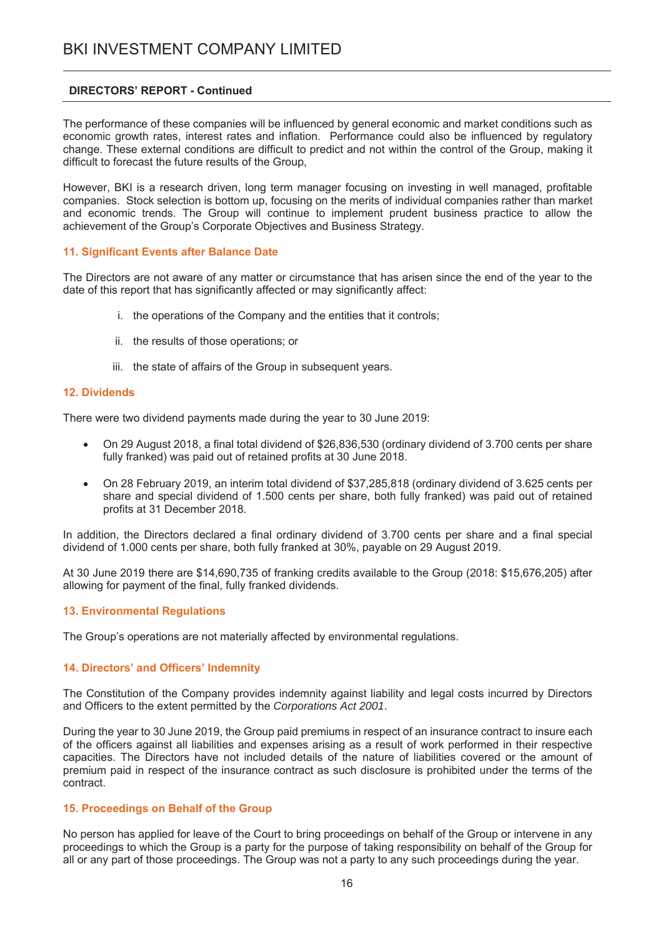The performance of these companies will be influenced by general economic and market conditions such as economic growth rates, interest rates and inflation. Performance could also be influenced by regulatory change. These external conditions are difficult to predict and not within the control of the Group, making it difficult to forecast the future results of the Group.

However, BKI is a research driven, long term manager focusing on investing in well managed, profitable companies. Stock selection is bottom up, focusing on the merits of individual companies rather than market and economic trends. The Group will continue to implement prudent business practice to allow the achievement of the Group's Corporate Objectives and Business Strategy.

#### 11. Significant Events after Balance Date

The Directors are not aware of any matter or circumstance that has arisen since the end of the year to the date of this report that has significantly affected or may significantly affect:

- i. the operations of the Company and the entities that it controls;
- ii. the results of those operations; or
- iii. the state of affairs of the Group in subsequent vears.

#### **12. Dividends**

There were two dividend payments made during the year to 30 June 2019:

- On 29 August 2018, a final total dividend of \$26,836,530 (ordinary dividend of 3.700 cents per share  $\bullet$ fully franked) was paid out of retained profits at 30 June 2018.
- $\bullet$ On 28 February 2019, an interim total dividend of \$37,285,818 (ordinary dividend of 3.625 cents per share and special dividend of 1.500 cents per share, both fully franked) was paid out of retained profits at 31 December 2018.

In addition, the Directors declared a final ordinary dividend of 3.700 cents per share and a final special dividend of 1.000 cents per share, both fully franked at 30%, payable on 29 August 2019.

At 30 June 2019 there are \$14,690,735 of franking credits available to the Group (2018: \$15,676,205) after allowing for payment of the final, fully franked dividends.

#### **13. Environmental Requlations**

The Group's operations are not materially affected by environmental regulations.

## 14. Directors' and Officers' Indemnity

The Constitution of the Company provides indemnity against liability and legal costs incurred by Directors and Officers to the extent permitted by the Corporations Act 2001.

During the year to 30 June 2019, the Group paid premiums in respect of an insurance contract to insure each of the officers against all liabilities and expenses arising as a result of work performed in their respective capacities. The Directors have not included details of the nature of liabilities covered or the amount of premium paid in respect of the insurance contract as such disclosure is prohibited under the terms of the contract.

#### 15. Proceedings on Behalf of the Group

No person has applied for leave of the Court to bring proceedings on behalf of the Group or intervene in any proceedings to which the Group is a party for the purpose of taking responsibility on behalf of the Group for all or any part of those proceedings. The Group was not a party to any such proceedings during the year.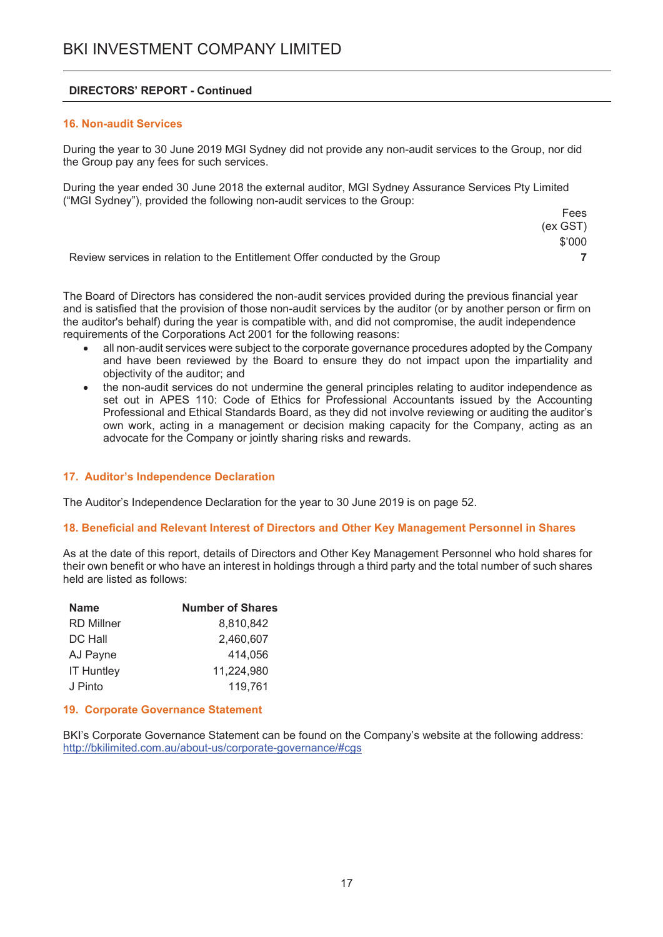### **16. Non-audit Services**

During the year to 30 June 2019 MGI Sydney did not provide any non-audit services to the Group, nor did the Group pay any fees for such services.

During the year ended 30 June 2018 the external auditor, MGI Sydney Assurance Services Pty Limited ("MGI Sydney"), provided the following non-audit services to the Group:

|                                                                             | Fees     |
|-----------------------------------------------------------------------------|----------|
|                                                                             | (ex GST) |
|                                                                             | \$'000   |
| Review services in relation to the Entitlement Offer conducted by the Group |          |

The Board of Directors has considered the non-audit services provided during the previous financial year and is satisfied that the provision of those non-audit services by the auditor (or by another person or firm on the auditor's behalf) during the year is compatible with, and did not compromise, the audit independence requirements of the Corporations Act 2001 for the following reasons:

- all non-audit services were subject to the corporate governance procedures adopted by the Company and have been reviewed by the Board to ensure they do not impact upon the impartiality and objectivity of the auditor: and
- the non-audit services do not undermine the general principles relating to auditor independence as set out in APES 110: Code of Ethics for Professional Accountants issued by the Accounting Professional and Ethical Standards Board, as they did not involve reviewing or auditing the auditor's own work, acting in a management or decision making capacity for the Company, acting as an advocate for the Company or jointly sharing risks and rewards.

## 17. Auditor's Independence Declaration

The Auditor's Independence Declaration for the year to 30 June 2019 is on page 52.

#### 18. Beneficial and Relevant Interest of Directors and Other Key Management Personnel in Shares

As at the date of this report, details of Directors and Other Key Management Personnel who hold shares for their own benefit or who have an interest in holdings through a third party and the total number of such shares held are listed as follows:

| <b>Name</b>       | <b>Number of Shares</b> |
|-------------------|-------------------------|
| <b>RD Millner</b> | 8,810,842               |
| DC Hall           | 2,460,607               |
| AJ Payne          | 414,056                 |
| <b>IT Huntley</b> | 11,224,980              |
| J Pinto           | 119,761                 |

#### 19. Corporate Governance Statement

BKI's Corporate Governance Statement can be found on the Company's website at the following address: http://bkilimited.com.au/about-us/corporate-governance/#cgs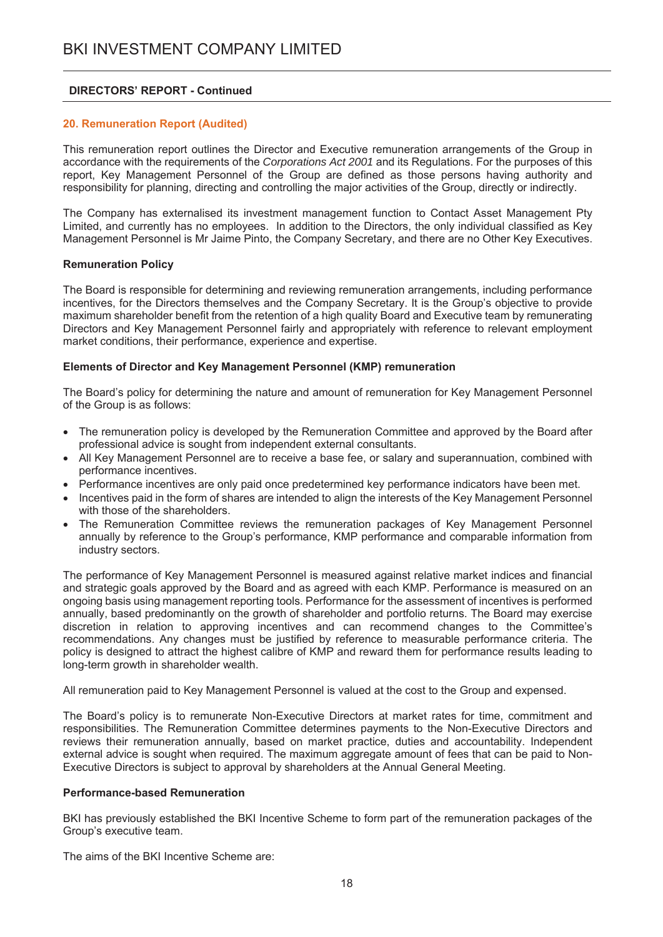#### 20. Remuneration Report (Audited)

This remuneration report outlines the Director and Executive remuneration arrangements of the Group in accordance with the requirements of the Corporations Act 2001 and its Requlations. For the purposes of this report. Key Management Personnel of the Group are defined as those persons having authority and responsibility for planning, directing and controlling the major activities of the Group, directly or indirectly.

The Company has externalised its investment management function to Contact Asset Management Pty Limited, and currently has no employees. In addition to the Directors, the only individual classified as Key Management Personnel is Mr Jaime Pinto, the Company Secretary, and there are no Other Key Executives.

#### **Remuneration Policy**

The Board is responsible for determining and reviewing remuneration arrangements, including performance incentives, for the Directors themselves and the Company Secretary. It is the Group's objective to provide maximum shareholder benefit from the retention of a high quality Board and Executive team by remunerating Directors and Key Management Personnel fairly and appropriately with reference to relevant employment market conditions, their performance, experience and expertise.

#### Elements of Director and Key Management Personnel (KMP) remuneration

The Board's policy for determining the nature and amount of remuneration for Key Management Personnel of the Group is as follows:

- The remuneration policy is developed by the Remuneration Committee and approved by the Board after professional advice is sought from independent external consultants.
- All Kev Management Personnel are to receive a base fee, or salary and superannuation, combined with performance incentives.
- Performance incentives are only paid once predetermined key performance indicators have been met.
- Incentives paid in the form of shares are intended to align the interests of the Key Management Personnel with those of the shareholders.
- The Remuneration Committee reviews the remuneration packages of Key Management Personnel annually by reference to the Group's performance, KMP performance and comparable information from industry sectors.

The performance of Key Management Personnel is measured against relative market indices and financial and strategic goals approved by the Board and as agreed with each KMP. Performance is measured on an ongoing basis using management reporting tools. Performance for the assessment of incentives is performed annually, based predominantly on the growth of shareholder and portfolio returns. The Board may exercise discretion in relation to approving incentives and can recommend changes to the Committee's recommendations. Any changes must be justified by reference to measurable performance criteria. The policy is designed to attract the highest calibre of KMP and reward them for performance results leading to long-term growth in shareholder wealth.

All remuneration paid to Key Management Personnel is valued at the cost to the Group and expensed.

The Board's policy is to remunerate Non-Executive Directors at market rates for time, commitment and responsibilities. The Remuneration Committee determines payments to the Non-Executive Directors and reviews their remuneration annually, based on market practice, duties and accountability. Independent external advice is sought when required. The maximum aggregate amount of fees that can be paid to Non-Executive Directors is subject to approval by shareholders at the Annual General Meeting.

#### **Performance-based Remuneration**

BKI has previously established the BKI Incentive Scheme to form part of the remuneration packages of the Group's executive team.

The aims of the BKI Incentive Scheme are: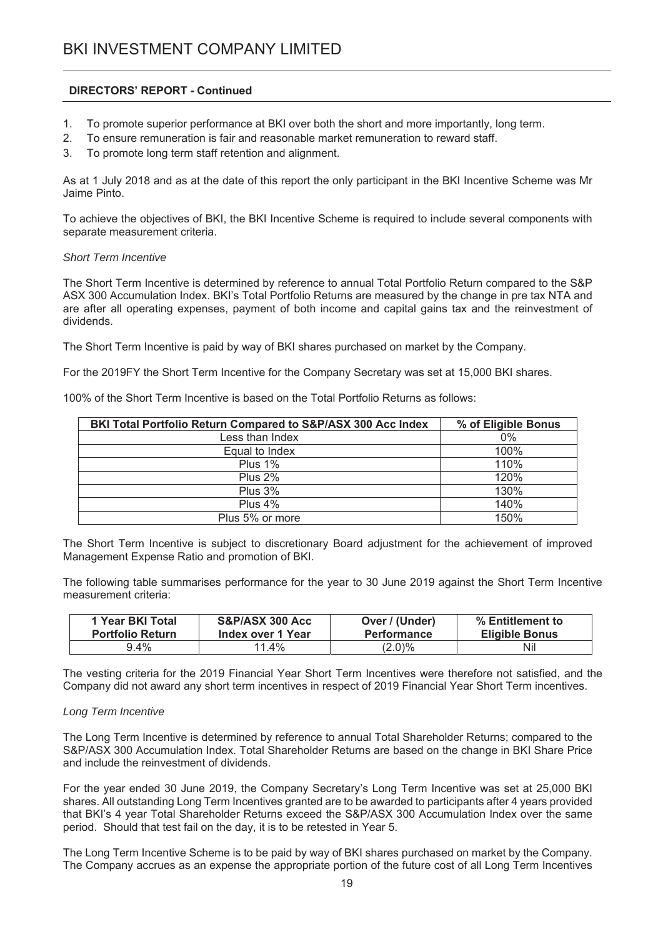- To promote superior performance at BKI over both the short and more importantly, long term.  $1<sub>1</sub>$
- $2.$ To ensure remuneration is fair and reasonable market remuneration to reward staff.
- $3<sub>1</sub>$ To promote long term staff retention and alignment.

As at 1 July 2018 and as at the date of this report the only participant in the BKI Incentive Scheme was Mr Jaime Pinto.

To achieve the objectives of BKI, the BKI Incentive Scheme is required to include several components with separate measurement criteria.

#### **Short Term Incentive**

The Short Term Incentive is determined by reference to annual Total Portfolio Return compared to the S&P ASX 300 Accumulation Index. BKI's Total Portfolio Returns are measured by the change in pre tax NTA and are after all operating expenses, payment of both income and capital gains tax and the reinvestment of dividends.

The Short Term Incentive is paid by way of BKI shares purchased on market by the Company.

For the 2019FY the Short Term Incentive for the Company Secretary was set at 15,000 BKI shares.

100% of the Short Term Incentive is based on the Total Portfolio Returns as follows:

| BKI Total Portfolio Return Compared to S&P/ASX 300 Acc Index | % of Eligible Bonus |
|--------------------------------------------------------------|---------------------|
| Less than Index                                              | 0%                  |
| Equal to Index                                               | 100%                |
| Plus 1%                                                      | 110%                |
| Plus 2%                                                      | 120%                |
| Plus 3%                                                      | 130%                |
| Plus $4\%$                                                   | 140%                |
| Plus 5% or more                                              | 150%                |

The Short Term Incentive is subject to discretionary Board adjustment for the achievement of improved Management Expense Ratio and promotion of BKI.

The following table summarises performance for the year to 30 June 2019 against the Short Term Incentive measurement criteria:

| 1 Year BKI Total        | S&P/ASX 300 Acc   | Over / (Under)     | % Entitlement to      |
|-------------------------|-------------------|--------------------|-----------------------|
| <b>Portfolio Return</b> | Index over 1 Year | <b>Performance</b> | <b>Eligible Bonus</b> |
| 9.4%                    | $11.4\%$          | $(2.0)\%$          | Nil                   |

The vesting criteria for the 2019 Financial Year Short Term Incentives were therefore not satisfied, and the Company did not award any short term incentives in respect of 2019 Financial Year Short Term incentives.

#### Long Term Incentive

The Long Term Incentive is determined by reference to annual Total Shareholder Returns: compared to the S&P/ASX 300 Accumulation Index. Total Shareholder Returns are based on the change in BKI Share Price and include the reinvestment of dividends.

For the year ended 30 June 2019, the Company Secretary's Long Term Incentive was set at 25,000 BKI shares. All outstanding Long Term Incentives granted are to be awarded to participants after 4 years provided that BKI's 4 year Total Shareholder Returns exceed the S&P/ASX 300 Accumulation Index over the same period. Should that test fail on the day, it is to be retested in Year 5.

The Long Term Incentive Scheme is to be paid by way of BKI shares purchased on market by the Company. The Company accrues as an expense the appropriate portion of the future cost of all Long Term Incentives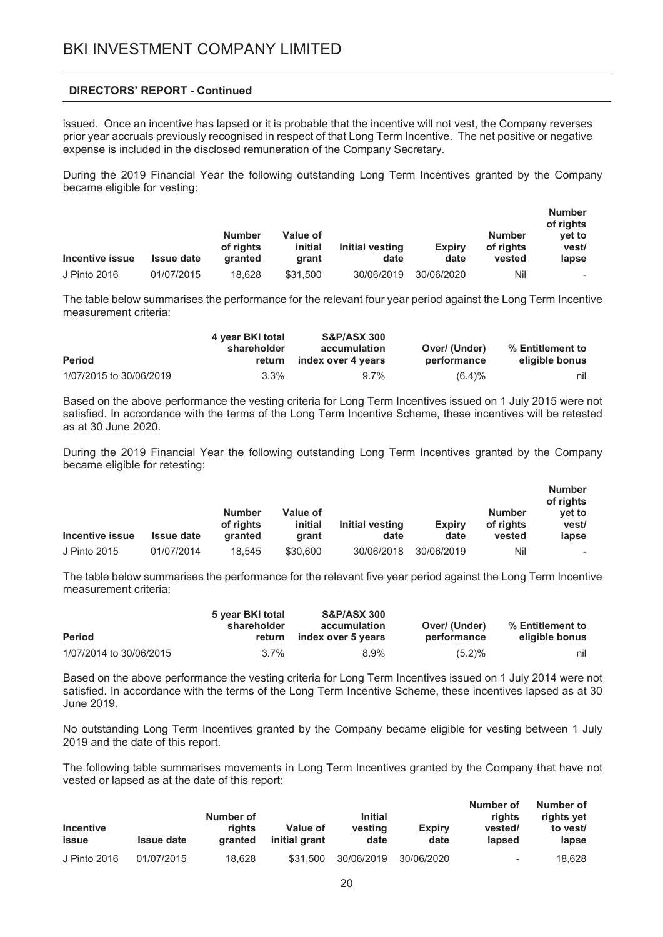issued. Once an incentive has lapsed or it is probable that the incentive will not vest, the Company reverses prior year accruals previously recognised in respect of that Long Term Incentive. The net positive or negative expense is included in the disclosed remuneration of the Company Secretary.

During the 2019 Financial Year the following outstanding Long Term Incentives granted by the Company became eligible for vesting:

| Incentive issue | <b>Issue date</b> | <b>Number</b><br>of rights<br><b>granted</b> | <b>Value of</b><br>initial<br>arant | Initial vesting<br>date | <b>Expirv</b><br>date | <b>Number</b><br>of rights<br>vested | <b>Number</b><br>of rights<br>vet to<br>vest/<br>lapse |
|-----------------|-------------------|----------------------------------------------|-------------------------------------|-------------------------|-----------------------|--------------------------------------|--------------------------------------------------------|
| J Pinto 2016    | 01/07/2015        | 18.628                                       | \$31.500                            | 30/06/2019              | 30/06/2020            | Nil                                  | $\overline{\phantom{0}}$                               |

The table below summarises the performance for the relevant four year period against the Long Term Incentive measurement criteria:

|                         | 4 year BKI total      | <b>S&amp;P/ASX 300</b>             |                              |                                    |
|-------------------------|-----------------------|------------------------------------|------------------------------|------------------------------------|
| <b>Period</b>           | shareholder<br>return | accumulation<br>index over 4 years | Over/ (Under)<br>performance | % Entitlement to<br>eligible bonus |
| 1/07/2015 to 30/06/2019 | $3.3\%$               | $9.7\%$                            | (6.4)%                       | nil                                |

Based on the above performance the vesting criteria for Long Term Incentives issued on 1 July 2015 were not satisfied. In accordance with the terms of the Long Term Incentive Scheme, these incentives will be retested as at 30 June 2020.

During the 2019 Financial Year the following outstanding Long Term Incentives granted by the Company became eligible for retesting:

| Incentive issue | <b>Issue date</b> | <b>Number</b><br>of rights<br><b>granted</b> | Value of<br>initial<br>arant | Initial vesting<br>date | <b>Expiry</b><br>date | <b>Number</b><br>of rights<br>vested | <b>Number</b><br>of rights<br>vet to<br>vest/<br>lapse |
|-----------------|-------------------|----------------------------------------------|------------------------------|-------------------------|-----------------------|--------------------------------------|--------------------------------------------------------|
| J Pinto 2015    | 01/07/2014        | 18.545                                       | \$30,600                     | 30/06/2018              | 30/06/2019            | Nil                                  |                                                        |

The table below summarises the performance for the relevant five year period against the Long Term Incentive measurement criteria:

| <b>Period</b>           | 5 year BKI total<br>shareholder<br>return | <b>S&amp;P/ASX 300</b><br>accumulation<br>index over 5 years | Over/ (Under)<br>performance | % Entitlement to<br>eligible bonus |
|-------------------------|-------------------------------------------|--------------------------------------------------------------|------------------------------|------------------------------------|
| 1/07/2014 to 30/06/2015 | $3.7\%$                                   | 8.9%                                                         | $(5.2)\%$                    | nil                                |

Based on the above performance the vesting criteria for Long Term Incentives issued on 1 July 2014 were not satisfied. In accordance with the terms of the Long Term Incentive Scheme, these incentives lapsed as at 30 June 2019.

No outstanding Long Term Incentives granted by the Company became eligible for vesting between 1 July 2019 and the date of this report.

The following table summarises movements in Long Term Incentives granted by the Company that have not vested or lapsed as at the date of this report:

| <b>Incentive</b><br>issue | <b>Issue date</b> | Number of<br>riahts<br>granted | Value of<br>initial grant | <b>Initial</b><br>vesting<br>date | <b>Expiry</b><br>date | Number of<br>riahts<br>vested/<br>lapsed | Number of<br>rights yet<br>to vest/<br>lapse |
|---------------------------|-------------------|--------------------------------|---------------------------|-----------------------------------|-----------------------|------------------------------------------|----------------------------------------------|
| J Pinto 2016              | 01/07/2015        | 18.628                         | \$31.500                  | 30/06/2019                        | 30/06/2020            | $\overline{\phantom{a}}$                 | 18.628                                       |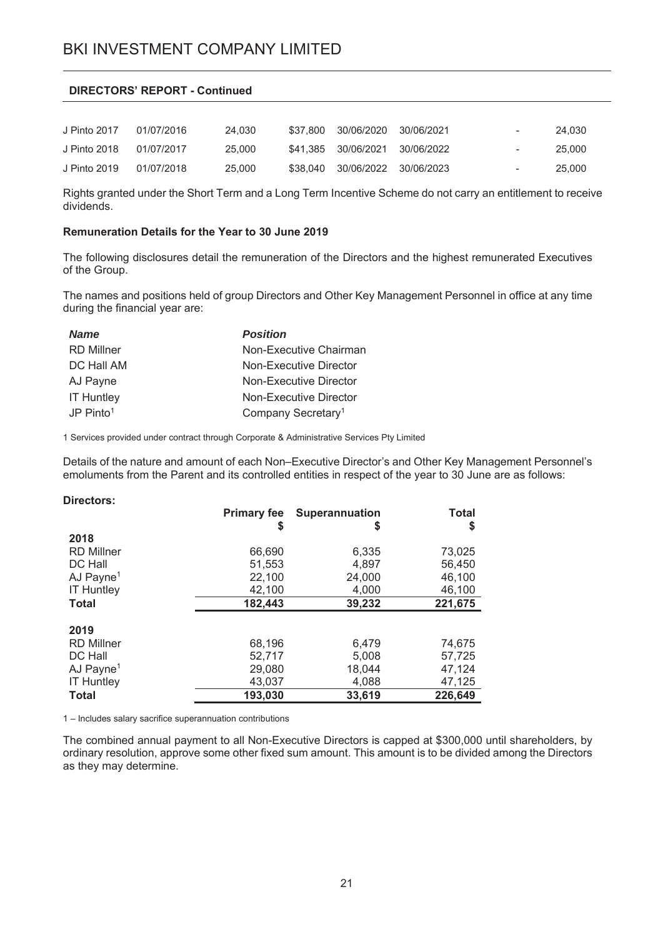| J Pinto 2017 | 01/07/2016 | 24.030 | \$37.800 30/06/2020            | 30/06/2021 | $\sim$     | 24.030 |
|--------------|------------|--------|--------------------------------|------------|------------|--------|
| J Pinto 2018 | 01/07/2017 | 25,000 | \$41,385 30/06/2021 30/06/2022 |            | $\sim$ $-$ | 25.000 |
| J Pinto 2019 | 01/07/2018 | 25,000 | \$38,040 30/06/2022 30/06/2023 |            | $\sim$     | 25,000 |

Rights granted under the Short Term and a Long Term Incentive Scheme do not carry an entitlement to receive dividends.

#### Remuneration Details for the Year to 30 June 2019

The following disclosures detail the remuneration of the Directors and the highest remunerated Executives of the Group.

The names and positions held of group Directors and Other Key Management Personnel in office at any time during the financial year are:

| <b>Name</b>           | <b>Position</b>                |
|-----------------------|--------------------------------|
| <b>RD</b> Millner     | Non-Executive Chairman         |
| DC Hall AM            | Non-Executive Director         |
| AJ Payne              | Non-Executive Director         |
| <b>IT Huntley</b>     | Non-Executive Director         |
| JP Pinto <sup>1</sup> | Company Secretary <sup>1</sup> |

1 Services provided under contract through Corporate & Administrative Services Pty Limited

Details of the nature and amount of each Non–Executive Director's and Other Key Management Personnel's emoluments from the Parent and its controlled entities in respect of the year to 30 June are as follows:

| Directors:            |                    |                       |         |
|-----------------------|--------------------|-----------------------|---------|
|                       | <b>Primary fee</b> | <b>Superannuation</b> | Total   |
|                       | S                  | \$                    | S       |
| 2018                  |                    |                       |         |
| <b>RD Millner</b>     | 66,690             | 6,335                 | 73,025  |
| DC Hall               | 51,553             | 4.897                 | 56.450  |
| AJ Payne <sup>1</sup> | 22,100             | 24,000                | 46,100  |
| <b>IT Huntley</b>     | 42,100             | 4,000                 | 46,100  |
| Total                 | 182,443            | 39,232                | 221,675 |
|                       |                    |                       |         |
| 2019                  |                    |                       |         |
| <b>RD Millner</b>     | 68,196             | 6,479                 | 74,675  |
| DC Hall               | 52,717             | 5.008                 | 57,725  |
| AJ Payne <sup>1</sup> | 29,080             | 18,044                | 47,124  |
| <b>IT Huntley</b>     | 43,037             | 4,088                 | 47,125  |
| Total                 | 193,030            | 33,619                | 226,649 |
|                       |                    |                       |         |

1 - Includes salary sacrifice superannuation contributions

The combined annual payment to all Non-Executive Directors is capped at \$300,000 until shareholders, by ordinary resolution, approve some other fixed sum amount. This amount is to be divided among the Directors as they may determine.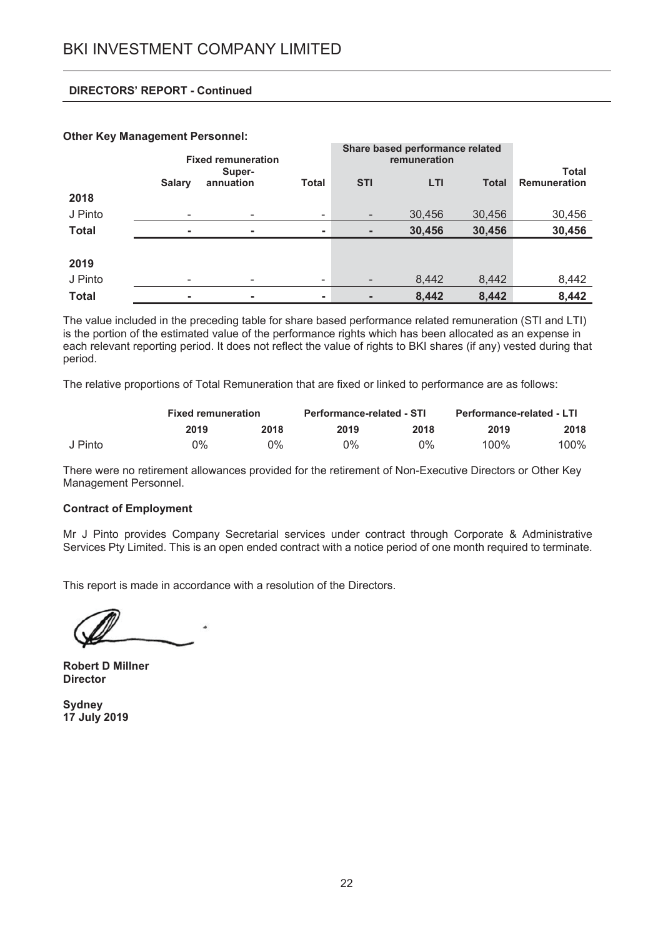#### **Other Key Management Personnel:**

|              | <b>Fixed remuneration</b> |                     |                          | Share based performance related |        |              |                                     |
|--------------|---------------------------|---------------------|--------------------------|---------------------------------|--------|--------------|-------------------------------------|
|              | <b>Salary</b>             | Super-<br>annuation | <b>Total</b>             | <b>STI</b>                      | LTI    | <b>Total</b> | <b>Total</b><br><b>Remuneration</b> |
| 2018         |                           |                     |                          |                                 |        |              |                                     |
| J Pinto      | $\overline{\phantom{0}}$  | -                   | $\overline{\phantom{a}}$ | $\overline{\phantom{a}}$        | 30,456 | 30,456       | 30,456                              |
| <b>Total</b> |                           | $\blacksquare$      | $\sim$                   |                                 | 30,456 | 30,456       | 30,456                              |
|              |                           |                     |                          |                                 |        |              |                                     |
| 2019         |                           |                     |                          |                                 |        |              |                                     |
| J Pinto      |                           |                     | $\overline{\phantom{a}}$ |                                 | 8,442  | 8,442        | 8,442                               |
| <b>Total</b> | ۰                         | $\blacksquare$      | ٠                        |                                 | 8,442  | 8,442        | 8,442                               |

The value included in the preceding table for share based performance related remuneration (STI and LTI) is the portion of the estimated value of the performance rights which has been allocated as an expense in each relevant reporting period. It does not reflect the value of rights to BKI shares (if any) vested during that period.

The relative proportions of Total Remuneration that are fixed or linked to performance are as follows:

|         |      | <b>Fixed remuneration</b> |       | <b>Performance-related - STI</b> |      | <b>Performance-related - LTI</b> |  |
|---------|------|---------------------------|-------|----------------------------------|------|----------------------------------|--|
|         | 2019 | 2018                      | 2019  | 2018                             | 2019 | 2018                             |  |
| J Pinto | 0%   | 0%                        | $0\%$ | 0%                               | 100% | 100%                             |  |

There were no retirement allowances provided for the retirement of Non-Executive Directors or Other Key Management Personnel.

#### **Contract of Employment**

Mr J Pinto provides Company Secretarial services under contract through Corporate & Administrative Services Pty Limited. This is an open ended contract with a notice period of one month required to terminate.

This report is made in accordance with a resolution of the Directors.

**Robert D Millner Director** 

**Sydney** 17 July 2019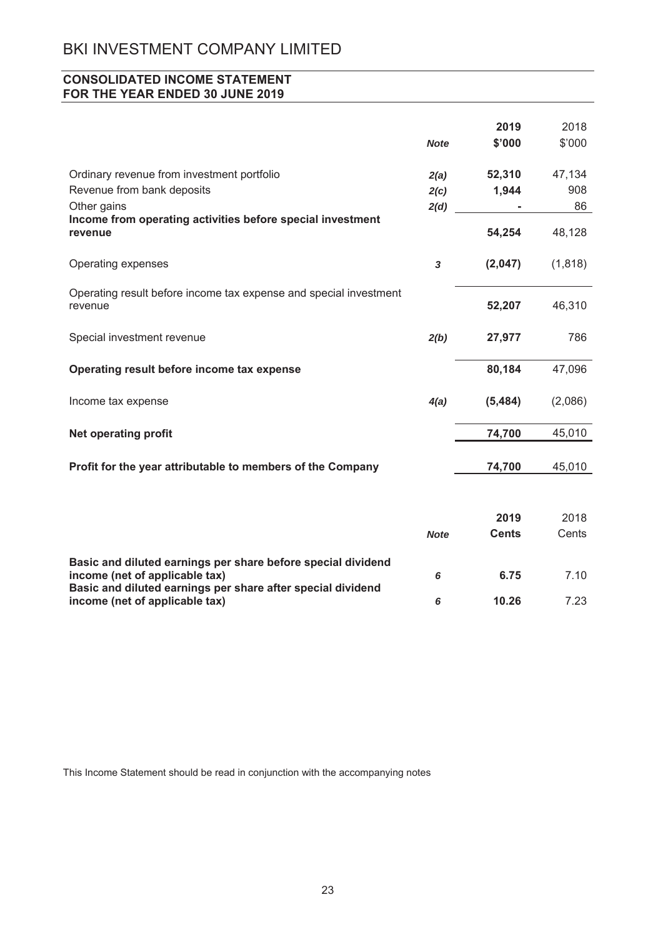# **CONSOLIDATED INCOME STATEMENT** FOR THE YEAR ENDED 30 JUNE 2019

|                                                                                         | <b>Note</b>          | 2019<br>\$'000  | 2018<br>\$'000      |
|-----------------------------------------------------------------------------------------|----------------------|-----------------|---------------------|
| Ordinary revenue from investment portfolio<br>Revenue from bank deposits<br>Other gains | 2(a)<br>2(c)<br>2(d) | 52,310<br>1,944 | 47,134<br>908<br>86 |
| Income from operating activities before special investment<br>revenue                   |                      | 54,254          | 48,128              |
| Operating expenses                                                                      | 3                    | (2,047)         | (1, 818)            |
| Operating result before income tax expense and special investment<br>revenue            |                      | 52,207          | 46,310              |
| Special investment revenue                                                              | 2(b)                 | 27,977          | 786                 |
| Operating result before income tax expense                                              |                      | 80,184          | 47,096              |
| Income tax expense                                                                      | 4(a)                 | (5, 484)        | (2,086)             |
| <b>Net operating profit</b>                                                             |                      | 74,700          | 45,010              |
| Profit for the year attributable to members of the Company                              |                      | 74,700          | 45,010              |
|                                                                                         |                      |                 |                     |
|                                                                                         |                      | 2019            | 2018                |

|                                                                                               | <b>Note</b> | <b>Cents</b> | Cents |
|-----------------------------------------------------------------------------------------------|-------------|--------------|-------|
| Basic and diluted earnings per share before special dividend                                  |             |              |       |
| income (net of applicable tax)                                                                |             | 6.75         | 7 10  |
| Basic and diluted earnings per share after special dividend<br>income (net of applicable tax) |             | 10.26        | 7 23  |

This Income Statement should be read in conjunction with the accompanying notes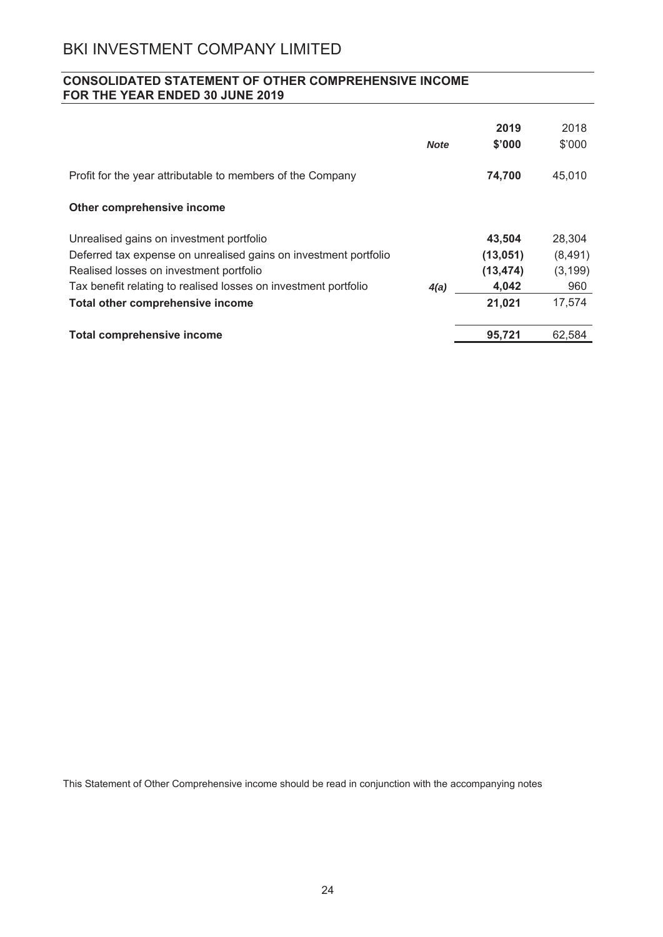# **CONSOLIDATED STATEMENT OF OTHER COMPREHENSIVE INCOME** FOR THE YEAR ENDED 30 JUNE 2019

|                                                                  | <b>Note</b> | 2019<br>\$'000 | 2018<br>\$'000 |
|------------------------------------------------------------------|-------------|----------------|----------------|
| Profit for the year attributable to members of the Company       |             | 74,700         | 45,010         |
| Other comprehensive income                                       |             |                |                |
| Unrealised gains on investment portfolio                         |             | 43,504         | 28,304         |
| Deferred tax expense on unrealised gains on investment portfolio |             | (13,051)       | (8, 491)       |
| Realised losses on investment portfolio                          |             | (13, 474)      | (3, 199)       |
| Tax benefit relating to realised losses on investment portfolio  | 4(a)        | 4,042          | 960            |
| Total other comprehensive income                                 |             | 21,021         | 17,574         |
| <b>Total comprehensive income</b>                                |             | 95,721         | 62,584         |

This Statement of Other Comprehensive income should be read in conjunction with the accompanying notes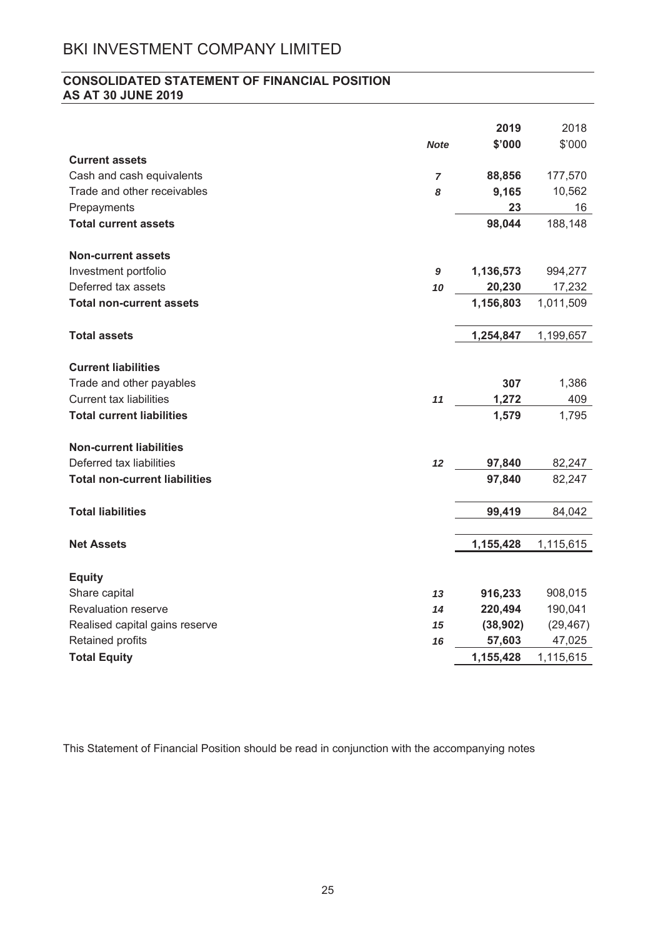# **CONSOLIDATED STATEMENT OF FINANCIAL POSITION AS AT 30 JUNE 2019**

|                                      |                | 2019      | 2018      |
|--------------------------------------|----------------|-----------|-----------|
|                                      | <b>Note</b>    | \$'000    | \$'000    |
| <b>Current assets</b>                |                |           |           |
| Cash and cash equivalents            | $\overline{7}$ | 88,856    | 177,570   |
| Trade and other receivables          | 8              | 9,165     | 10,562    |
| Prepayments                          |                | 23        | 16        |
| <b>Total current assets</b>          |                | 98,044    | 188,148   |
|                                      |                |           |           |
| <b>Non-current assets</b>            |                |           |           |
| Investment portfolio                 | 9              | 1,136,573 | 994,277   |
| Deferred tax assets                  | 10             | 20,230    | 17,232    |
| <b>Total non-current assets</b>      |                | 1,156,803 | 1,011,509 |
| <b>Total assets</b>                  |                | 1,254,847 | 1,199,657 |
|                                      |                |           |           |
| <b>Current liabilities</b>           |                |           |           |
| Trade and other payables             |                | 307       | 1,386     |
| <b>Current tax liabilities</b>       | 11             | 1,272     | 409       |
| <b>Total current liabilities</b>     |                | 1,579     | 1,795     |
| <b>Non-current liabilities</b>       |                |           |           |
| Deferred tax liabilities             | 12             | 97,840    | 82,247    |
| <b>Total non-current liabilities</b> |                | 97,840    | 82,247    |
|                                      |                |           |           |
| <b>Total liabilities</b>             |                | 99,419    | 84,042    |
|                                      |                |           |           |
| <b>Net Assets</b>                    |                | 1,155,428 | 1,115,615 |
|                                      |                |           |           |
| <b>Equity</b>                        |                |           |           |
| Share capital                        | 13             | 916,233   | 908,015   |
| <b>Revaluation reserve</b>           | 14             | 220,494   | 190,041   |
| Realised capital gains reserve       | 15             | (38, 902) | (29, 467) |
| Retained profits                     | 16             | 57,603    | 47,025    |
| <b>Total Equity</b>                  |                | 1,155,428 | 1,115,615 |

This Statement of Financial Position should be read in conjunction with the accompanying notes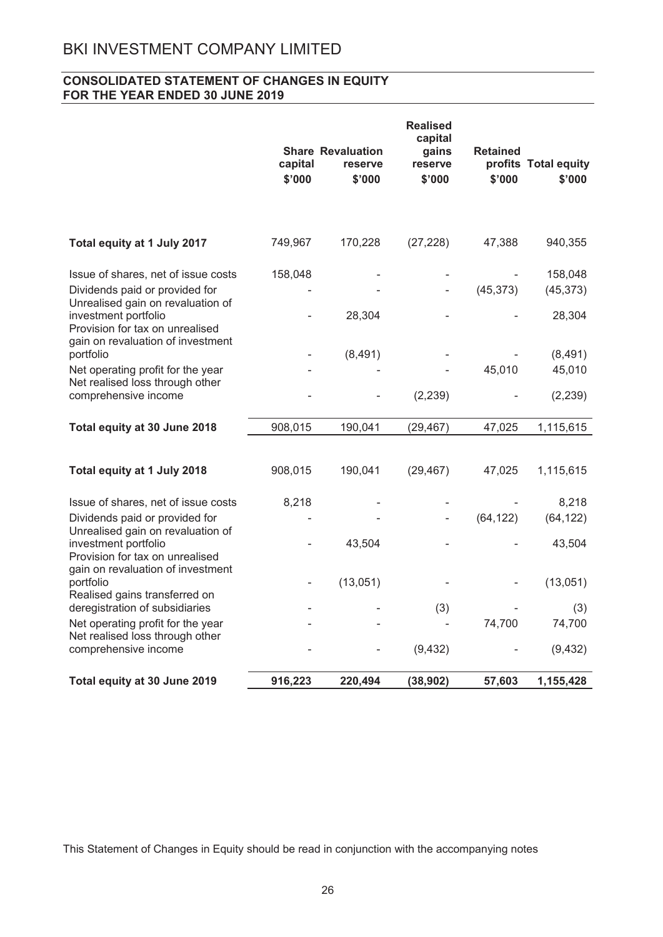# **CONSOLIDATED STATEMENT OF CHANGES IN EQUITY** FOR THE YEAR ENDED 30 JUNE 2019

|                                                                                                                                   | capital<br>\$'000 | <b>Share Revaluation</b><br>reserve<br>\$'000 | <b>Realised</b><br>capital<br>gains<br>reserve<br>\$'000 | <b>Retained</b><br>\$'000 | profits Total equity<br>\$'000 |
|-----------------------------------------------------------------------------------------------------------------------------------|-------------------|-----------------------------------------------|----------------------------------------------------------|---------------------------|--------------------------------|
| Total equity at 1 July 2017                                                                                                       | 749,967           | 170,228                                       | (27, 228)                                                | 47,388                    | 940,355                        |
| Issue of shares, net of issue costs<br>Dividends paid or provided for<br>Unrealised gain on revaluation of                        | 158,048           |                                               |                                                          | (45, 373)                 | 158,048<br>(45, 373)           |
| investment portfolio<br>Provision for tax on unrealised<br>gain on revaluation of investment                                      |                   | 28,304                                        |                                                          |                           | 28,304                         |
| portfolio                                                                                                                         |                   | (8,491)                                       |                                                          |                           | (8,491)                        |
| Net operating profit for the year<br>Net realised loss through other<br>comprehensive income                                      |                   |                                               | (2, 239)                                                 | 45,010                    | 45,010<br>(2, 239)             |
| Total equity at 30 June 2018                                                                                                      | 908,015           | 190,041                                       | (29, 467)                                                | 47,025                    | 1,115,615                      |
| Total equity at 1 July 2018                                                                                                       | 908,015           | 190,041                                       | (29, 467)                                                | 47,025                    | 1,115,615                      |
| Issue of shares, net of issue costs<br>Dividends paid or provided for                                                             | 8,218             |                                               |                                                          | (64, 122)                 | 8,218<br>(64, 122)             |
| Unrealised gain on revaluation of<br>investment portfolio<br>Provision for tax on unrealised<br>gain on revaluation of investment |                   | 43,504                                        |                                                          |                           | 43,504                         |
| portfolio<br>Realised gains transferred on                                                                                        |                   | (13,051)                                      |                                                          |                           | (13,051)                       |
| deregistration of subsidiaries                                                                                                    |                   |                                               | (3)                                                      |                           | (3)                            |
| Net operating profit for the year<br>Net realised loss through other                                                              |                   |                                               |                                                          | 74,700                    | 74,700                         |
| comprehensive income                                                                                                              |                   |                                               | (9, 432)                                                 |                           | (9, 432)                       |
| Total equity at 30 June 2019                                                                                                      | 916,223           | 220,494                                       | (38, 902)                                                | 57,603                    | 1,155,428                      |

This Statement of Changes in Equity should be read in conjunction with the accompanying notes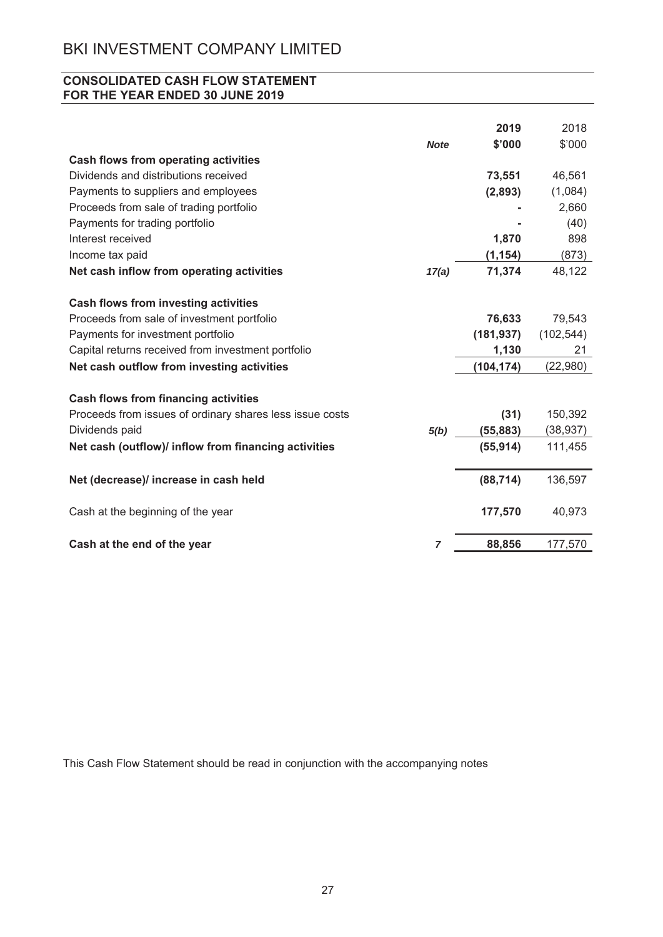# **CONSOLIDATED CASH FLOW STATEMENT** FOR THE YEAR ENDED 30 JUNE 2019

|                                                          |                | 2019       | 2018       |
|----------------------------------------------------------|----------------|------------|------------|
|                                                          | <b>Note</b>    | \$'000     | \$'000     |
| <b>Cash flows from operating activities</b>              |                |            |            |
| Dividends and distributions received                     |                | 73,551     | 46,561     |
| Payments to suppliers and employees                      |                | (2,893)    | (1,084)    |
| Proceeds from sale of trading portfolio                  |                |            | 2,660      |
| Payments for trading portfolio                           |                |            | (40)       |
| Interest received                                        |                | 1,870      | 898        |
| Income tax paid                                          |                | (1, 154)   | (873)      |
| Net cash inflow from operating activities                | 17(a)          | 71,374     | 48,122     |
|                                                          |                |            |            |
| Cash flows from investing activities                     |                |            |            |
| Proceeds from sale of investment portfolio               |                | 76,633     | 79,543     |
| Payments for investment portfolio                        |                | (181, 937) | (102, 544) |
| Capital returns received from investment portfolio       |                | 1,130      | 21         |
| Net cash outflow from investing activities               |                | (104, 174) | (22,980)   |
| <b>Cash flows from financing activities</b>              |                |            |            |
| Proceeds from issues of ordinary shares less issue costs |                | (31)       | 150,392    |
| Dividends paid                                           | 5(b)           | (55, 883)  | (38, 937)  |
| Net cash (outflow)/ inflow from financing activities     |                | (55, 914)  | 111,455    |
|                                                          |                |            |            |
| Net (decrease)/ increase in cash held                    |                | (88, 714)  | 136,597    |
| Cash at the beginning of the year                        |                | 177,570    | 40,973     |
| Cash at the end of the year                              | $\overline{7}$ | 88,856     | 177,570    |

This Cash Flow Statement should be read in conjunction with the accompanying notes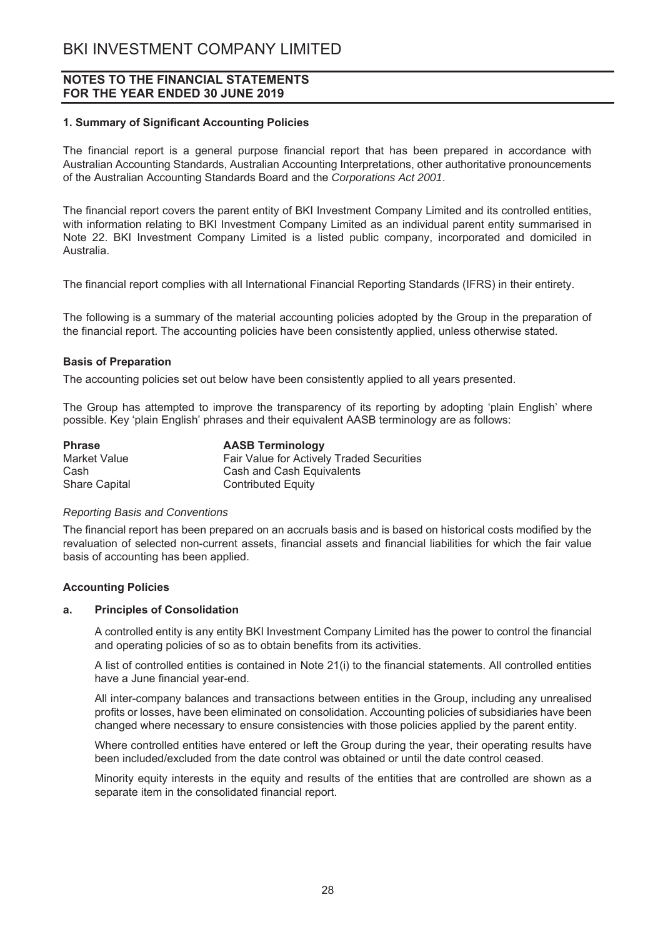## **1. Summary of Significant Accounting Policies**

The financial report is a general purpose financial report that has been prepared in accordance with Australian Accounting Standards, Australian Accounting Interpretations, other authoritative pronouncements of the Australian Accounting Standards Board and the Corporations Act 2001.

The financial report covers the parent entity of BKI Investment Company Limited and its controlled entities, with information relating to BKI Investment Company Limited as an individual parent entity summarised in Note 22. BKI Investment Company Limited is a listed public company, incorporated and domiciled in Australia.

The financial report complies with all International Financial Reporting Standards (IFRS) in their entirety.

The following is a summary of the material accounting policies adopted by the Group in the preparation of the financial report. The accounting policies have been consistently applied, unless otherwise stated.

#### **Basis of Preparation**

The accounting policies set out below have been consistently applied to all years presented.

The Group has attempted to improve the transparency of its reporting by adopting 'plain English' where possible. Key 'plain English' phrases and their equivalent AASB terminology are as follows:

| <b>Phrase</b>        | <b>AASB Terminology</b>                   |
|----------------------|-------------------------------------------|
| Market Value         | Fair Value for Actively Traded Securities |
| Cash                 | Cash and Cash Equivalents                 |
| <b>Share Capital</b> | <b>Contributed Equity</b>                 |

#### *Reporting Basis and Conventions*

The financial report has been prepared on an accruals basis and is based on historical costs modified by the revaluation of selected non-current assets, financial assets and financial liabilities for which the fair value basis of accounting has been applied.

#### **Accounting Policies**

#### **a.** Principles of Consolidation

A controlled entity is any entity BKI Investment Company Limited has the power to control the financial and operating policies of so as to obtain benefits from its activities.

A list of controlled entities is contained in Note 21(i) to the financial statements. All controlled entities have a June financial year-end.

All inter-company balances and transactions between entities in the Group, including any unrealised profits or losses, have been eliminated on consolidation. Accounting policies of subsidiaries have been changed where necessary to ensure consistencies with those policies applied by the parent entity.

Where controlled entities have entered or left the Group during the year, their operating results have been included/excluded from the date control was obtained or until the date control ceased.

Minority equity interests in the equity and results of the entities that are controlled are shown as a separate item in the consolidated financial report.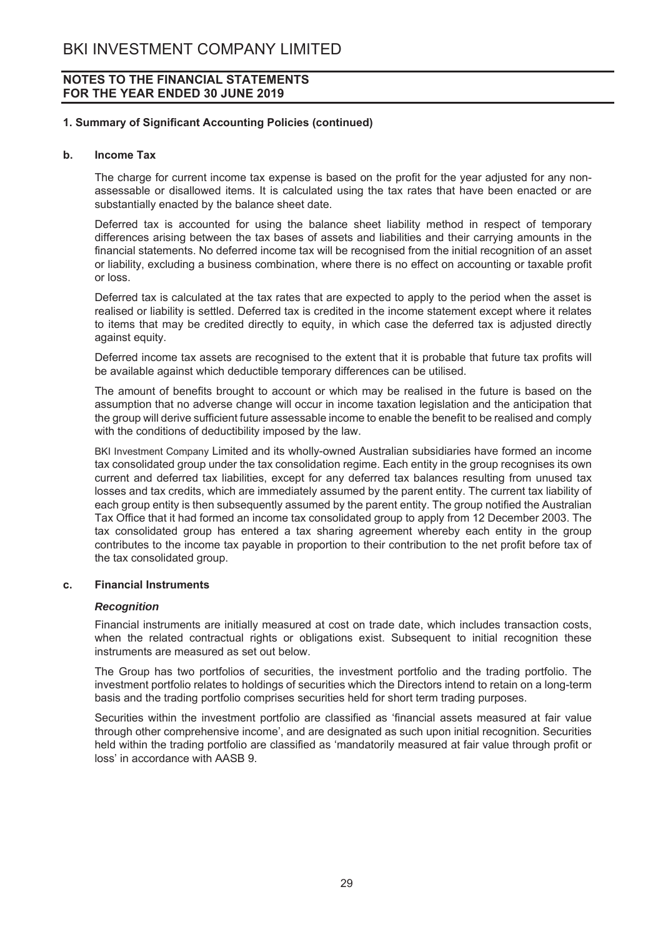## 1. Summary of Significant Accounting Policies (continued)

#### $\mathbf{b}$ . **Income Tax**

The charge for current income tax expense is based on the profit for the year adjusted for any nonassessable or disallowed items. It is calculated using the tax rates that have been enacted or are substantially enacted by the balance sheet date.

Deferred tax is accounted for using the balance sheet liability method in respect of temporary differences arising between the tax bases of assets and liabilities and their carrying amounts in the financial statements. No deferred income tax will be recognised from the initial recognition of an asset or liability, excluding a business combination, where there is no effect on accounting or taxable profit or loss.

Deferred tax is calculated at the tax rates that are expected to apply to the period when the asset is realised or liability is settled. Deferred tax is credited in the income statement except where it relates to items that may be credited directly to equity, in which case the deferred tax is adjusted directly against equity.

Deferred income tax assets are recognised to the extent that it is probable that future tax profits will be available against which deductible temporary differences can be utilised.

The amount of benefits brought to account or which may be realised in the future is based on the assumption that no adverse change will occur in income taxation legislation and the anticipation that the group will derive sufficient future assessable income to enable the benefit to be realised and comply with the conditions of deductibility imposed by the law.

BKI Investment Company Limited and its wholly-owned Australian subsidiaries have formed an income tax consolidated group under the tax consolidation regime. Each entity in the group recognises its own current and deferred tax liabilities, except for any deferred tax balances resulting from unused tax losses and tax credits, which are immediately assumed by the parent entity. The current tax liability of each group entity is then subsequently assumed by the parent entity. The group notified the Australian Tax Office that it had formed an income tax consolidated group to apply from 12 December 2003. The tax consolidated group has entered a tax sharing agreement whereby each entity in the group contributes to the income tax payable in proportion to their contribution to the net profit before tax of the tax consolidated group.

#### **Financial Instruments**  $\mathbf{c}$ .

## **Recognition**

Financial instruments are initially measured at cost on trade date, which includes transaction costs. when the related contractual rights or obligations exist. Subsequent to initial recognition these instruments are measured as set out below.

The Group has two portfolios of securities, the investment portfolio and the trading portfolio. The investment portfolio relates to holdings of securities which the Directors intend to retain on a long-term basis and the trading portfolio comprises securities held for short term trading purposes.

Securities within the investment portfolio are classified as 'financial assets measured at fair value through other comprehensive income', and are designated as such upon initial recognition. Securities held within the trading portfolio are classified as 'mandatorily measured at fair value through profit or loss' in accordance with AASB 9.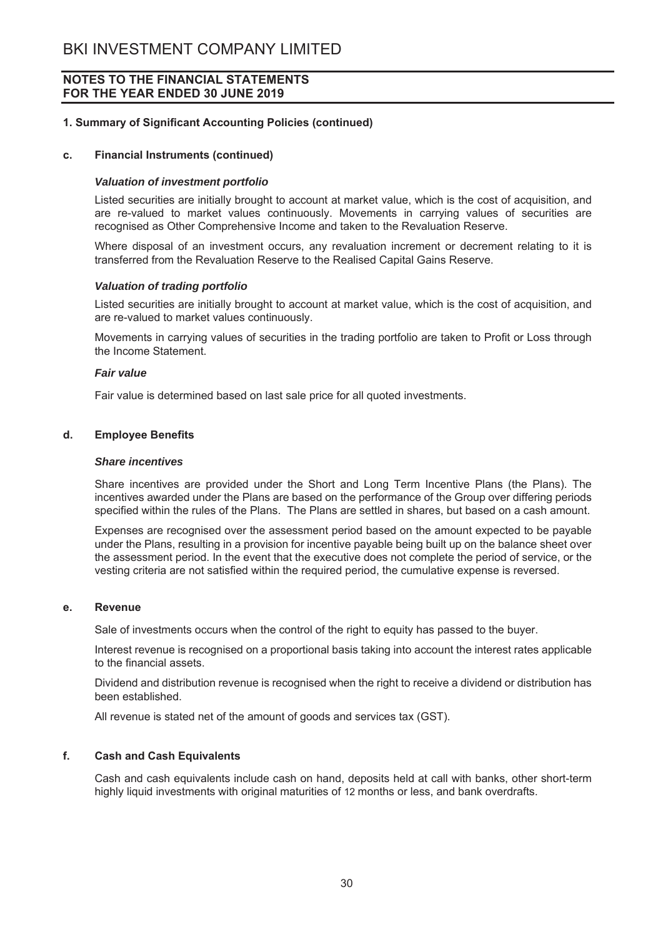# **1. Summary of Significant Accounting Policies (continued)**

#### c. Financial Instruments (continued)

#### *Valuation of investment portfolio*

Listed securities are initially brought to account at market value, which is the cost of acquisition, and are re-valued to market values continuously. Movements in carrying values of securities are recognised as Other Comprehensive Income and taken to the Revaluation Reserve.

Where disposal of an investment occurs, any revaluation increment or decrement relating to it is transferred from the Revaluation Reserve to the Realised Capital Gains Reserve.

#### *Valuation of trading portfolio*

Listed securities are initially brought to account at market value, which is the cost of acquisition, and are re-valued to market values continuously.

Movements in carrving values of securities in the trading portfolio are taken to Profit or Loss through the Income Statement

#### *Fair value*

Fair value is determined based on last sale price for all quoted investments.

# d. **Employee Benefits**

#### *Share incentives*

Share incentives are provided under the Short and Long Term Incentive Plans (the Plans). The incentives awarded under the Plans are based on the performance of the Group over differing periods specified within the rules of the Plans. The Plans are settled in shares, but based on a cash amount.

Expenses are recognised over the assessment period based on the amount expected to be pavable under the Plans, resulting in a provision for incentive payable being built up on the balance sheet over the assessment period. In the event that the executive does not complete the period of service, or the vesting criteria are not satisfied within the required period, the cumulative expense is reversed.

### **e.** Revenue

Sale of investments occurs when the control of the right to equity has passed to the buver.

Interest revenue is recognised on a proportional basis taking into account the interest rates applicable to the financial assets.

Dividend and distribution revenue is recognised when the right to receive a dividend or distribution has been established.

All revenue is stated net of the amount of goods and services tax (GST).

## **f.** Cash and Cash Equivalents

Cash and cash equivalents include cash on hand, deposits held at call with banks, other short-term highly liquid investments with original maturities of 12 months or less, and bank overdrafts.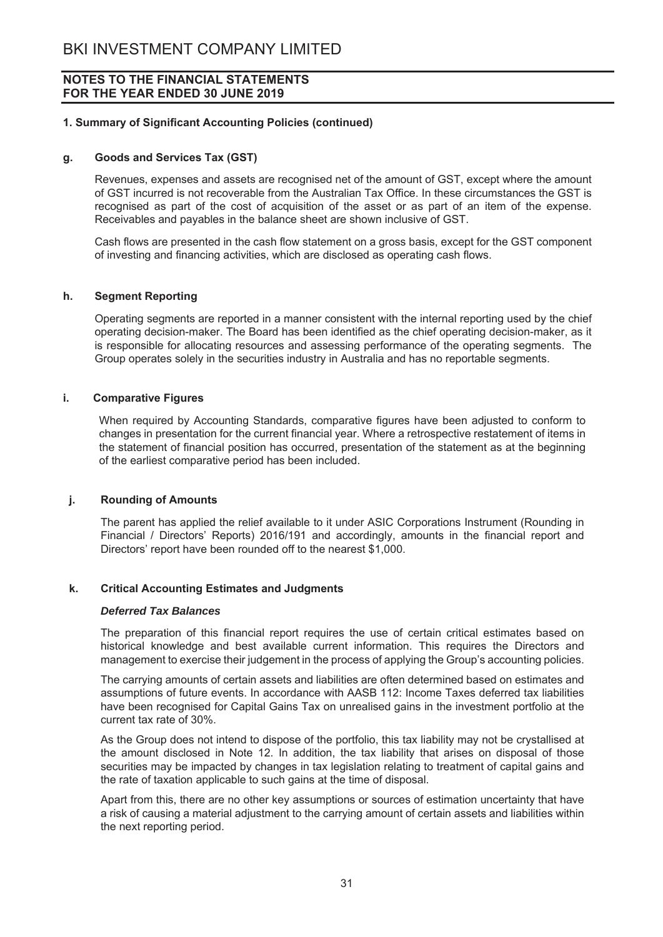## 1. Summary of Significant Accounting Policies (continued)

#### **Goods and Services Tax (GST)** g.

Revenues, expenses and assets are recognised net of the amount of GST, except where the amount of GST incurred is not recoverable from the Australian Tax Office. In these circumstances the GST is recognised as part of the cost of acquisition of the asset or as part of an item of the expense. Receivables and payables in the balance sheet are shown inclusive of GST.

Cash flows are presented in the cash flow statement on a gross basis, except for the GST component of investing and financing activities, which are disclosed as operating cash flows.

#### **Segment Reporting**  $h<sub>1</sub>$

Operating segments are reported in a manner consistent with the internal reporting used by the chief operating decision-maker. The Board has been identified as the chief operating decision-maker, as it is responsible for allocating resources and assessing performance of the operating segments. The Group operates solely in the securities industry in Australia and has no reportable segments.

#### i. **Comparative Figures**

When required by Accounting Standards, comparative figures have been adjusted to conform to changes in presentation for the current financial year. Where a retrospective restatement of items in the statement of financial position has occurred, presentation of the statement as at the beginning of the earliest comparative period has been included.

#### j. **Rounding of Amounts**

The parent has applied the relief available to it under ASIC Corporations Instrument (Rounding in Financial / Directors' Reports) 2016/191 and accordingly, amounts in the financial report and Directors' report have been rounded off to the nearest \$1,000.

#### **Critical Accounting Estimates and Judgments** k.

#### **Deferred Tax Balances**

The preparation of this financial report requires the use of certain critical estimates based on historical knowledge and best available current information. This requires the Directors and management to exercise their judgement in the process of applying the Group's accounting policies.

The carrying amounts of certain assets and liabilities are often determined based on estimates and assumptions of future events. In accordance with AASB 112: Income Taxes deferred tax liabilities have been recognised for Capital Gains Tax on unrealised gains in the investment portfolio at the current tax rate of 30%

As the Group does not intend to dispose of the portfolio, this tax liability may not be crystallised at the amount disclosed in Note 12. In addition, the tax liability that arises on disposal of those securities may be impacted by changes in tax legislation relating to treatment of capital gains and the rate of taxation applicable to such gains at the time of disposal.

Apart from this, there are no other key assumptions or sources of estimation uncertainty that have a risk of causing a material adjustment to the carrying amount of certain assets and liabilities within the next reporting period.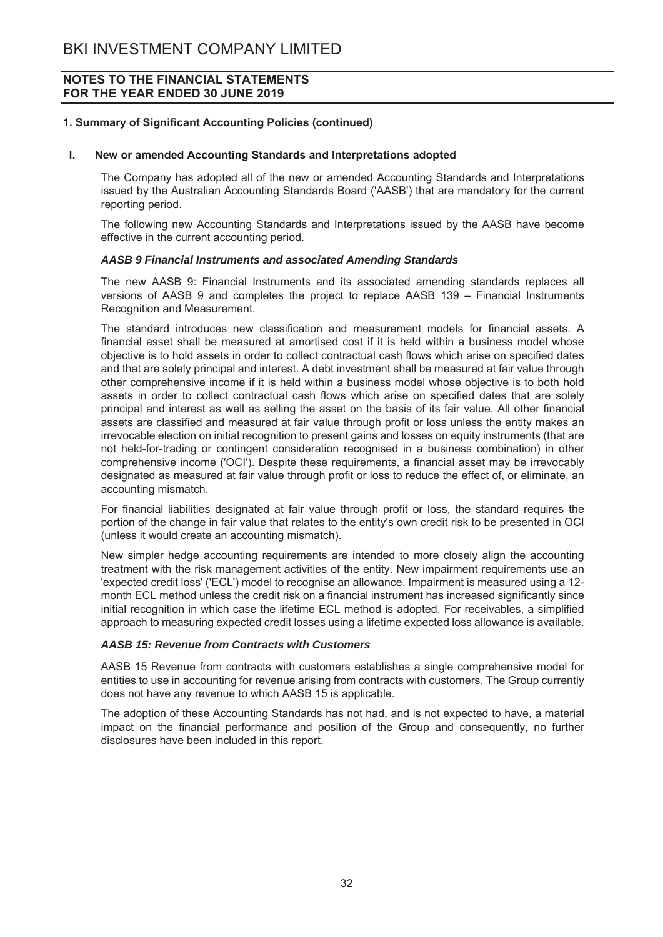## 1. Summary of Significant Accounting Policies (continued)

#### $\mathbf{L}$ New or amended Accounting Standards and Interpretations adopted

The Company has adopted all of the new or amended Accounting Standards and Interpretations issued by the Australian Accounting Standards Board ('AASB') that are mandatory for the current reporting period.

The following new Accounting Standards and Interpretations issued by the AASB have become effective in the current accounting period.

#### AASB 9 Financial Instruments and associated Amending Standards

The new AASB 9: Financial Instruments and its associated amending standards replaces all versions of AASB 9 and completes the project to replace AASB 139 - Financial Instruments Recognition and Measurement.

The standard introduces new classification and measurement models for financial assets. A financial asset shall be measured at amortised cost if it is held within a business model whose objective is to hold assets in order to collect contractual cash flows which arise on specified dates and that are solely principal and interest. A debt investment shall be measured at fair value through other comprehensive income if it is held within a business model whose objective is to both hold assets in order to collect contractual cash flows which arise on specified dates that are solely principal and interest as well as selling the asset on the basis of its fair value. All other financial assets are classified and measured at fair value through profit or loss unless the entity makes an irrevocable election on initial recognition to present gains and losses on equity instruments (that are not held-for-trading or contingent consideration recognised in a business combination) in other comprehensive income ('OCI'). Despite these requirements, a financial asset may be irrevocably designated as measured at fair value through profit or loss to reduce the effect of, or eliminate, an accounting mismatch.

For financial liabilities designated at fair value through profit or loss, the standard requires the portion of the change in fair value that relates to the entity's own credit risk to be presented in OCI (unless it would create an accounting mismatch).

New simpler hedge accounting requirements are intended to more closely align the accounting treatment with the risk management activities of the entity. New impairment requirements use an 'expected credit loss' ('ECL') model to recognise an allowance. Impairment is measured using a 12month ECL method unless the credit risk on a financial instrument has increased significantly since initial recognition in which case the lifetime ECL method is adopted. For receivables, a simplified approach to measuring expected credit losses using a lifetime expected loss allowance is available.

## **AASB 15: Revenue from Contracts with Customers**

AASB 15 Revenue from contracts with customers establishes a single comprehensive model for entities to use in accounting for revenue arising from contracts with customers. The Group currently does not have any revenue to which AASB 15 is applicable.

The adoption of these Accounting Standards has not had, and is not expected to have, a material impact on the financial performance and position of the Group and consequently, no further disclosures have been included in this report.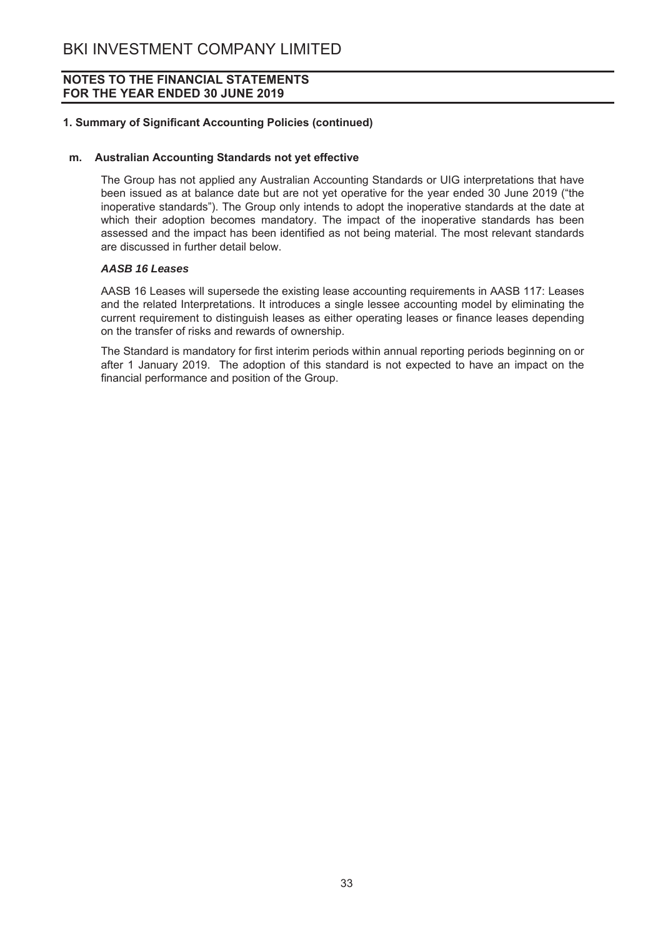## 1. Summary of Significant Accounting Policies (continued)

#### m. Australian Accounting Standards not yet effective

The Group has not applied any Australian Accounting Standards or UIG interpretations that have been issued as at balance date but are not vet operative for the vear ended 30 June 2019 ("the inoperative standards"). The Group only intends to adopt the inoperative standards at the date at which their adoption becomes mandatory. The impact of the inoperative standards has been assessed and the impact has been identified as not being material. The most relevant standards are discussed in further detail below.

#### **AASB 16 Leases**

AASB 16 Leases will supersede the existing lease accounting requirements in AASB 117: Leases and the related Interpretations. It introduces a single lessee accounting model by eliminating the current requirement to distinguish leases as either operating leases or finance leases depending on the transfer of risks and rewards of ownership.

The Standard is mandatory for first interim periods within annual reporting periods beginning on or after 1 January 2019. The adoption of this standard is not expected to have an impact on the financial performance and position of the Group.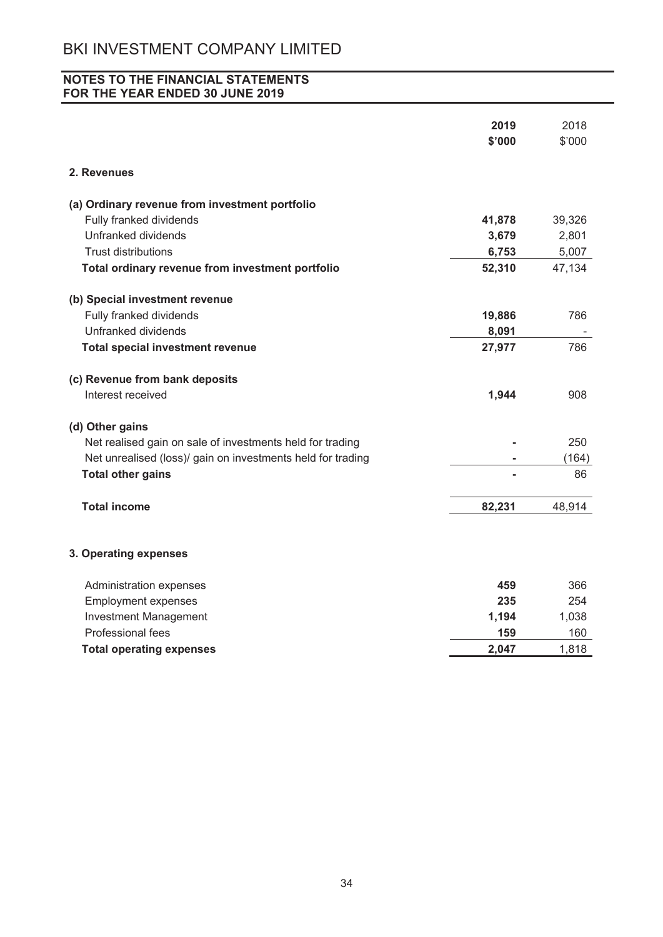# NOTES TO THE FINANCIAL STATEMENTS FOR THE YEAR ENDED 30 JUNE 2019

|                                                             | 2019<br>\$'000 | 2018<br>\$'000 |
|-------------------------------------------------------------|----------------|----------------|
| 2. Revenues                                                 |                |                |
| (a) Ordinary revenue from investment portfolio              |                |                |
| Fully franked dividends                                     | 41,878         | 39,326         |
| Unfranked dividends                                         | 3,679          | 2,801          |
| <b>Trust distributions</b>                                  | 6,753          | 5,007          |
| Total ordinary revenue from investment portfolio            | 52,310         | 47,134         |
| (b) Special investment revenue                              |                |                |
| Fully franked dividends                                     | 19,886         | 786            |
| Unfranked dividends                                         | 8,091          |                |
| <b>Total special investment revenue</b>                     | 27,977         | 786            |
| (c) Revenue from bank deposits                              |                |                |
| Interest received                                           | 1,944          | 908            |
| (d) Other gains                                             |                |                |
| Net realised gain on sale of investments held for trading   |                | 250            |
| Net unrealised (loss)/ gain on investments held for trading |                | (164)          |
| <b>Total other gains</b>                                    |                | 86             |
| <b>Total income</b>                                         | 82,231         | 48,914         |
| 3. Operating expenses                                       |                |                |
| Administration expenses                                     | 459            | 366            |
| <b>Employment expenses</b>                                  | 235            | 254            |
| <b>Investment Management</b>                                | 1,194          | 1,038          |
| Professional fees                                           | 159            | 160            |
| <b>Total operating expenses</b>                             | 2,047          | 1,818          |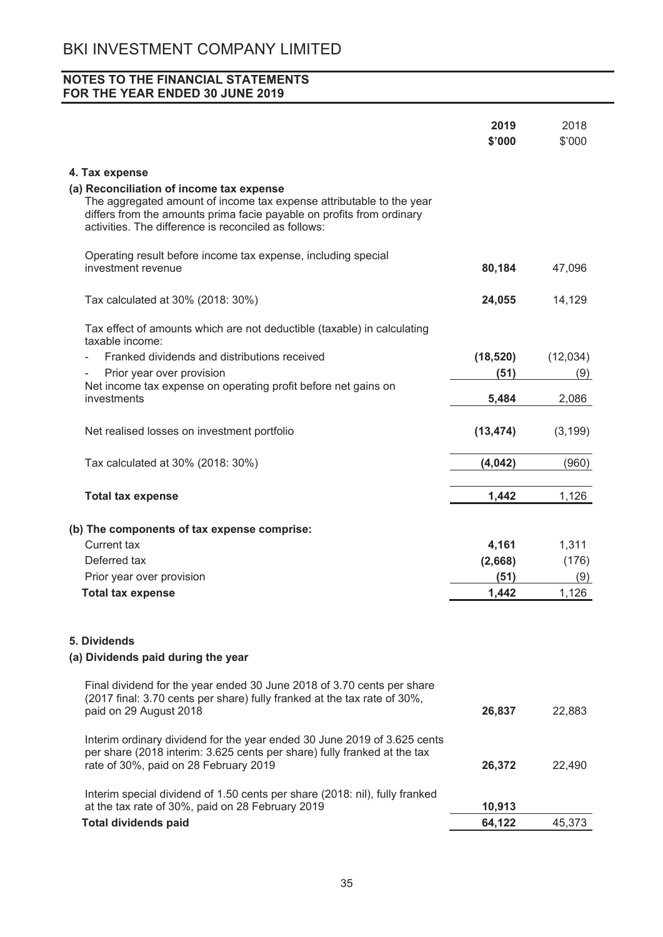|                                                                                                                                                                                                                                                   | 2019<br>\$'000 | 2018<br>\$'000 |
|---------------------------------------------------------------------------------------------------------------------------------------------------------------------------------------------------------------------------------------------------|----------------|----------------|
| 4. Tax expense                                                                                                                                                                                                                                    |                |                |
| (a) Reconciliation of income tax expense<br>The aggregated amount of income tax expense attributable to the year<br>differs from the amounts prima facie payable on profits from ordinary<br>activities. The difference is reconciled as follows: |                |                |
| Operating result before income tax expense, including special<br>investment revenue                                                                                                                                                               | 80,184         | 47,096         |
| Tax calculated at 30% (2018: 30%)                                                                                                                                                                                                                 | 24,055         | 14,129         |
| Tax effect of amounts which are not deductible (taxable) in calculating<br>taxable income:                                                                                                                                                        |                |                |
| Franked dividends and distributions received                                                                                                                                                                                                      | (18, 520)      | (12,034)       |
| Prior year over provision                                                                                                                                                                                                                         | (51)           | (9)            |
| Net income tax expense on operating profit before net gains on                                                                                                                                                                                    |                |                |
| investments                                                                                                                                                                                                                                       | 5,484          | 2,086          |
| Net realised losses on investment portfolio                                                                                                                                                                                                       | (13, 474)      | (3, 199)       |
| Tax calculated at 30% (2018: 30%)                                                                                                                                                                                                                 | (4,042)        | (960)          |
| <b>Total tax expense</b>                                                                                                                                                                                                                          | 1,442          | 1,126          |
| (b) The components of tax expense comprise:                                                                                                                                                                                                       |                |                |
| Current tax                                                                                                                                                                                                                                       | 4,161          | 1,311          |
| Deferred tax                                                                                                                                                                                                                                      | (2,668)        | (176)          |
| Prior year over provision                                                                                                                                                                                                                         | (51)           | (9)            |
| <b>Total tax expense</b>                                                                                                                                                                                                                          | 1,442          | 1,126          |
| 5. Dividends<br>(a) Dividends paid during the year                                                                                                                                                                                                |                |                |
| Final dividend for the year ended 30 June 2018 of 3.70 cents per share<br>(2017 final: 3.70 cents per share) fully franked at the tax rate of 30%,<br>paid on 29 August 2018                                                                      | 26,837         | 22,883         |
| Interim ordinary dividend for the year ended 30 June 2019 of 3.625 cents<br>per share (2018 interim: 3.625 cents per share) fully franked at the tax<br>rate of 30%, paid on 28 February 2019                                                     | 26,372         | 22,490         |
| Interim special dividend of 1.50 cents per share (2018: nil), fully franked<br>at the tax rate of 30%, paid on 28 February 2019                                                                                                                   | 10,913         |                |
| <b>Total dividends paid</b>                                                                                                                                                                                                                       | 64,122         | 45,373         |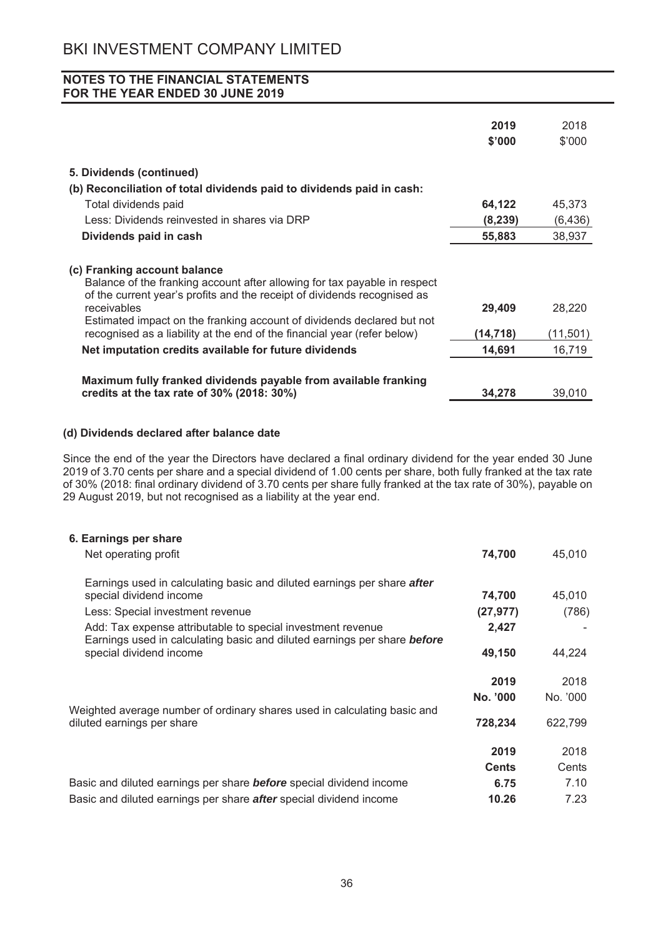|                                                                                                                                                                                       | 2019     | 2018     |
|---------------------------------------------------------------------------------------------------------------------------------------------------------------------------------------|----------|----------|
|                                                                                                                                                                                       | \$'000   | \$'000   |
| 5. Dividends (continued)                                                                                                                                                              |          |          |
| (b) Reconciliation of total dividends paid to dividends paid in cash:                                                                                                                 |          |          |
| Total dividends paid                                                                                                                                                                  | 64,122   | 45,373   |
| Less: Dividends reinvested in shares via DRP                                                                                                                                          | (8, 239) | (6, 436) |
| Dividends paid in cash                                                                                                                                                                | 55,883   | 38,937   |
| (c) Franking account balance<br>Balance of the franking account after allowing for tax payable in respect<br>of the current year's profits and the receipt of dividends recognised as |          |          |
| receivables<br>Estimated impact on the franking account of dividends declared but not                                                                                                 | 29,409   | 28,220   |
| recognised as a liability at the end of the financial year (refer below)                                                                                                              | (14,718) | (11,501) |
| Net imputation credits available for future dividends                                                                                                                                 | 14,691   | 16,719   |
| Maximum fully franked dividends payable from available franking<br>credits at the tax rate of $30\%$ (2018: $30\%$ )                                                                  | 34,278   | 39,010   |

# (d) Dividends declared after balance date

Since the end of the year the Directors have declared a final ordinary dividend for the year ended 30 June 2019 of 3.70 cents per share and a special dividend of 1.00 cents per share, both fully franked at the tax rate of 30% (2018: final ordinary dividend of 3.70 cents per share fully franked at the tax rate of 30%), payable on 29 August 2019, but not recognised as a liability at the year end.

| 6. Earnings per share                                                                                                                          |              |          |
|------------------------------------------------------------------------------------------------------------------------------------------------|--------------|----------|
| Net operating profit                                                                                                                           | 74,700       | 45,010   |
| Earnings used in calculating basic and diluted earnings per share after                                                                        |              |          |
| special dividend income                                                                                                                        | 74,700       | 45,010   |
| Less: Special investment revenue                                                                                                               | (27, 977)    | (786)    |
| Add: Tax expense attributable to special investment revenue<br>Earnings used in calculating basic and diluted earnings per share <b>before</b> | 2,427        |          |
| special dividend income                                                                                                                        | 49,150       | 44,224   |
|                                                                                                                                                | 2019         | 2018     |
| Weighted average number of ordinary shares used in calculating basic and                                                                       | No. '000     | No. '000 |
| diluted earnings per share                                                                                                                     | 728,234      | 622,799  |
|                                                                                                                                                | 2019         | 2018     |
|                                                                                                                                                | <b>Cents</b> | Cents    |
| Basic and diluted earnings per share <b>before</b> special dividend income                                                                     | 6.75         | 7.10     |
| Basic and diluted earnings per share <b>after</b> special dividend income                                                                      | 10.26        | 7.23     |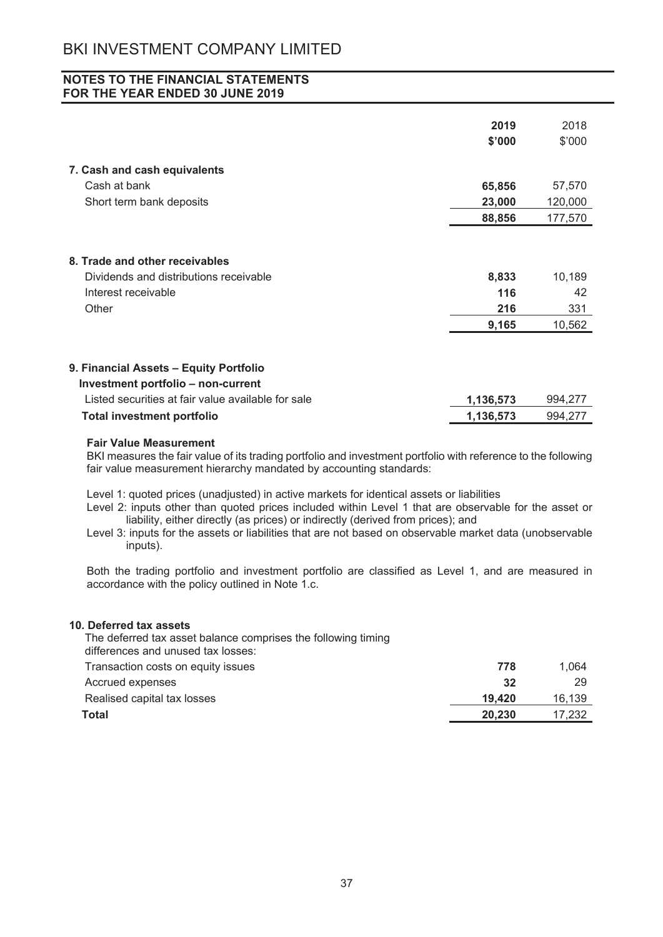# **NOTES TO THE FINANCIAL STATEMENTS** FOR THE YEAR ENDED 30 JUNE 2019

|                                                                              | 2019      | 2018    |
|------------------------------------------------------------------------------|-----------|---------|
|                                                                              | \$'000    | \$'000  |
|                                                                              |           |         |
| 7. Cash and cash equivalents                                                 |           |         |
| Cash at bank                                                                 | 65,856    | 57,570  |
| Short term bank deposits                                                     | 23,000    | 120,000 |
|                                                                              | 88,856    | 177,570 |
| 8. Trade and other receivables                                               |           |         |
| Dividends and distributions receivable                                       | 8,833     | 10,189  |
| Interest receivable                                                          | 116       | 42      |
| Other                                                                        | 216       | 331     |
|                                                                              | 9,165     | 10,562  |
| 9. Financial Assets - Equity Portfolio<br>Investment portfolio - non-current |           |         |
| Listed securities at fair value available for sale                           | 1,136,573 | 994,277 |
| <b>Total investment portfolio</b>                                            | 1,136,573 | 994,277 |

#### **Fair Value Measurement**

BKI measures the fair value of its trading portfolio and investment portfolio with reference to the following fair value measurement hierarchy mandated by accounting standards:

Level 1: quoted prices (unadjusted) in active markets for identical assets or liabilities

Level 2: inputs other than quoted prices included within Level 1 that are observable for the asset or liability, either directly (as prices) or indirectly (derived from prices); and

Level 3: inputs for the assets or liabilities that are not based on observable market data (unobservable inputs).

Both the trading portfolio and investment portfolio are classified as Level 1, and are measured in accordance with the policy outlined in Note 1.c.

778

19,420

20.230

 $32<sup>2</sup>$ 

1.064

16,139

17.232

29

#### 10. Deferred tax assets

The deferred tax asset balance comprises the following timing differences and unused tax losses: Transaction costs on equity issues Accrued expenses Realised capital tax losses Total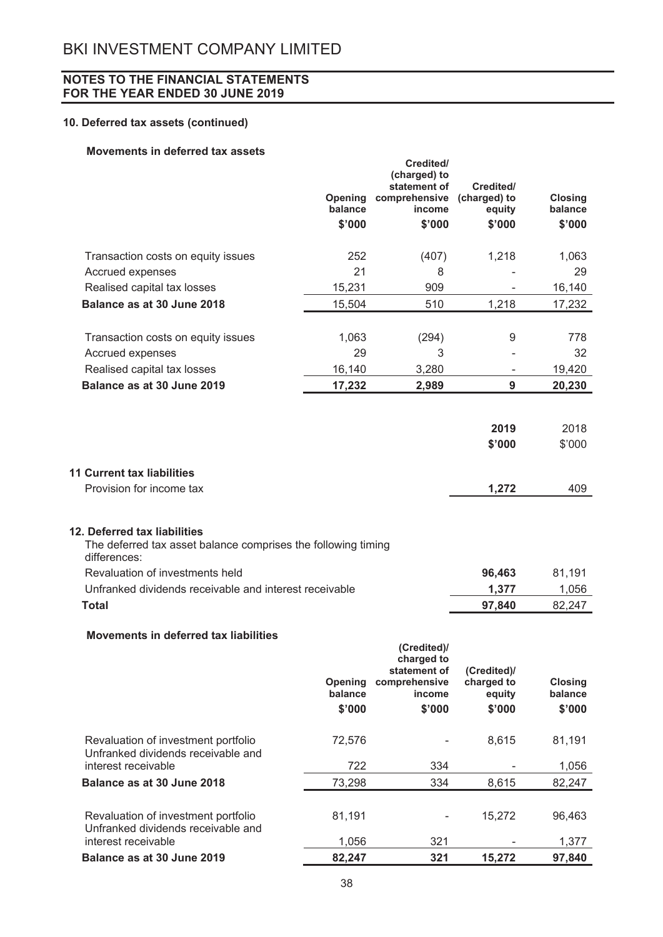# 10. Deferred tax assets (continued)

## Movements in deferred tax assets

|                                                                                                                                                  | <b>Opening</b><br>balance | Credited/<br>(charged) to<br>statement of<br>comprehensive (charged) to<br>income | Credited/<br>equity | <b>Closing</b><br>balance |
|--------------------------------------------------------------------------------------------------------------------------------------------------|---------------------------|-----------------------------------------------------------------------------------|---------------------|---------------------------|
|                                                                                                                                                  | \$'000                    | \$'000                                                                            | \$'000              | \$'000                    |
| Transaction costs on equity issues                                                                                                               | 252                       | (407)                                                                             | 1,218               | 1,063                     |
| Accrued expenses                                                                                                                                 | 21                        | 8                                                                                 |                     | 29                        |
| Realised capital tax losses                                                                                                                      | 15,231                    | 909                                                                               |                     | 16,140                    |
| Balance as at 30 June 2018                                                                                                                       | 15,504                    | 510                                                                               | 1,218               | 17,232                    |
| Transaction costs on equity issues                                                                                                               | 1,063                     | (294)                                                                             | 9                   | 778                       |
| Accrued expenses                                                                                                                                 | 29                        | 3                                                                                 |                     | 32                        |
| Realised capital tax losses                                                                                                                      | 16,140                    | 3,280                                                                             |                     | 19,420                    |
| Balance as at 30 June 2019                                                                                                                       | 17,232                    | 2,989                                                                             | 9                   | 20,230                    |
|                                                                                                                                                  |                           |                                                                                   |                     |                           |
|                                                                                                                                                  |                           |                                                                                   | 2019                | 2018                      |
|                                                                                                                                                  |                           |                                                                                   | \$'000              | \$'000                    |
|                                                                                                                                                  |                           |                                                                                   |                     |                           |
| <b>11 Current tax liabilities</b>                                                                                                                |                           |                                                                                   |                     |                           |
| Provision for income tax                                                                                                                         |                           |                                                                                   | 1,272               | 409                       |
| 12. Deferred tax liabilities<br>The deferred tax asset balance comprises the following timing<br>differences:<br>Revaluation of investments held |                           |                                                                                   | 96,463              | 81,191                    |
| Unfranked dividends receivable and interest receivable                                                                                           |                           |                                                                                   | 1,377               | 1,056                     |
| <b>Total</b>                                                                                                                                     |                           |                                                                                   | 97,840              | 82,247                    |
| Movements in deferred tax liabilities                                                                                                            |                           | (Credited)/<br>charged to<br>statement of                                         | (Credited)/         |                           |
|                                                                                                                                                  | <b>Opening</b>            | comprehensive                                                                     | charged to          | <b>Closing</b>            |
|                                                                                                                                                  | balance                   | income                                                                            | equity              | balance                   |
|                                                                                                                                                  | \$'000                    | \$'000                                                                            | \$'000              | \$'000                    |
| Revaluation of investment portfolio<br>Unfranked dividends receivable and                                                                        | 72,576                    |                                                                                   | 8,615               | 81,191                    |
| interest receivable                                                                                                                              | 722                       | 334                                                                               |                     | 1,056                     |
| Balance as at 30 June 2018                                                                                                                       | 73,298                    | 334                                                                               | 8,615               | 82,247                    |
| Revaluation of investment portfolio<br>Unfranked dividends receivable and                                                                        | 81,191                    |                                                                                   | 15,272              | 96,463                    |
| interest receivable                                                                                                                              | 1,056                     | 321                                                                               |                     | 1,377                     |
| Balance as at 30 June 2019                                                                                                                       | 82,247                    | 321                                                                               | 15,272              | 97,840                    |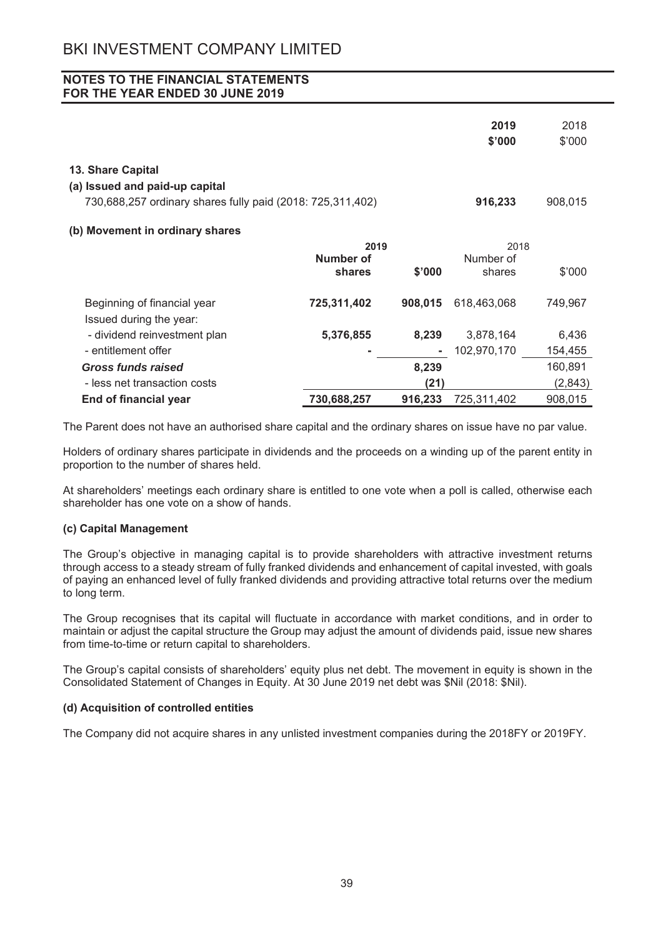|                                                            |             |         | 2019<br>\$'000 | 2018<br>\$'000 |
|------------------------------------------------------------|-------------|---------|----------------|----------------|
| 13. Share Capital                                          |             |         |                |                |
| (a) Issued and paid-up capital                             |             |         |                |                |
| 730,688,257 ordinary shares fully paid (2018: 725,311,402) |             |         | 916,233        | 908,015        |
| (b) Movement in ordinary shares                            |             |         |                |                |
|                                                            | 2019        |         | 2018           |                |
|                                                            | Number of   |         | Number of      |                |
|                                                            | shares      | \$'000  | shares         | \$'000         |
| Beginning of financial year<br>Issued during the year:     | 725,311,402 | 908,015 | 618,463,068    | 749,967        |
| - dividend reinvestment plan                               | 5,376,855   | 8,239   | 3,878,164      | 6,436          |
| - entitlement offer                                        |             |         | 102,970,170    | 154,455        |
| Gross funds raised                                         |             | 8,239   |                | 160,891        |
| - less net transaction costs                               |             | (21)    |                | (2,843)        |
| <b>End of financial year</b>                               | 730,688,257 | 916,233 | 725,311,402    | 908,015        |

The Parent does not have an authorised share capital and the ordinary shares on issue have no par value.

Holders of ordinary shares participate in dividends and the proceeds on a winding up of the parent entity in proportion to the number of shares held.

At shareholders' meetings each ordinary share is entitled to one vote when a poll is called, otherwise each shareholder has one vote on a show of hands.

## (c) Capital Management

The Group's objective in managing capital is to provide shareholders with attractive investment returns through access to a steady stream of fully franked dividends and enhancement of capital invested, with goals of paying an enhanced level of fully franked dividends and providing attractive total returns over the medium to long term.

The Group recognises that its capital will fluctuate in accordance with market conditions, and in order to maintain or adjust the capital structure the Group may adjust the amount of dividends paid, issue new shares from time-to-time or return capital to shareholders.

The Group's capital consists of shareholders' equity plus net debt. The movement in equity is shown in the Consolidated Statement of Changes in Equity. At 30 June 2019 net debt was \$Nil (2018: \$Nil).

## (d) Acquisition of controlled entities

The Company did not acquire shares in any unlisted investment companies during the 2018FY or 2019FY.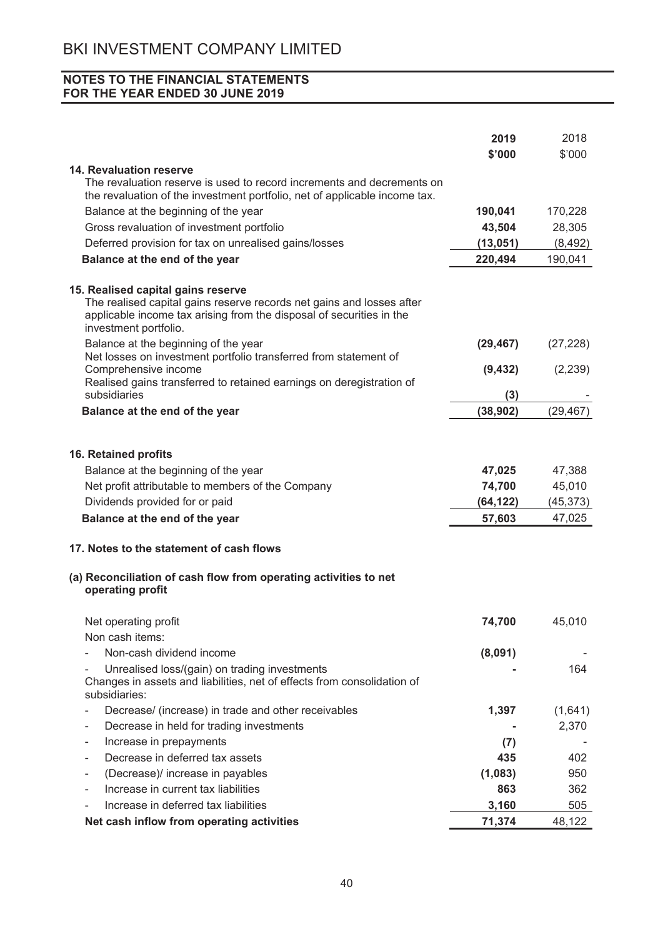|                                                                                                                                                                                                              | 2019      | 2018      |
|--------------------------------------------------------------------------------------------------------------------------------------------------------------------------------------------------------------|-----------|-----------|
|                                                                                                                                                                                                              | \$'000    | \$'000    |
| <b>14. Revaluation reserve</b>                                                                                                                                                                               |           |           |
| The revaluation reserve is used to record increments and decrements on<br>the revaluation of the investment portfolio, net of applicable income tax.                                                         |           |           |
| Balance at the beginning of the year                                                                                                                                                                         | 190,041   | 170,228   |
| Gross revaluation of investment portfolio                                                                                                                                                                    | 43,504    | 28,305    |
| Deferred provision for tax on unrealised gains/losses                                                                                                                                                        | (13,051)  | (8, 492)  |
| Balance at the end of the year                                                                                                                                                                               | 220,494   | 190,041   |
| 15. Realised capital gains reserve<br>The realised capital gains reserve records net gains and losses after<br>applicable income tax arising from the disposal of securities in the<br>investment portfolio. |           |           |
| Balance at the beginning of the year<br>Net losses on investment portfolio transferred from statement of                                                                                                     | (29, 467) | (27, 228) |
| Comprehensive income<br>Realised gains transferred to retained earnings on deregistration of                                                                                                                 | (9, 432)  | (2, 239)  |
| subsidiaries                                                                                                                                                                                                 | (3)       |           |
| Balance at the end of the year                                                                                                                                                                               | (38, 902) | (29, 467) |
| 16. Retained profits                                                                                                                                                                                         |           |           |
| Balance at the beginning of the year                                                                                                                                                                         | 47,025    | 47,388    |
| Net profit attributable to members of the Company                                                                                                                                                            | 74,700    | 45,010    |
| Dividends provided for or paid                                                                                                                                                                               | (64, 122) | (45, 373) |
| Balance at the end of the year                                                                                                                                                                               | 57,603    | 47,025    |
| 17. Notes to the statement of cash flows                                                                                                                                                                     |           |           |
| (a) Reconciliation of cash flow from operating activities to net<br>operating profit                                                                                                                         |           |           |
| Net operating profit                                                                                                                                                                                         | 74,700    | 45,010    |
| Non cash items:                                                                                                                                                                                              |           |           |
| Non-cash dividend income                                                                                                                                                                                     | (8,091)   |           |
| Unrealised loss/(gain) on trading investments<br>Changes in assets and liabilities, net of effects from consolidation of<br>subsidiaries:                                                                    |           | 164       |
| Decrease/ (increase) in trade and other receivables                                                                                                                                                          | 1,397     | (1,641)   |
| Decrease in held for trading investments<br>$\qquad \qquad \blacksquare$                                                                                                                                     |           | 2,370     |
| Increase in prepayments<br>-                                                                                                                                                                                 | (7)       |           |
| Decrease in deferred tax assets<br>$\overline{\phantom{0}}$                                                                                                                                                  | 435       | 402       |
| (Decrease)/ increase in payables                                                                                                                                                                             | (1,083)   | 950       |
| Increase in current tax liabilities                                                                                                                                                                          | 863       | 362       |
| Increase in deferred tax liabilities                                                                                                                                                                         | 3,160     | 505       |
| Net cash inflow from operating activities                                                                                                                                                                    | 71,374    | 48,122    |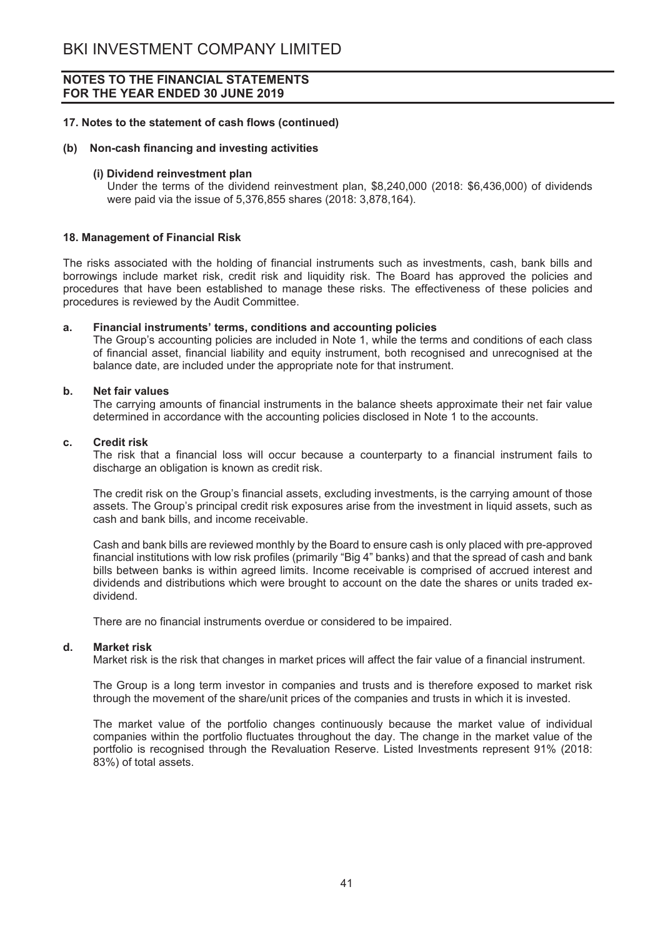#### 17. Notes to the statement of cash flows (continued)

#### (b) Non-cash financing and investing activities

#### (i) Dividend reinvestment plan

Under the terms of the dividend reinvestment plan, \$8,240,000 (2018: \$6,436,000) of dividends were paid via the issue of 5,376,855 shares (2018: 3,878,164).

#### 18. Management of Financial Risk

The risks associated with the holding of financial instruments such as investments, cash, bank bills and borrowings include market risk, credit risk and liquidity risk. The Board has approved the policies and procedures that have been established to manage these risks. The effectiveness of these policies and procedures is reviewed by the Audit Committee.

#### Financial instruments' terms, conditions and accounting policies a.

The Group's accounting policies are included in Note 1, while the terms and conditions of each class of financial asset, financial liability and equity instrument, both recognised and unrecognised at the balance date, are included under the appropriate note for that instrument.

#### **Net fair values .**

The carrying amounts of financial instruments in the balance sheets approximate their net fair value determined in accordance with the accounting policies disclosed in Note 1 to the accounts.

#### $\mathbf{c}$ . **Credit risk**

The risk that a financial loss will occur because a counterparty to a financial instrument fails to discharge an obligation is known as credit risk.

The credit risk on the Group's financial assets, excluding investments, is the carrying amount of those assets. The Group's principal credit risk exposures arise from the investment in liquid assets, such as cash and bank bills, and income receivable.

Cash and bank bills are reviewed monthly by the Board to ensure cash is only placed with pre-approved financial institutions with low risk profiles (primarily "Big 4" banks) and that the spread of cash and bank bills between banks is within agreed limits. Income receivable is comprised of accrued interest and dividends and distributions which were brought to account on the date the shares or units traded exdividend

There are no financial instruments overdue or considered to be impaired.

#### $\mathbf{d}$ Markot rick

Market risk is the risk that changes in market prices will affect the fair value of a financial instrument.

The Group is a long term investor in companies and trusts and is therefore exposed to market risk through the movement of the share/unit prices of the companies and trusts in which it is invested.

The market value of the portfolio changes continuously because the market value of individual companies within the portfolio fluctuates throughout the day. The change in the market value of the portfolio is recognised through the Revaluation Reserve. Listed Investments represent 91% (2018: 83%) of total assets.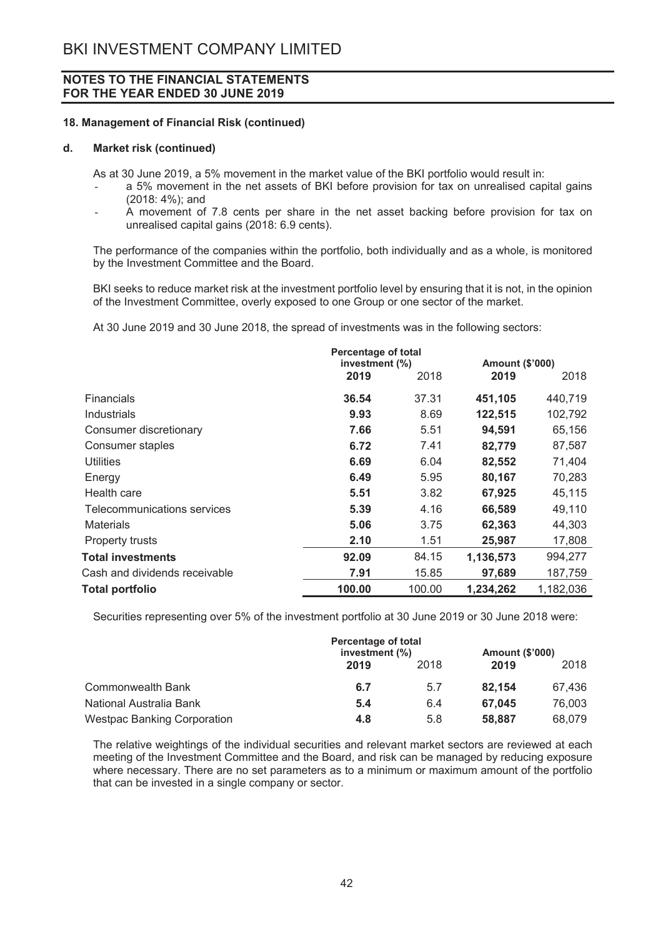#### 18. Management of Financial Risk (continued)

#### $\mathbf{d}$ **Market risk (continued)**

As at 30 June 2019, a 5% movement in the market value of the BKI portfolio would result in:

- a 5% movement in the net assets of BKI before provision for tax on unrealised capital gains (2018: 4%); and
- A movement of 7.8 cents per share in the net asset backing before provision for tax on unrealised capital gains (2018: 6.9 cents).

The performance of the companies within the portfolio, both individually and as a whole, is monitored by the Investment Committee and the Board.

BKI seeks to reduce market risk at the investment portfolio level by ensuring that it is not, in the opinion of the Investment Committee, overly exposed to one Group or one sector of the market.

At 30 June 2019 and 30 June 2018, the spread of investments was in the following sectors:

|                               | Percentage of total<br>investment (%) |        | Amount (\$'000) |           |
|-------------------------------|---------------------------------------|--------|-----------------|-----------|
|                               | 2019                                  | 2018   | 2019            | 2018      |
| Financials                    | 36.54                                 | 37.31  | 451,105         | 440,719   |
| Industrials                   | 9.93                                  | 8.69   | 122,515         | 102,792   |
| Consumer discretionary        | 7.66                                  | 5.51   | 94,591          | 65,156    |
| Consumer staples              | 6.72                                  | 7.41   | 82,779          | 87,587    |
| Utilities                     | 6.69                                  | 6.04   | 82,552          | 71,404    |
| Energy                        | 6.49                                  | 5.95   | 80,167          | 70,283    |
| Health care                   | 5.51                                  | 3.82   | 67,925          | 45,115    |
| Telecommunications services   | 5.39                                  | 4.16   | 66,589          | 49,110    |
| <b>Materials</b>              | 5.06                                  | 3.75   | 62,363          | 44,303    |
| <b>Property trusts</b>        | 2.10                                  | 1.51   | 25,987          | 17,808    |
| <b>Total investments</b>      | 92.09                                 | 84.15  | 1,136,573       | 994,277   |
| Cash and dividends receivable | 7.91                                  | 15.85  | 97,689          | 187,759   |
| Total portfolio               | 100.00                                | 100.00 | 1,234,262       | 1,182,036 |

Securities representing over 5% of the investment portfolio at 30 June 2019 or 30 June 2018 were:

|                                    | Percentage of total<br>investment (%) |      | <b>Amount (\$'000)</b> |        |
|------------------------------------|---------------------------------------|------|------------------------|--------|
|                                    | 2019                                  | 2018 | 2019                   | 2018   |
| Commonwealth Bank                  | 6.7                                   | 5.7  | 82.154                 | 67.436 |
| National Australia Bank            | 5.4                                   | 6.4  | 67.045                 | 76,003 |
| <b>Westpac Banking Corporation</b> | 4.8                                   | 5.8  | 58,887                 | 68.079 |

The relative weightings of the individual securities and relevant market sectors are reviewed at each meeting of the Investment Committee and the Board, and risk can be managed by reducing exposure where necessary. There are no set parameters as to a minimum or maximum amount of the portfolio that can be invested in a single company or sector.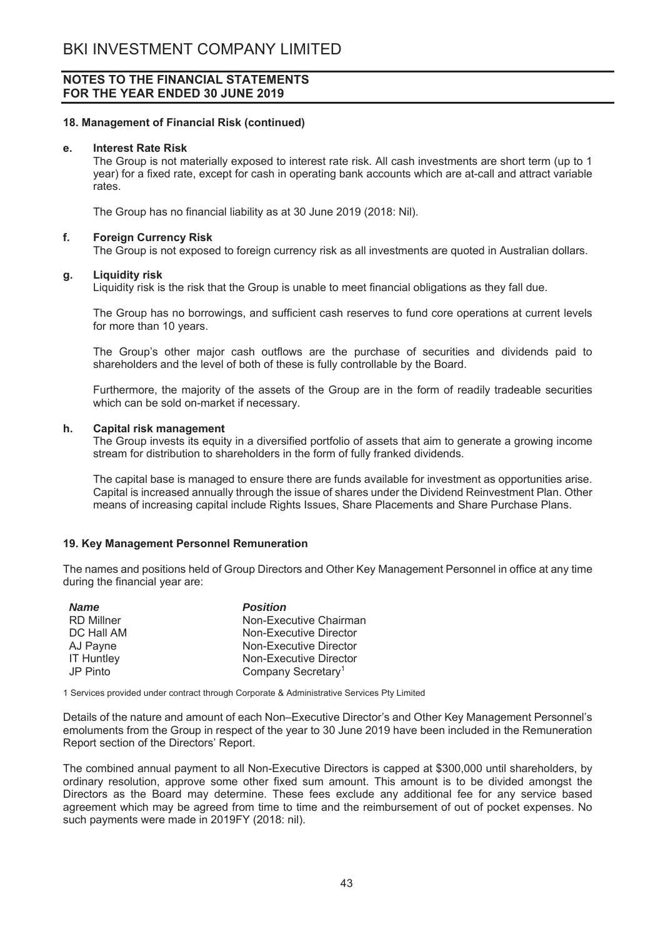#### 18. Management of Financial Risk (continued)

#### **Interest Rate Risk**  $\mathbf{e}$ .

The Group is not materially exposed to interest rate risk. All cash investments are short term (up to 1 year) for a fixed rate, except for cash in operating bank accounts which are at-call and attract variable rates

The Group has no financial liability as at 30 June 2019 (2018: Nil).

#### f. **Foreign Currency Risk**

The Group is not exposed to foreign currency risk as all investments are quoted in Australian dollars.

#### g. **Liquidity risk**

Liquidity risk is the risk that the Group is unable to meet financial obligations as they fall due.

The Group has no borrowings, and sufficient cash reserves to fund core operations at current levels for more than 10 years.

The Group's other major cash outflows are the purchase of securities and dividends paid to shareholders and the level of both of these is fully controllable by the Board.

Furthermore, the majority of the assets of the Group are in the form of readily tradeable securities which can be sold on-market if necessary.

#### **Capital risk management** h.

The Group invests its equity in a diversified portfolio of assets that aim to generate a growing income stream for distribution to shareholders in the form of fully franked dividends.

The capital base is managed to ensure there are funds available for investment as opportunities arise. Capital is increased annually through the issue of shares under the Dividend Reinvestment Plan. Other means of increasing capital include Rights Issues, Share Placements and Share Purchase Plans.

#### 19. Key Management Personnel Remuneration

The names and positions held of Group Directors and Other Key Management Personnel in office at any time during the financial year are:

| <b>Name</b>       | <b>Position</b>                |
|-------------------|--------------------------------|
| <b>RD</b> Millner | Non-Executive Chairman         |
| DC Hall AM        | Non-Executive Director         |
| AJ Payne          | Non-Executive Director         |
| <b>IT Huntley</b> | Non-Executive Director         |
| JP Pinto          | Company Secretary <sup>1</sup> |

1 Services provided under contract through Corporate & Administrative Services Pty Limited

Details of the nature and amount of each Non-Executive Director's and Other Key Management Personnel's emoluments from the Group in respect of the year to 30 June 2019 have been included in the Remuneration Report section of the Directors' Report.

The combined annual payment to all Non-Executive Directors is capped at \$300,000 until shareholders, by ordinary resolution, approve some other fixed sum amount. This amount is to be divided amongst the Directors as the Board may determine. These fees exclude any additional fee for any service based agreement which may be agreed from time to time and the reimbursement of out of pocket expenses. No such payments were made in 2019FY (2018: nil).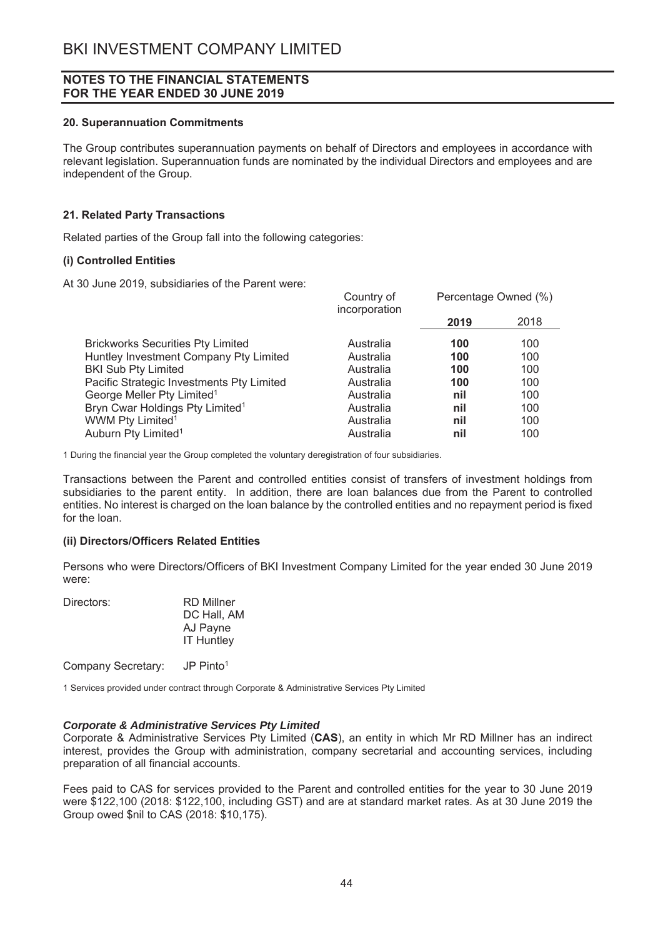#### 20. Superannuation Commitments

The Group contributes superannuation payments on behalf of Directors and employees in accordance with relevant legislation. Superannuation funds are nominated by the individual Directors and employees and are independent of the Group.

## 21. Related Party Transactions

Related parties of the Group fall into the following categories:

## (i) Controlled Entities

At 30 June 2019, subsidiaries of the Parent were:

|                                             | Country of<br>incorporation |      | Percentage Owned (%) |  |
|---------------------------------------------|-----------------------------|------|----------------------|--|
|                                             |                             | 2019 | 2018                 |  |
| <b>Brickworks Securities Pty Limited</b>    | Australia                   | 100  | 100                  |  |
| Huntley Investment Company Pty Limited      | Australia                   | 100  | 100                  |  |
| <b>BKI Sub Pty Limited</b>                  | Australia                   | 100  | 100                  |  |
| Pacific Strategic Investments Pty Limited   | Australia                   | 100  | 100                  |  |
| George Meller Pty Limited <sup>1</sup>      | Australia                   | nil  | 100                  |  |
| Bryn Cwar Holdings Pty Limited <sup>1</sup> | Australia                   | nil  | 100                  |  |
| WWM Pty Limited <sup>1</sup>                | Australia                   | nil  | 100                  |  |
| Auburn Pty Limited <sup>1</sup>             | Australia                   | nil  | 100                  |  |

 $\overline{a}$ 

1 During the financial year the Group completed the voluntary deregistration of four subsidiaries.

Transactions between the Parent and controlled entities consist of transfers of investment holdings from subsidiaries to the parent entity. In addition, there are loan balances due from the Parent to controlled entities. No interest is charged on the loan balance by the controlled entities and no repayment period is fixed for the loan.

## (ii) Directors/Officers Related Entities

Persons who were Directors/Officers of BKI Investment Company Limited for the year ended 30 June 2019 were:

| RD Millner        |
|-------------------|
| DC Hall, AM       |
| AJ Payne          |
| <b>IT Huntley</b> |
|                   |

 $JP Pinto<sup>1</sup>$ Company Secretary:

1 Services provided under contract through Corporate & Administrative Services Pty Limited

## **Corporate & Administrative Services Pty Limited**

Corporate & Administrative Services Pty Limited (CAS), an entity in which Mr RD Millner has an indirect interest, provides the Group with administration, company secretarial and accounting services, including preparation of all financial accounts.

Fees paid to CAS for services provided to the Parent and controlled entities for the year to 30 June 2019 were \$122,100 (2018: \$122,100, including GST) and are at standard market rates. As at 30 June 2019 the Group owed \$nil to CAS (2018: \$10,175).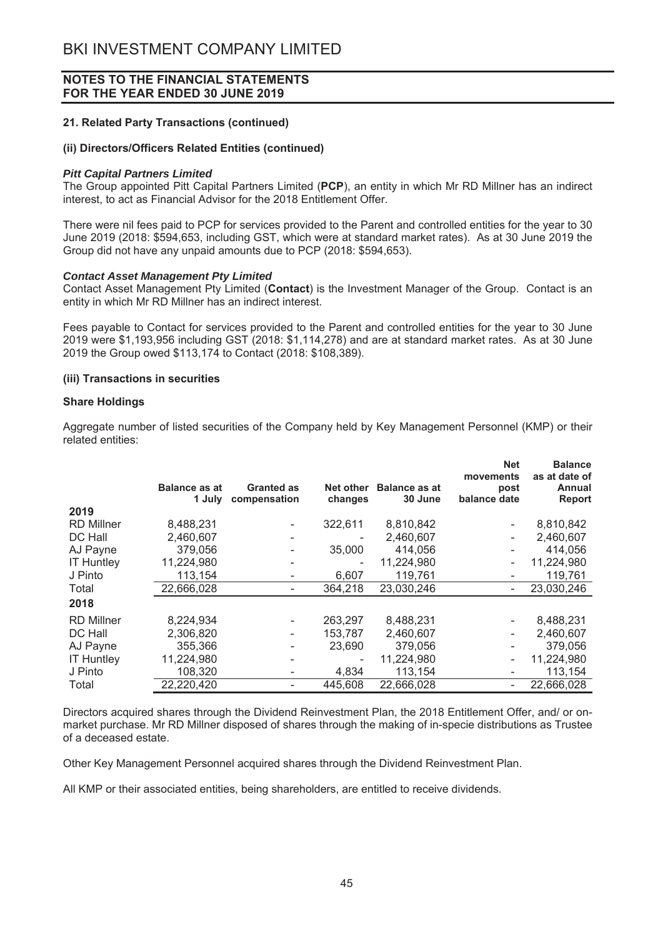## **21. Related Party Transactions (continued)**

#### (ii) Directors/Officers Related Entities (continued)

#### *Pitt Capital Partners Limited*

The Group appointed Pitt Capital Partners Limited (PCP), an entity in which Mr RD Millner has an indirect interest, to act as Financial Advisor for the 2018 Entitlement Offer.

There were nil fees paid to PCP for services provided to the Parent and controlled entities for the vear to 30 June 2019 (2018: \$594,653, including GST, which were at standard market rates). As at 30 June 2019 the Group did not have any unpaid amounts due to PCP (2018: \$594,653).

#### *Contact Asset Management Pty Limited*

Contact Asset Management Pty Limited (Contact) is the Investment Manager of the Group. Contact is an entity in which Mr RD Millner has an indirect interest.

Fees payable to Contact for services provided to the Parent and controlled entities for the year to 30 June 2019 were \$1,193,956 including GST (2018: \$1,114,278) and are at standard market rates. As at 30 June 2019 the Group owed \$113,174 to Contact (2018; \$108,389).

#### **(iii) Transactions in securities**

#### **Share Holdings**

Aggregate number of listed securities of the Company held by Key Management Personnel (KMP) or their related entities:

|                   | <b>Balance as at</b><br>1 July | <b>Granted as</b><br>compensation | Net other<br>changes | <b>Balance as at</b><br>30 June | <b>Net</b><br>movements<br>post<br>balance date | <b>Balance</b><br>as at date of<br>Annual<br><b>Report</b> |
|-------------------|--------------------------------|-----------------------------------|----------------------|---------------------------------|-------------------------------------------------|------------------------------------------------------------|
| 2019              |                                |                                   |                      |                                 |                                                 |                                                            |
| <b>RD Millner</b> | 8,488,231                      |                                   | 322,611              | 8,810,842                       |                                                 | 8,810,842                                                  |
| DC Hall           | 2,460,607                      |                                   |                      | 2,460,607                       |                                                 | 2,460,607                                                  |
| AJ Payne          | 379,056                        |                                   | 35,000               | 414,056                         |                                                 | 414.056                                                    |
| <b>IT Huntley</b> | 11,224,980                     |                                   |                      | 11,224,980                      |                                                 | 11,224,980                                                 |
| J Pinto           | 113,154                        |                                   | 6,607                | 119,761                         |                                                 | 119,761                                                    |
| Total             | 22,666,028                     |                                   | 364,218              | 23,030,246                      |                                                 | 23,030,246                                                 |
| 2018              |                                |                                   |                      |                                 |                                                 |                                                            |
| <b>RD Millner</b> | 8,224,934                      |                                   | 263.297              | 8,488,231                       | $\overline{\phantom{a}}$                        | 8,488,231                                                  |
| DC Hall           | 2,306,820                      |                                   | 153,787              | 2,460,607                       |                                                 | 2,460,607                                                  |
| AJ Payne          | 355,366                        |                                   | 23,690               | 379,056                         |                                                 | 379,056                                                    |
| <b>IT Huntley</b> | 11,224,980                     |                                   |                      | 11,224,980                      |                                                 | 11,224,980                                                 |
| J Pinto           | 108,320                        |                                   | 4,834                | 113,154                         |                                                 | 113,154                                                    |
| Total             | 22,220,420                     |                                   | 445,608              | 22,666,028                      |                                                 | 22,666,028                                                 |

Directors acquired shares through the Dividend Reinvestment Plan, the 2018 Entitlement Offer, and/ or onmarket purchase. Mr RD Millner disposed of shares through the making of in-specie distributions as Trustee of a deceased estate.

Other Key Management Personnel acquired shares through the Dividend Reinvestment Plan.

All KMP or their associated entities, being shareholders, are entitled to receive dividends.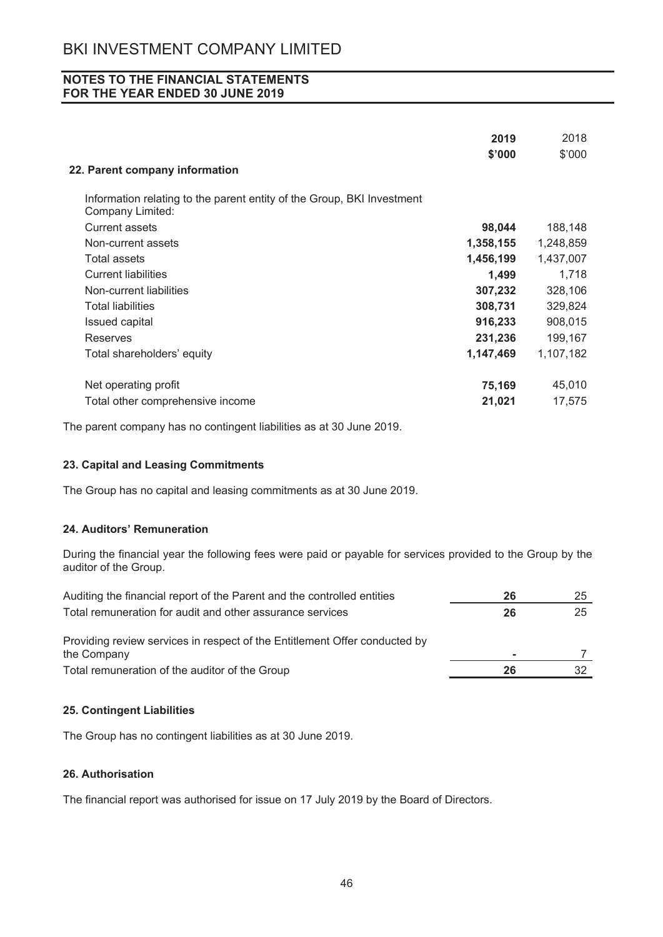|                                                                                            | 2019      | 2018      |
|--------------------------------------------------------------------------------------------|-----------|-----------|
|                                                                                            | \$'000    | \$'000    |
| 22. Parent company information                                                             |           |           |
| Information relating to the parent entity of the Group, BKI Investment<br>Company Limited: |           |           |
| <b>Current assets</b>                                                                      | 98,044    | 188,148   |
| Non-current assets                                                                         | 1,358,155 | 1,248,859 |
| Total assets                                                                               | 1,456,199 | 1,437,007 |
| <b>Current liabilities</b>                                                                 | 1,499     | 1,718     |
| Non-current liabilities                                                                    | 307,232   | 328,106   |
| <b>Total liabilities</b>                                                                   | 308,731   | 329,824   |
| <b>Issued capital</b>                                                                      | 916,233   | 908,015   |
| Reserves                                                                                   | 231,236   | 199,167   |
| Total shareholders' equity                                                                 | 1,147,469 | 1,107,182 |
| Net operating profit                                                                       | 75,169    | 45,010    |
| Total other comprehensive income                                                           | 21,021    | 17,575    |

The parent company has no contingent liabilities as at 30 June 2019.

# 23. Capital and Leasing Commitments

The Group has no capital and leasing commitments as at 30 June 2019.

## 24. Auditors' Remuneration

During the financial year the following fees were paid or payable for services provided to the Group by the auditor of the Group.

| Auditing the financial report of the Parent and the controlled entities    | 26 | 25 |
|----------------------------------------------------------------------------|----|----|
| Total remuneration for audit and other assurance services                  | 26 | 25 |
| Providing review services in respect of the Entitlement Offer conducted by |    |    |
| the Company                                                                | ۰  |    |
| Total remuneration of the auditor of the Group                             | 26 |    |

## 25. Contingent Liabilities

The Group has no contingent liabilities as at 30 June 2019.

# 26. Authorisation

The financial report was authorised for issue on 17 July 2019 by the Board of Directors.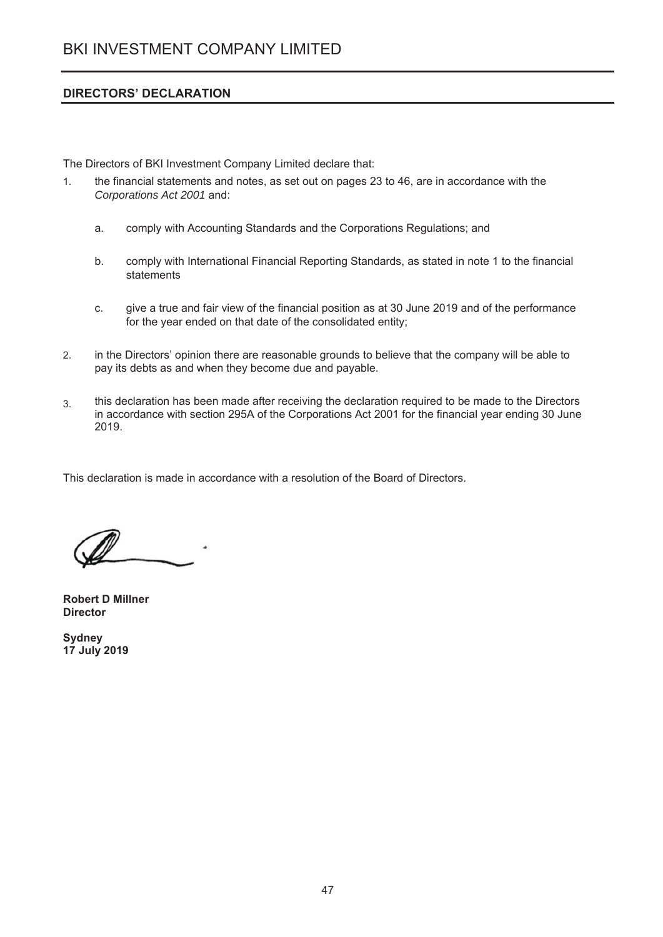# **DIRECTORS' DECLARATION**

The Directors of BKI Investment Company Limited declare that:

- $1<sub>1</sub>$ the financial statements and notes, as set out on pages 23 to 46, are in accordance with the Corporations Act 2001 and:
	- comply with Accounting Standards and the Corporations Regulations; and a.
	- comply with International Financial Reporting Standards, as stated in note 1 to the financial b. statements
	- C. give a true and fair view of the financial position as at 30 June 2019 and of the performance for the year ended on that date of the consolidated entity;
- $2.$ in the Directors' opinion there are reasonable grounds to believe that the company will be able to pay its debts as and when they become due and payable.
- this declaration has been made after receiving the declaration required to be made to the Directors  $3<sub>1</sub>$ in accordance with section 295A of the Corporations Act 2001 for the financial year ending 30 June 2019.

This declaration is made in accordance with a resolution of the Board of Directors.

**Robert D Millner Director** 

**Sydney** 17 July 2019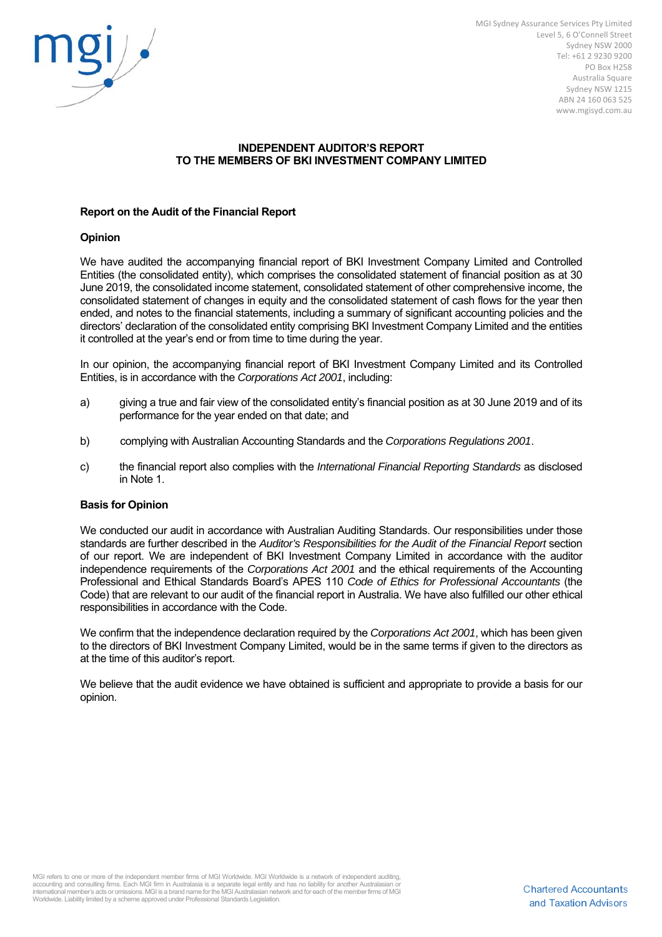

MGI Sydney Assurance Services Pty Limited Level 5, 6 O'Connell Street Sydney NSW 2000 Tel: +61 2 9230 9200 PO Box H258 Australia Square Sydney NSW 1215 ABN 24 160 063 525 www.mgisyd.com.au

# **INDEPENDENT AUDITOR'S REPORT TO THE MEMBERS OF BKI INVESTMENT COMPANY LIMITED**

#### **Report on the Audit of the Financial Report**

#### **Opinion**

We have audited the accompanying financial report of BKI Investment Company Limited and Controlled Entities (the consolidated entity), which comprises the consolidated statement of financial position as at 30 June 2019, the consolidated income statement, consolidated statement of other comprehensive income, the consolidated statement of changes in equity and the consolidated statement of cash flows for the year then ended, and notes to the financial statements, including a summary of significant accounting policies and the directors' declaration of the consolidated entity comprising BKI Investment Company Limited and the entities it controlled at the year's end or from time to time during the year.

In our opinion, the accompanying financial report of BKI Investment Company Limited and its Controlled Entities, is in accordance with the *Corporations Act 2001*, including:

- a) giving a true and fair view of the consolidated entity's financial position as at 30 June 2019 and of its performance for the year ended on that date; and
- b) complying with Australian Accounting Standards and the *Corporations Regulations 2001*.
- c) the financial report also complies with the *International Financial Reporting Standards* as disclosed in Note 1.

#### **Basis for Opinion**

We conducted our audit in accordance with Australian Auditing Standards. Our responsibilities under those standards are further described in the *Auditor's Responsibilities for the Audit of the Financial Report* section of our report. We are independent of BKI Investment Company Limited in accordance with the auditor independence requirements of the *Corporations Act 2001* and the ethical requirements of the Accounting Professional and Ethical Standards Board's APES 110 *Code of Ethics for Professional Accountants* (the Code) that are relevant to our audit of the financial report in Australia. We have also fulfilled our other ethical responsibilities in accordance with the Code.

We confirm that the independence declaration required by the *Corporations Act 2001*, which has been given to the directors of BKI Investment Company Limited, would be in the same terms if given to the directors as at the time of this auditor's report.

We believe that the audit evidence we have obtained is sufficient and appropriate to provide a basis for our opinion.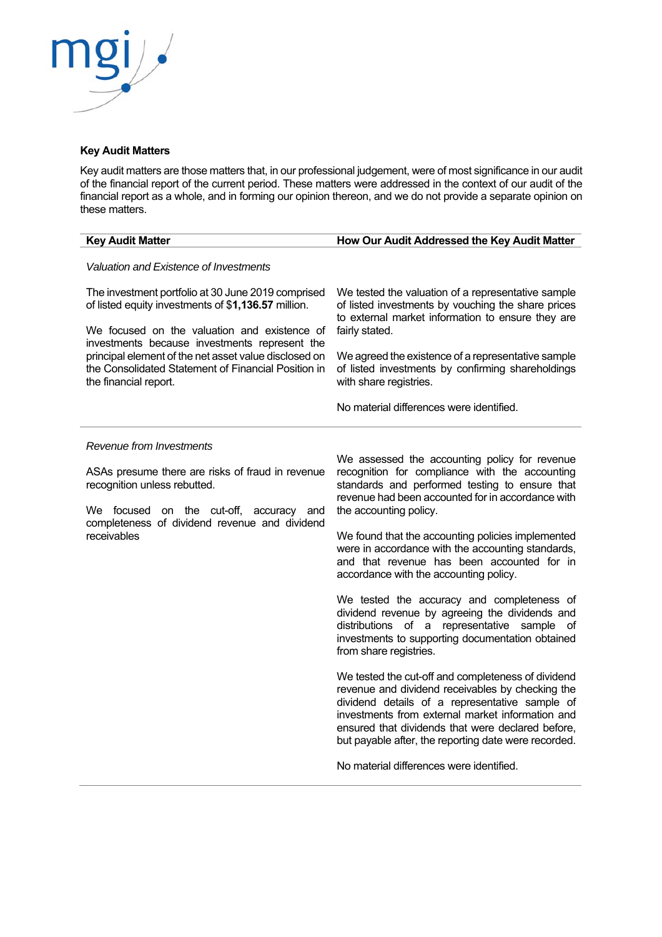

# **Key Audit Matters**

Key audit matters are those matters that, in our professional judgement, were of most significance in our audit of the financial report of the current period. These matters were addressed in the context of our audit of the financial report as a whole, and in forming our opinion thereon, and we do not provide a separate opinion on these matters.

| <b>Key Audit Matter</b>                                                                                                                                                                                                                                                                                                                             | How Our Audit Addressed the Key Audit Matter                                                                                                                                                                                                                                                                                                                                                                                                                                                                                                                                                                                                                                                                                                                                                                                                                                                                                                                                                                                                   |
|-----------------------------------------------------------------------------------------------------------------------------------------------------------------------------------------------------------------------------------------------------------------------------------------------------------------------------------------------------|------------------------------------------------------------------------------------------------------------------------------------------------------------------------------------------------------------------------------------------------------------------------------------------------------------------------------------------------------------------------------------------------------------------------------------------------------------------------------------------------------------------------------------------------------------------------------------------------------------------------------------------------------------------------------------------------------------------------------------------------------------------------------------------------------------------------------------------------------------------------------------------------------------------------------------------------------------------------------------------------------------------------------------------------|
| Valuation and Existence of Investments                                                                                                                                                                                                                                                                                                              |                                                                                                                                                                                                                                                                                                                                                                                                                                                                                                                                                                                                                                                                                                                                                                                                                                                                                                                                                                                                                                                |
| The investment portfolio at 30 June 2019 comprised<br>of listed equity investments of \$1,136.57 million.<br>We focused on the valuation and existence of<br>investments because investments represent the<br>principal element of the net asset value disclosed on<br>the Consolidated Statement of Financial Position in<br>the financial report. | We tested the valuation of a representative sample<br>of listed investments by vouching the share prices<br>to external market information to ensure they are<br>fairly stated.<br>We agreed the existence of a representative sample<br>of listed investments by confirming shareholdings<br>with share registries.<br>No material differences were identified.                                                                                                                                                                                                                                                                                                                                                                                                                                                                                                                                                                                                                                                                               |
| Revenue from Investments<br>ASAs presume there are risks of fraud in revenue<br>recognition unless rebutted.<br>We focused<br>on the cut-off,<br>accuracy<br>and<br>completeness of dividend revenue and dividend<br>receivables                                                                                                                    | We assessed the accounting policy for revenue<br>recognition for compliance with the accounting<br>standards and performed testing to ensure that<br>revenue had been accounted for in accordance with<br>the accounting policy.<br>We found that the accounting policies implemented<br>were in accordance with the accounting standards,<br>and that revenue has been accounted for in<br>accordance with the accounting policy.<br>We tested the accuracy and completeness of<br>dividend revenue by agreeing the dividends and<br>distributions of a representative<br>sample<br>οf<br>investments to supporting documentation obtained<br>from share registries.<br>We tested the cut-off and completeness of dividend<br>revenue and dividend receivables by checking the<br>dividend details of a representative sample of<br>investments from external market information and<br>ensured that dividends that were declared before,<br>but payable after, the reporting date were recorded.<br>No material differences were identified. |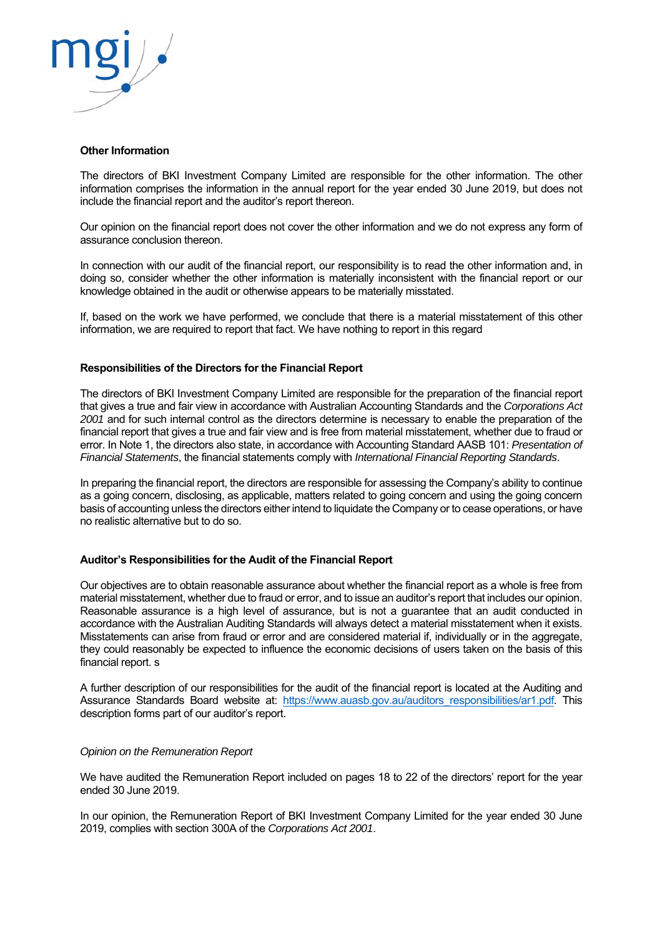

#### **Other Information**

The directors of BKI Investment Company Limited are responsible for the other information. The other information comprises the information in the annual report for the year ended 30 June 2019, but does not include the financial report and the auditor's report thereon.

Our opinion on the financial report does not cover the other information and we do not express any form of assurance conclusion thereon.

In connection with our audit of the financial report, our responsibility is to read the other information and, in doing so, consider whether the other information is materially inconsistent with the financial report or our knowledge obtained in the audit or otherwise appears to be materially misstated.

If, based on the work we have performed, we conclude that there is a material misstatement of this other information, we are required to report that fact. We have nothing to report in this regard

#### **Responsibilities of the Directors for the Financial Report**

The directors of BKI Investment Company Limited are responsible for the preparation of the financial report that gives a true and fair view in accordance with Australian Accounting Standards and the *Corporations Act 2001* and for such internal control as the directors determine is necessary to enable the preparation of the financial report that gives a true and fair view and is free from material misstatement, whether due to fraud or error. In Note 1, the directors also state, in accordance with Accounting Standard AASB 101: *Presentation of Financial Statements*, the financial statements comply with *International Financial Reporting Standards*.

In preparing the financial report, the directors are responsible for assessing the Company's ability to continue as a going concern, disclosing, as applicable, matters related to going concern and using the going concern basis of accounting unless the directors either intend to liquidate the Company or to cease operations, or have no realistic alternative but to do so.

#### **Auditor's Responsibilities for the Audit of the Financial Report**

Our objectives are to obtain reasonable assurance about whether the financial report as a whole is free from material misstatement, whether due to fraud or error, and to issue an auditor's report that includes our opinion. Reasonable assurance is a high level of assurance, but is not a guarantee that an audit conducted in accordance with the Australian Auditing Standards will always detect a material misstatement when it exists. Misstatements can arise from fraud or error and are considered material if, individually or in the aggregate, they could reasonably be expected to influence the economic decisions of users taken on the basis of this financial report. s

A further description of our responsibilities for the audit of the financial report is located at the Auditing and Assurance Standards Board website at: https://www.auasb.gov.au/auditors responsibilities/ar1.pdf. This description forms part of our auditor's report.

#### *Opinion on the Remuneration Report*

We have audited the Remuneration Report included on pages 18 to 22 of the directors' report for the year ended 30 June 2019.

In our opinion, the Remuneration Report of BKI Investment Company Limited for the year ended 30 June 2019, complies with section 300A of the *Corporations Act 2001*.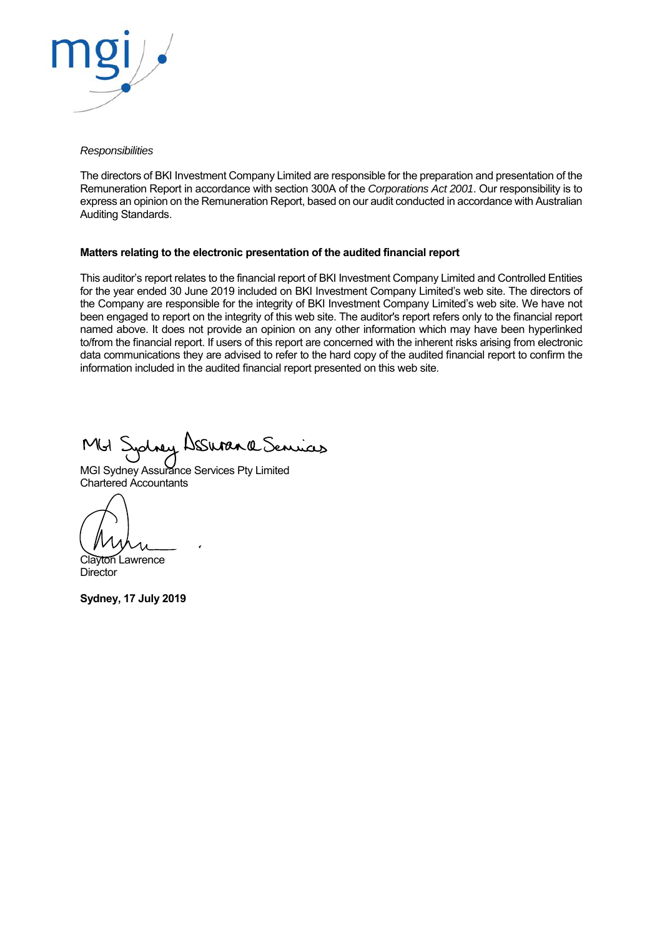

#### *Responsibilities*

The directors of BKI Investment Company Limited are responsible for the preparation and presentation of the Remuneration Report in accordance with section 300A of the *Corporations Act 2001*. Our responsibility is to express an opinion on the Remuneration Report, based on our audit conducted in accordance with Australian Auditing Standards.

#### **Matters relating to the electronic presentation of the audited financial report**

This auditor's report relates to the financial report of BKI Investment Company Limited and Controlled Entities for the year ended 30 June 2019 included on BKI Investment Company Limited's web site. The directors of the Company are responsible for the integrity of BKI Investment Company Limited's web site. We have not been engaged to report on the integrity of this web site. The auditor's report refers only to the financial report named above. It does not provide an opinion on any other information which may have been hyperlinked to/from the financial report. If users of this report are concerned with the inherent risks arising from electronic data communications they are advised to refer to the hard copy of the audited financial report to confirm the information included in the audited financial report presented on this web site.

Johney Desuran a Senices MGI S

MGI Sydney Assurance Services Pty Limited Chartered Accountants

I

Clayton Lawrence **Director** 

**Sydney, 17 July 2019**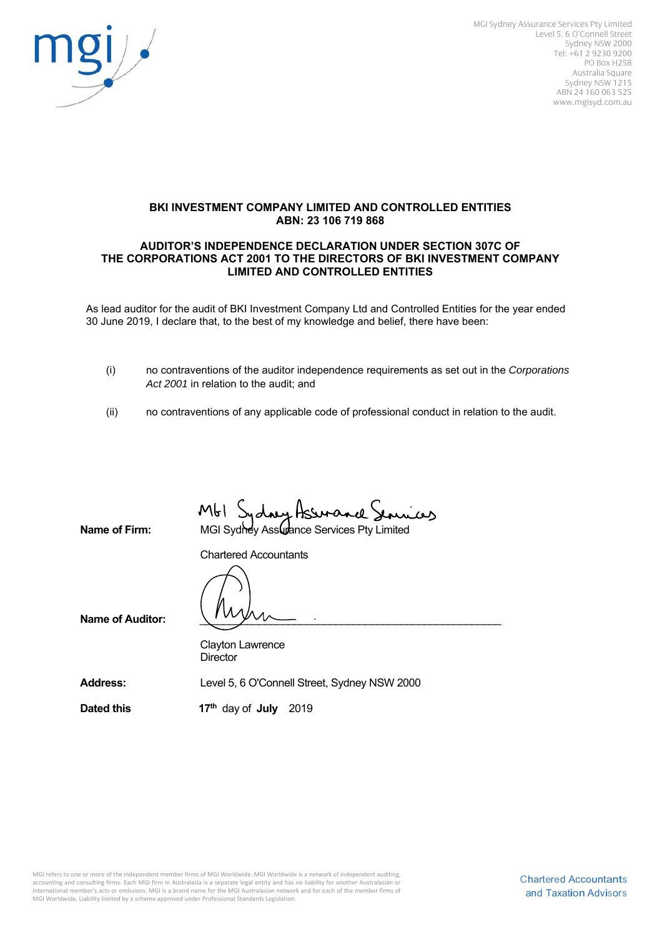

MGI Sydney Assurance Services Pty Limited Level 5, 6 O'Connell Street Sydney NSW 2000 Tel: +61 2 9230 9200 PO Box H258 Australia Square Sydney NSW 1215 ABN 24 160 063 525 www.mgisyd.com.au

#### **BKI INVESTMENT COMPANY LIMITED AND CONTROLLED ENTITIES ABN: 23 106 719 868**

#### **AUDITOR'S INDEPENDENCE DECLARATION UNDER SECTION 307C OF THE CORPORATIONS ACT 2001 TO THE DIRECTORS OF BKI INVESTMENT COMPANY LIMITED AND CONTROLLED ENTITIES**

As lead auditor for the audit of BKI Investment Company Ltd and Controlled Entities for the year ended 30 June 2019, I declare that, to the best of my knowledge and belief, there have been:

- (i) no contraventions of the auditor independence requirements as set out in the *Corporations Act 2001* in relation to the audit; and
- (ii) no contraventions of any applicable code of professional conduct in relation to the audit.

**Name of Firm:** MGI Sydney Assurance Services Pty Limited

Chartered Accountants

Name of Auditor:

 Clayton Lawrence **Director** 

**Address:** Level 5, 6 O'Connell Street, Sydney NSW 2000

**Dated this 17<sup>th</sup> day of July 2019**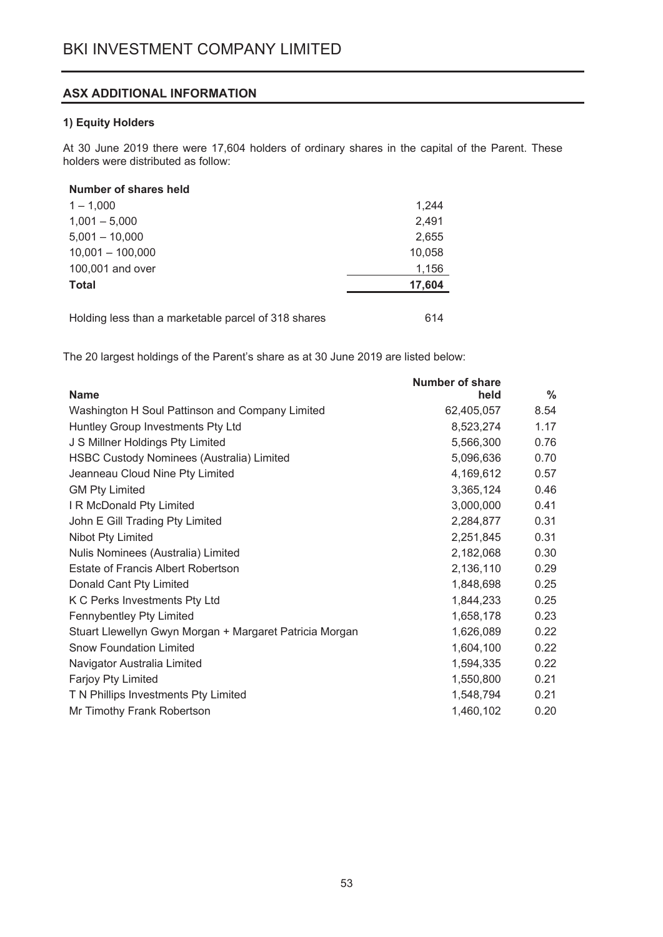# ASX ADDITIONAL INFORMATION

# 1) Equity Holders

At 30 June 2019 there were 17,604 holders of ordinary shares in the capital of the Parent. These holders were distributed as follow:

# Number of shares held

| $1 - 1.000$                                         | 1,244  |
|-----------------------------------------------------|--------|
| $1,001 - 5,000$                                     | 2,491  |
| $5,001 - 10,000$                                    | 2,655  |
| $10,001 - 100,000$                                  | 10,058 |
| 100,001 and over                                    | 1,156  |
| <b>Total</b>                                        | 17,604 |
|                                                     |        |
| Holding less than a marketable parcel of 318 shares | 614    |

The 20 largest holdings of the Parent's share as at 30 June 2019 are listed below:

|                                                         | <b>Number of share</b> |               |
|---------------------------------------------------------|------------------------|---------------|
| <b>Name</b>                                             | held                   | $\frac{0}{0}$ |
| Washington H Soul Pattinson and Company Limited         | 62,405,057             | 8.54          |
| Huntley Group Investments Pty Ltd                       | 8,523,274              | 1.17          |
| J S Millner Holdings Pty Limited                        | 5,566,300              | 0.76          |
| <b>HSBC Custody Nominees (Australia) Limited</b>        | 5,096,636              | 0.70          |
| Jeanneau Cloud Nine Pty Limited                         | 4,169,612              | 0.57          |
| <b>GM Pty Limited</b>                                   | 3,365,124              | 0.46          |
| I R McDonald Pty Limited                                | 3,000,000              | 0.41          |
| John E Gill Trading Pty Limited                         | 2,284,877              | 0.31          |
| Nibot Pty Limited                                       | 2,251,845              | 0.31          |
| Nulis Nominees (Australia) Limited                      | 2,182,068              | 0.30          |
| Estate of Francis Albert Robertson                      | 2,136,110              | 0.29          |
| Donald Cant Pty Limited                                 | 1,848,698              | 0.25          |
| K C Perks Investments Pty Ltd                           | 1,844,233              | 0.25          |
| Fennybentley Pty Limited                                | 1,658,178              | 0.23          |
| Stuart Llewellyn Gwyn Morgan + Margaret Patricia Morgan | 1,626,089              | 0.22          |
| <b>Snow Foundation Limited</b>                          | 1,604,100              | 0.22          |
| Navigator Australia Limited                             | 1,594,335              | 0.22          |
| Farjoy Pty Limited                                      | 1,550,800              | 0.21          |
| T N Phillips Investments Pty Limited                    | 1,548,794              | 0.21          |
| Mr Timothy Frank Robertson                              | 1,460,102              | 0.20          |